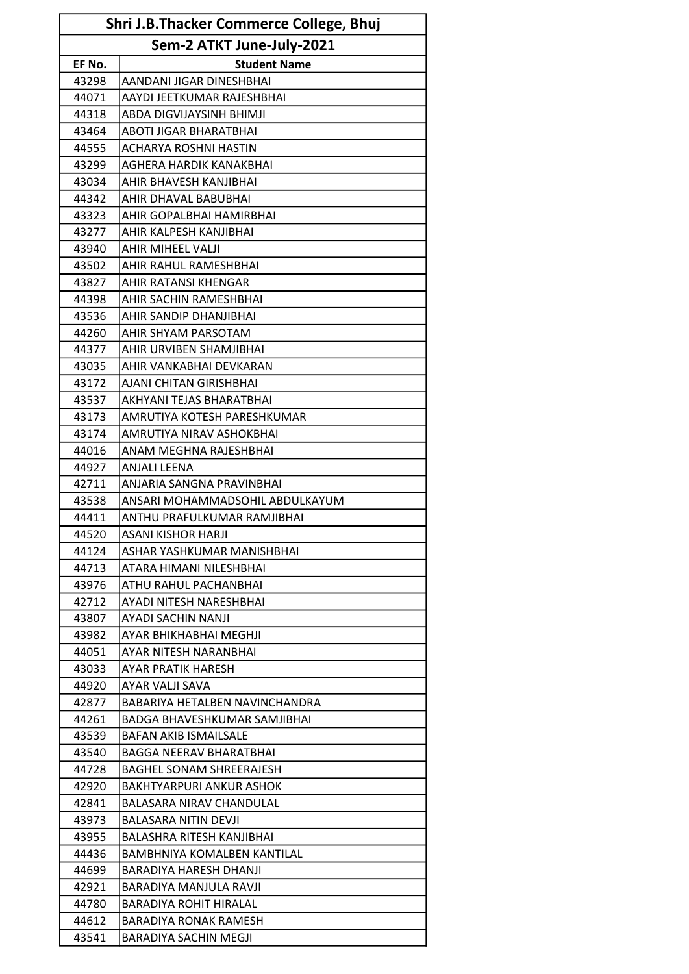| Shri J.B.Thacker Commerce College, Bhuj |                                 |  |
|-----------------------------------------|---------------------------------|--|
| Sem-2 ATKT June-July-2021               |                                 |  |
| EF No.                                  | <b>Student Name</b>             |  |
| 43298                                   | AANDANI JIGAR DINESHBHAI        |  |
| 44071                                   | AAYDI JEETKUMAR RAJESHBHAI      |  |
| 44318                                   | ABDA DIGVIJAYSINH BHIMJI        |  |
| 43464                                   | ABOTI JIGAR BHARATBHAI          |  |
| 44555                                   | <b>ACHARYA ROSHNI HASTIN</b>    |  |
| 43299                                   | AGHERA HARDIK KANAKBHAI         |  |
| 43034                                   | AHIR BHAVESH KANJIBHAI          |  |
| 44342                                   | AHIR DHAVAL BABUBHAI            |  |
| 43323                                   | AHIR GOPALBHAI HAMIRBHAI        |  |
| 43277                                   | AHIR KALPESH KANJIBHAI          |  |
| 43940                                   | AHIR MIHEEL VALJI               |  |
| 43502                                   | AHIR RAHUL RAMESHBHAI           |  |
| 43827                                   | AHIR RATANSI KHENGAR            |  |
| 44398                                   | AHIR SACHIN RAMESHBHAI          |  |
| 43536                                   | AHIR SANDIP DHANJIBHAI          |  |
| 44260                                   | AHIR SHYAM PARSOTAM             |  |
| 44377                                   | AHIR URVIBEN SHAMJIBHAI         |  |
| 43035                                   | AHIR VANKABHAI DEVKARAN         |  |
| 43172                                   | AJANI CHITAN GIRISHBHAI         |  |
| 43537                                   | AKHYANI TEJAS BHARATBHAI        |  |
| 43173                                   | AMRUTIYA KOTESH PARESHKUMAR     |  |
| 43174                                   | AMRUTIYA NIRAV ASHOKBHAI        |  |
| 44016                                   | ANAM MEGHNA RAJESHBHAI          |  |
| 44927                                   | <b>ANJALI LEENA</b>             |  |
| 42711                                   | ANJARIA SANGNA PRAVINBHAI       |  |
| 43538                                   | ANSARI MOHAMMADSOHIL ABDULKAYUM |  |
| 44411                                   | ANTHU PRAFULKUMAR RAMJIBHAI     |  |
| 44520                                   | ASANI KISHOR HARJI              |  |
| 44124                                   | ASHAR YASHKUMAR MANISHBHAI      |  |
| 44713                                   | ATARA HIMANI NILESHBHAI         |  |
| 43976                                   | ATHU RAHUL PACHANBHAI           |  |
| 42712                                   | AYADI NITESH NARESHBHAI         |  |
| 43807                                   | AYADI SACHIN NANJI              |  |
| 43982                                   | AYAR BHIKHABHAI MEGHJI          |  |
| 44051                                   | AYAR NITESH NARANBHAI           |  |
| 43033                                   | AYAR PRATIK HARESH              |  |
| 44920                                   | AYAR VALJI SAVA                 |  |
| 42877                                   | BABARIYA HETALBEN NAVINCHANDRA  |  |
| 44261                                   | BADGA BHAVESHKUMAR SAMJIBHAI    |  |
| 43539                                   | <b>BAFAN AKIB ISMAILSALE</b>    |  |
| 43540                                   | BAGGA NEERAV BHARATBHAI         |  |
| 44728                                   | <b>BAGHEL SONAM SHREERAJESH</b> |  |
| 42920                                   | <b>BAKHTYARPURI ANKUR ASHOK</b> |  |
| 42841                                   | BALASARA NIRAV CHANDULAL        |  |
| 43973                                   | BALASARA NITIN DEVJI            |  |
| 43955                                   | BALASHRA RITESH KANJIBHAI       |  |
| 44436                                   | BAMBHNIYA KOMALBEN KANTILAL     |  |
| 44699                                   | <b>BARADIYA HARESH DHANJI</b>   |  |
| 42921                                   | BARADIYA MANJULA RAVJI          |  |
| 44780                                   | <b>BARADIYA ROHIT HIRALAL</b>   |  |
| 44612                                   | BARADIYA RONAK RAMESH           |  |
| 43541                                   | <b>BARADIYA SACHIN MEGJI</b>    |  |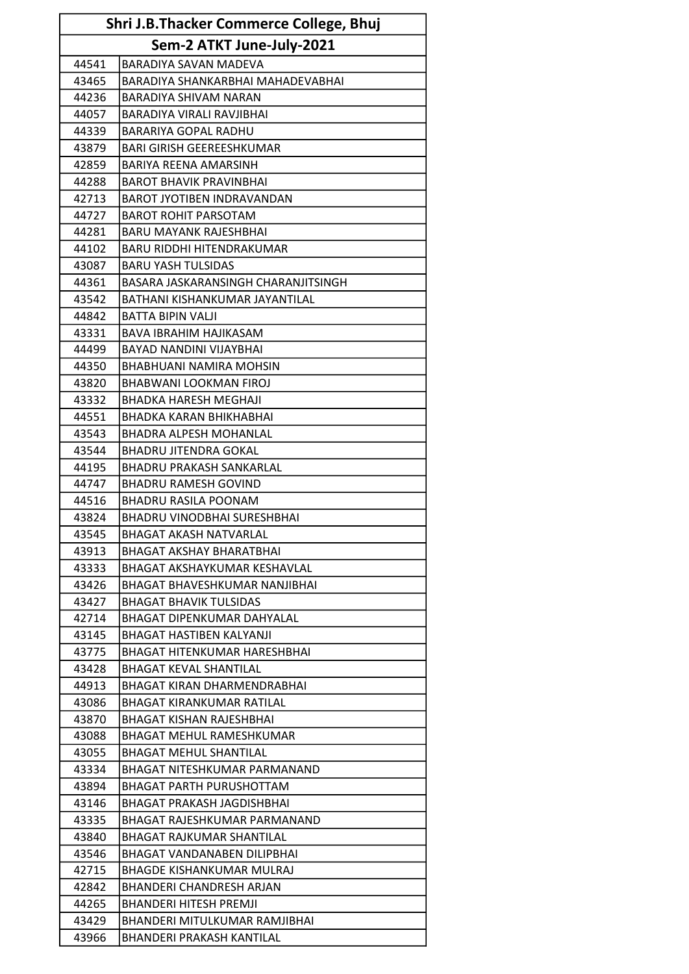| Shri J.B.Thacker Commerce College, Bhuj |                                     |  |  |
|-----------------------------------------|-------------------------------------|--|--|
|                                         | Sem-2 ATKT June-July-2021           |  |  |
| 44541                                   | BARADIYA SAVAN MADEVA               |  |  |
| 43465                                   | BARADIYA SHANKARBHAI MAHADEVABHAI   |  |  |
| 44236                                   | <b>BARADIYA SHIVAM NARAN</b>        |  |  |
| 44057                                   | BARADIYA VIRALI RAVJIBHAI           |  |  |
| 44339                                   | BARARIYA GOPAL RADHU                |  |  |
| 43879                                   | <b>BARI GIRISH GEEREESHKUMAR</b>    |  |  |
| 42859                                   | BARIYA REENA AMARSINH               |  |  |
| 44288                                   | <b>BAROT BHAVIK PRAVINBHAI</b>      |  |  |
| 42713                                   | <b>BAROT JYOTIBEN INDRAVANDAN</b>   |  |  |
| 44727                                   | <b>BAROT ROHIT PARSOTAM</b>         |  |  |
| 44281                                   | <b>BARU MAYANK RAJESHBHAI</b>       |  |  |
| 44102                                   | <b>BARU RIDDHI HITENDRAKUMAR</b>    |  |  |
| 43087                                   | <b>BARU YASH TULSIDAS</b>           |  |  |
| 44361                                   | BASARA JASKARANSINGH CHARANJITSINGH |  |  |
| 43542                                   | BATHANI KISHANKUMAR JAYANTILAL      |  |  |
| 44842                                   | <b>BATTA BIPIN VALII</b>            |  |  |
| 43331                                   | <b>BAVA IBRAHIM HAJIKASAM</b>       |  |  |
| 44499                                   | BAYAD NANDINI VIJAYBHAI             |  |  |
| 44350                                   | BHABHUANI NAMIRA MOHSIN             |  |  |
| 43820                                   | <b>BHABWANI LOOKMAN FIROJ</b>       |  |  |
| 43332                                   | <b>BHADKA HARESH MEGHAJI</b>        |  |  |
| 44551                                   | BHADKA KARAN BHIKHABHAI             |  |  |
| 43543                                   | <b>BHADRA ALPESH MOHANLAL</b>       |  |  |
| 43544                                   | <b>BHADRU JITENDRA GOKAL</b>        |  |  |
| 44195                                   | <b>BHADRU PRAKASH SANKARLAL</b>     |  |  |
| 44747                                   | <b>BHADRU RAMESH GOVIND</b>         |  |  |
| 44516                                   | <b>BHADRU RASILA POONAM</b>         |  |  |
| 43824                                   | <b>BHADRU VINODBHAI SURESHBHAI</b>  |  |  |
| 43545                                   | <b>BHAGAT AKASH NATVARLAL</b>       |  |  |
| 43913                                   | <b>BHAGAT AKSHAY BHARATBHAI</b>     |  |  |
| 43333                                   | BHAGAT AKSHAYKUMAR KESHAVLAL        |  |  |
| 43426                                   | BHAGAT BHAVESHKUMAR NANJIBHAI       |  |  |
| 43427                                   | <b>BHAGAT BHAVIK TULSIDAS</b>       |  |  |
| 42714                                   | <b>BHAGAT DIPENKUMAR DAHYALAL</b>   |  |  |
| 43145                                   | <b>BHAGAT HASTIBEN KALYANJI</b>     |  |  |
| 43775                                   | BHAGAT HITENKUMAR HARESHBHAI        |  |  |
| 43428                                   | <b>BHAGAT KEVAL SHANTILAL</b>       |  |  |
| 44913                                   | BHAGAT KIRAN DHARMENDRABHAI         |  |  |
| 43086                                   | <b>BHAGAT KIRANKUMAR RATILAL</b>    |  |  |
| 43870                                   | <b>BHAGAT KISHAN RAJESHBHAI</b>     |  |  |
| 43088                                   | <b>BHAGAT MEHUL RAMESHKUMAR</b>     |  |  |
| 43055                                   | <b>BHAGAT MEHUL SHANTILAL</b>       |  |  |
| 43334                                   | BHAGAT NITESHKUMAR PARMANAND        |  |  |
| 43894                                   | <b>BHAGAT PARTH PURUSHOTTAM</b>     |  |  |
| 43146                                   | BHAGAT PRAKASH JAGDISHBHAI          |  |  |
| 43335                                   | BHAGAT RAJESHKUMAR PARMANAND        |  |  |
| 43840                                   | <b>BHAGAT RAJKUMAR SHANTILAL</b>    |  |  |
| 43546                                   | BHAGAT VANDANABEN DILIPBHAI         |  |  |
| 42715                                   | <b>BHAGDE KISHANKUMAR MULRAJ</b>    |  |  |
| 42842                                   | BHANDERI CHANDRESH ARJAN            |  |  |
| 44265                                   | <b>BHANDERI HITESH PREMJI</b>       |  |  |
| 43429                                   | BHANDERI MITULKUMAR RAMJIBHAI       |  |  |
| 43966                                   | BHANDERI PRAKASH KANTILAL           |  |  |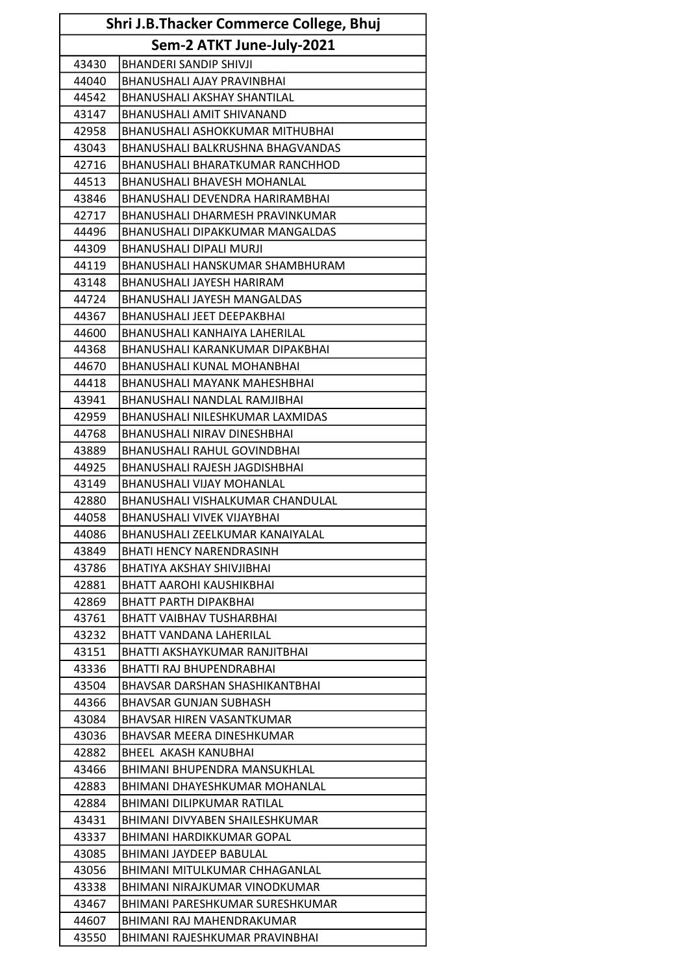| Shri J.B.Thacker Commerce College, Bhuj |                                                                      |  |  |
|-----------------------------------------|----------------------------------------------------------------------|--|--|
|                                         | Sem-2 ATKT June-July-2021                                            |  |  |
| 43430                                   | <b>BHANDERI SANDIP SHIVJI</b>                                        |  |  |
| 44040                                   | <b>BHANUSHALI AJAY PRAVINBHAI</b>                                    |  |  |
| 44542                                   | <b>BHANUSHALI AKSHAY SHANTILAL</b>                                   |  |  |
| 43147                                   | <b>BHANUSHALI AMIT SHIVANAND</b>                                     |  |  |
| 42958                                   | BHANUSHALI ASHOKKUMAR MITHUBHAI                                      |  |  |
| 43043                                   | <b>BHANUSHALI BALKRUSHNA BHAGVANDAS</b>                              |  |  |
| 42716                                   | <b>BHANUSHALI BHARATKUMAR RANCHHOD</b>                               |  |  |
| 44513                                   | <b>BHANUSHALI BHAVESH MOHANLAL</b>                                   |  |  |
| 43846                                   | BHANUSHALI DEVENDRA HARIRAMBHAI                                      |  |  |
| 42717                                   | BHANUSHALI DHARMESH PRAVINKUMAR                                      |  |  |
| 44496                                   | <b>BHANUSHALI DIPAKKUMAR MANGALDAS</b>                               |  |  |
| 44309                                   | <b>BHANUSHALI DIPALI MURJI</b>                                       |  |  |
| 44119                                   | <b>BHANUSHALI HANSKUMAR SHAMBHURAM</b>                               |  |  |
| 43148                                   | BHANUSHALI JAYESH HARIRAM                                            |  |  |
| 44724                                   | BHANUSHALI JAYESH MANGALDAS                                          |  |  |
| 44367                                   | <b>BHANUSHALI JEET DEEPAKBHAI</b>                                    |  |  |
| 44600                                   | BHANUSHALI KANHAIYA LAHERILAL                                        |  |  |
| 44368                                   | BHANUSHALI KARANKUMAR DIPAKBHAI                                      |  |  |
| 44670                                   | BHANUSHALI KUNAL MOHANBHAI                                           |  |  |
| 44418                                   | <b>BHANUSHALI MAYANK MAHESHBHAI</b>                                  |  |  |
| 43941                                   | BHANUSHALI NANDLAL RAMJIBHAI                                         |  |  |
| 42959                                   | BHANUSHALI NILESHKUMAR LAXMIDAS                                      |  |  |
| 44768                                   | <b>BHANUSHALI NIRAV DINESHBHAI</b>                                   |  |  |
|                                         |                                                                      |  |  |
| 43889                                   | <b>BHANUSHALI RAHUL GOVINDBHAI</b>                                   |  |  |
| 44925                                   | BHANUSHALI RAJESH JAGDISHBHAI                                        |  |  |
| 43149                                   | <b>BHANUSHALI VIJAY MOHANLAL</b>                                     |  |  |
| 42880                                   | BHANUSHALI VISHALKUMAR CHANDULAL                                     |  |  |
| 44058<br>44086                          | <b>BHANUSHALI VIVEK VIJAYBHAI</b><br>BHANUSHALI ZEELKUMAR KANAIYALAL |  |  |
|                                         |                                                                      |  |  |
| 43849                                   | <b>BHATI HENCY NARENDRASINH</b>                                      |  |  |
| 43786                                   | <b>BHATIYA AKSHAY SHIVJIBHAI</b>                                     |  |  |
| 42881                                   | BHATT AAROHI KAUSHIKBHAI                                             |  |  |
| 42869                                   | <b>BHATT PARTH DIPAKBHAI</b>                                         |  |  |
| 43761                                   | <b>BHATT VAIBHAV TUSHARBHAI</b>                                      |  |  |
| 43232                                   | <b>BHATT VANDANA LAHERILAL</b>                                       |  |  |
| 43151                                   | BHATTI AKSHAYKUMAR RANJITBHAI                                        |  |  |
| 43336                                   | BHATTI RAJ BHUPENDRABHAI                                             |  |  |
| 43504                                   | BHAVSAR DARSHAN SHASHIKANTBHAI                                       |  |  |
| 44366                                   | <b>BHAVSAR GUNJAN SUBHASH</b>                                        |  |  |
| 43084                                   | BHAVSAR HIREN VASANTKUMAR                                            |  |  |
| 43036                                   | BHAVSAR MEERA DINESHKUMAR                                            |  |  |
| 42882                                   | BHEEL AKASH KANUBHAI                                                 |  |  |
| 43466                                   | BHIMANI BHUPENDRA MANSUKHLAL                                         |  |  |
| 42883                                   | BHIMANI DHAYESHKUMAR MOHANLAL                                        |  |  |
| 42884                                   | BHIMANI DILIPKUMAR RATILAL                                           |  |  |
| 43431                                   | BHIMANI DIVYABEN SHAILESHKUMAR                                       |  |  |
| 43337                                   | BHIMANI HARDIKKUMAR GOPAL                                            |  |  |
| 43085                                   | BHIMANI JAYDEEP BABULAL                                              |  |  |
| 43056                                   | BHIMANI MITULKUMAR CHHAGANLAL                                        |  |  |
| 43338                                   | BHIMANI NIRAJKUMAR VINODKUMAR                                        |  |  |
| 43467                                   | BHIMANI PARESHKUMAR SURESHKUMAR                                      |  |  |
| 44607                                   | BHIMANI RAJ MAHENDRAKUMAR                                            |  |  |
| 43550                                   | BHIMANI RAJESHKUMAR PRAVINBHAI                                       |  |  |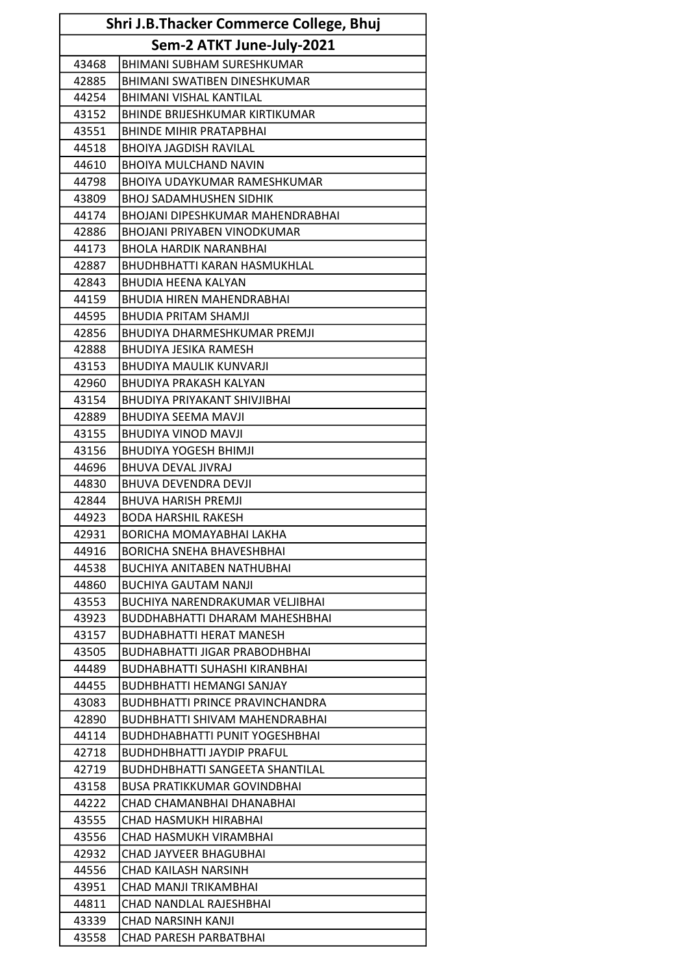| Shri J.B.Thacker Commerce College, Bhuj |                                         |
|-----------------------------------------|-----------------------------------------|
|                                         | Sem-2 ATKT June-July-2021               |
| 43468                                   | <b>BHIMANI SUBHAM SURESHKUMAR</b>       |
| 42885                                   | BHIMANI SWATIBEN DINESHKUMAR            |
| 44254                                   | <b>BHIMANI VISHAL KANTILAL</b>          |
| 43152                                   | <b>BHINDE BRIJESHKUMAR KIRTIKUMAR</b>   |
| 43551                                   | <b>BHINDE MIHIR PRATAPBHAI</b>          |
| 44518                                   | <b>BHOIYA JAGDISH RAVILAL</b>           |
| 44610                                   | <b>BHOIYA MULCHAND NAVIN</b>            |
| 44798                                   | <b>BHOIYA UDAYKUMAR RAMESHKUMAR</b>     |
| 43809                                   | <b>BHOJ SADAMHUSHEN SIDHIK</b>          |
| 44174                                   | <b>BHOJANI DIPESHKUMAR MAHENDRABHAI</b> |
| 42886                                   | <b>BHOJANI PRIYABEN VINODKUMAR</b>      |
| 44173                                   | <b>BHOLA HARDIK NARANBHAI</b>           |
| 42887                                   | <b>BHUDHBHATTI KARAN HASMUKHLAL</b>     |
| 42843                                   | <b>BHUDIA HEENA KALYAN</b>              |
| 44159                                   | <b>BHUDIA HIREN MAHENDRABHAI</b>        |
| 44595                                   | <b>BHUDIA PRITAM SHAMJI</b>             |
| 42856                                   | BHUDIYA DHARMESHKUMAR PREMJI            |
| 42888                                   | <b>BHUDIYA JESIKA RAMESH</b>            |
| 43153                                   | BHUDIYA MAULIK KUNVARJI                 |
| 42960                                   | <b>BHUDIYA PRAKASH KALYAN</b>           |
| 43154                                   | BHUDIYA PRIYAKANT SHIVJIBHAI            |
| 42889                                   | BHUDIYA SEEMA MAVJI                     |
| 43155                                   | <b>BHUDIYA VINOD MAVJI</b>              |
| 43156                                   | <b>BHUDIYA YOGESH BHIMJI</b>            |
| 44696                                   | BHUVA DEVAL JIVRAJ                      |
| 44830                                   | <b>BHUVA DEVENDRA DEVJI</b>             |
| 42844                                   | <b>BHUVA HARISH PREMJI</b>              |
| 44923                                   | <b>BODA HARSHIL RAKESH</b>              |
| 42931                                   | BORICHA MOMAYABHAI LAKHA                |
| 44916                                   | <b>BORICHA SNEHA BHAVESHBHAI</b>        |
| 44538                                   | <b>BUCHIYA ANITABEN NATHUBHAI</b>       |
| 44860                                   | <b>BUCHIYA GAUTAM NANJI</b>             |
| 43553                                   | BUCHIYA NARENDRAKUMAR VELJIBHAI         |
| 43923                                   | <b>BUDDHABHATTI DHARAM MAHESHBHAI</b>   |
| 43157                                   | <b>BUDHABHATTI HERAT MANESH</b>         |
| 43505                                   | <b>BUDHABHATTI JIGAR PRABODHBHAI</b>    |
| 44489                                   | <b>BUDHABHATTI SUHASHI KIRANBHAI</b>    |
| 44455                                   | <b>BUDHBHATTI HEMANGI SANJAY</b>        |
| 43083                                   | BUDHBHATTI PRINCE PRAVINCHANDRA         |
| 42890                                   | <b>BUDHBHATTI SHIVAM MAHENDRABHAI</b>   |
| 44114                                   | <b>BUDHDHABHATTI PUNIT YOGESHBHAI</b>   |
| 42718                                   | <b>BUDHDHBHATTI JAYDIP PRAFUL</b>       |
| 42719                                   | <b>BUDHDHBHATTI SANGEETA SHANTILAL</b>  |
| 43158                                   | <b>BUSA PRATIKKUMAR GOVINDBHAI</b>      |
| 44222                                   | CHAD CHAMANBHAI DHANABHAI               |
| 43555                                   | CHAD HASMUKH HIRABHAI                   |
| 43556                                   | CHAD HASMUKH VIRAMBHAI                  |
| 42932                                   | CHAD JAYVEER BHAGUBHAI                  |
| 44556                                   | <b>CHAD KAILASH NARSINH</b>             |
| 43951                                   | CHAD MANJI TRIKAMBHAI                   |
| 44811                                   | CHAD NANDLAL RAJESHBHAI                 |
| 43339                                   | CHAD NARSINH KANJI                      |
| 43558                                   | CHAD PARESH PARBATBHAI                  |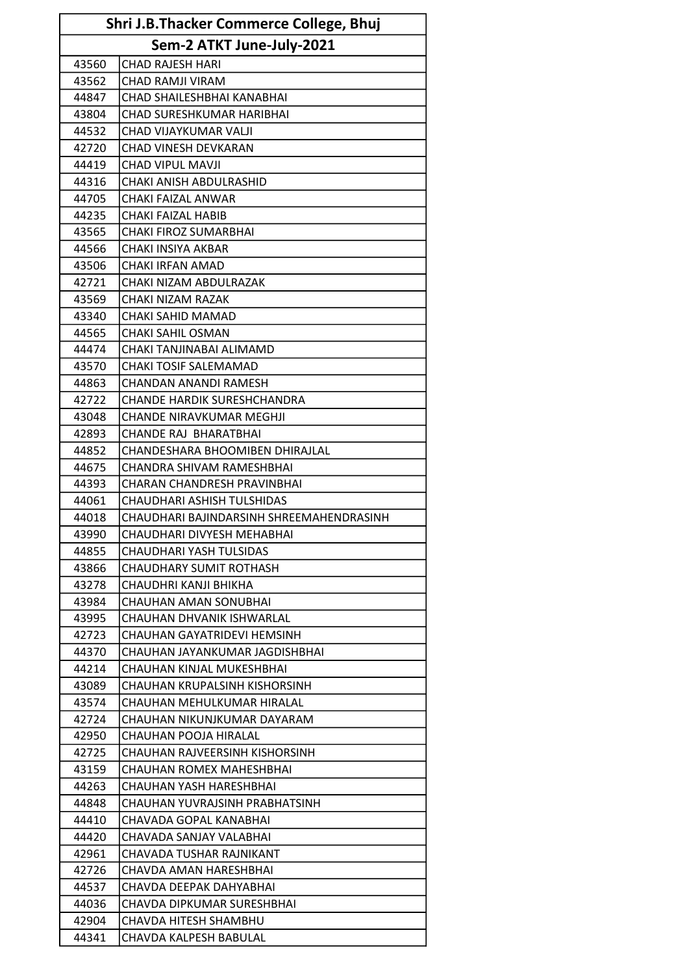| Shri J.B.Thacker Commerce College, Bhuj |                                          |  |  |
|-----------------------------------------|------------------------------------------|--|--|
|                                         | Sem-2 ATKT June-July-2021                |  |  |
| 43560                                   | <b>CHAD RAJESH HARI</b>                  |  |  |
| 43562                                   | <b>CHAD RAMJI VIRAM</b>                  |  |  |
| 44847                                   | CHAD SHAILESHBHAI KANABHAI               |  |  |
| 43804                                   | CHAD SURESHKUMAR HARIBHAI                |  |  |
| 44532                                   | CHAD VIJAYKUMAR VALJI                    |  |  |
| 42720                                   | CHAD VINESH DEVKARAN                     |  |  |
| 44419                                   | <b>CHAD VIPUL MAVJI</b>                  |  |  |
| 44316                                   | CHAKI ANISH ABDULRASHID                  |  |  |
| 44705                                   | CHAKI FAIZAL ANWAR                       |  |  |
| 44235                                   | CHAKI FAIZAL HABIB                       |  |  |
| 43565                                   | <b>CHAKI FIROZ SUMARBHAI</b>             |  |  |
| 44566                                   | CHAKI INSIYA AKBAR                       |  |  |
| 43506                                   | CHAKI IRFAN AMAD                         |  |  |
| 42721                                   | CHAKI NIZAM ABDULRAZAK                   |  |  |
| 43569                                   | CHAKI NIZAM RAZAK                        |  |  |
| 43340                                   | CHAKI SAHID MAMAD                        |  |  |
| 44565                                   | <b>CHAKI SAHIL OSMAN</b>                 |  |  |
| 44474                                   | CHAKI TANJINABAI ALIMAMD                 |  |  |
| 43570                                   | CHAKI TOSIF SALEMAMAD                    |  |  |
| 44863                                   | CHANDAN ANANDI RAMESH                    |  |  |
| 42722                                   | <b>CHANDE HARDIK SURESHCHANDRA</b>       |  |  |
| 43048                                   | CHANDE NIRAVKUMAR MEGHJI                 |  |  |
| 42893                                   | <b>CHANDE RAJ BHARATBHAI</b>             |  |  |
| 44852                                   | CHANDESHARA BHOOMIBEN DHIRAJLAL          |  |  |
| 44675                                   | CHANDRA SHIVAM RAMESHBHAI                |  |  |
| 44393                                   | CHARAN CHANDRESH PRAVINBHAI              |  |  |
| 44061                                   | CHAUDHARI ASHISH TULSHIDAS               |  |  |
| 44018                                   | CHAUDHARI BAJINDARSINH SHREEMAHENDRASINH |  |  |
| 43990                                   | CHAUDHARI DIVYESH MEHABHAI               |  |  |
| 44855                                   | CHAUDHARI YASH TULSIDAS                  |  |  |
| 43866                                   | CHAUDHARY SUMIT ROTHASH                  |  |  |
| 43278                                   | CHAUDHRI KANJI BHIKHA                    |  |  |
| 43984                                   | CHAUHAN AMAN SONUBHAI                    |  |  |
| 43995                                   | CHAUHAN DHVANIK ISHWARLAL                |  |  |
| 42723                                   | CHAUHAN GAYATRIDEVI HEMSINH              |  |  |
| 44370                                   | CHAUHAN JAYANKUMAR JAGDISHBHAI           |  |  |
| 44214                                   | CHAUHAN KINJAL MUKESHBHAI                |  |  |
| 43089                                   | CHAUHAN KRUPALSINH KISHORSINH            |  |  |
| 43574                                   | CHAUHAN MEHULKUMAR HIRALAL               |  |  |
| 42724                                   | CHAUHAN NIKUNJKUMAR DAYARAM              |  |  |
| 42950                                   | CHAUHAN POOJA HIRALAL                    |  |  |
| 42725                                   | CHAUHAN RAJVEERSINH KISHORSINH           |  |  |
| 43159                                   | CHAUHAN ROMEX MAHESHBHAI                 |  |  |
| 44263                                   | CHAUHAN YASH HARESHBHAI                  |  |  |
| 44848                                   | CHAUHAN YUVRAJSINH PRABHATSINH           |  |  |
| 44410                                   | CHAVADA GOPAL KANABHAI                   |  |  |
| 44420                                   | CHAVADA SANJAY VALABHAI                  |  |  |
| 42961                                   | CHAVADA TUSHAR RAJNIKANT                 |  |  |
| 42726                                   | CHAVDA AMAN HARESHBHAI                   |  |  |
| 44537                                   | CHAVDA DEEPAK DAHYABHAI                  |  |  |
| 44036                                   | CHAVDA DIPKUMAR SURESHBHAI               |  |  |
| 42904                                   | CHAVDA HITESH SHAMBHU                    |  |  |
| 44341                                   | CHAVDA KALPESH BABULAL                   |  |  |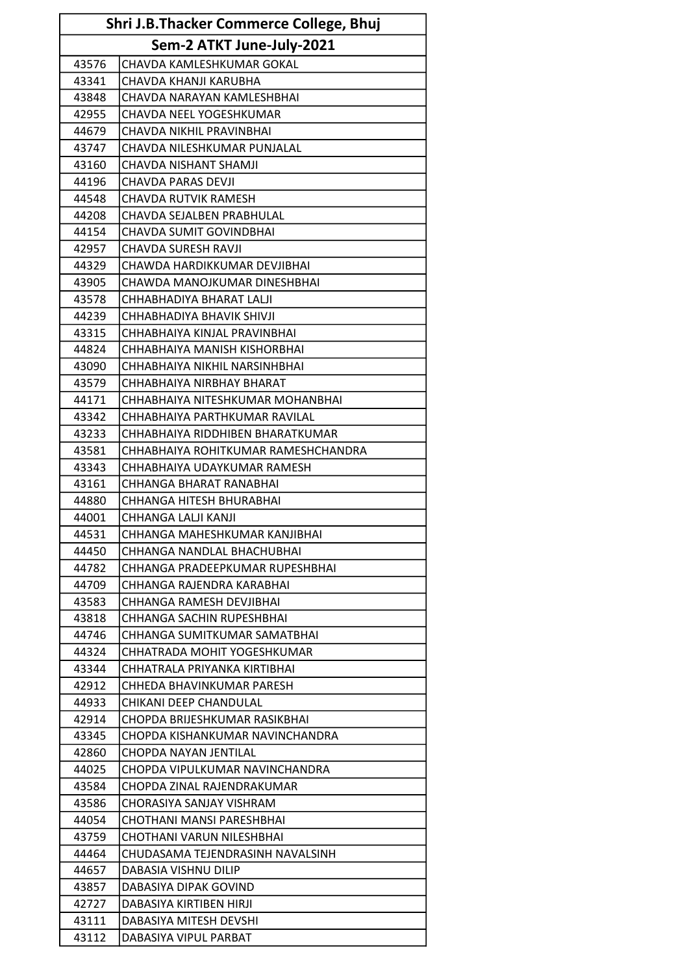| Shri J.B.Thacker Commerce College, Bhuj |                                     |  |
|-----------------------------------------|-------------------------------------|--|
|                                         | Sem-2 ATKT June-July-2021           |  |
| 43576                                   | CHAVDA KAMLESHKUMAR GOKAL           |  |
| 43341                                   | CHAVDA KHANJI KARUBHA               |  |
| 43848                                   | CHAVDA NARAYAN KAMLESHBHAI          |  |
| 42955                                   | CHAVDA NEEL YOGESHKUMAR             |  |
| 44679                                   | CHAVDA NIKHIL PRAVINBHAI            |  |
| 43747                                   | CHAVDA NILESHKUMAR PUNJALAL         |  |
| 43160                                   | CHAVDA NISHANT SHAMJI               |  |
| 44196                                   | <b>CHAVDA PARAS DEVJI</b>           |  |
| 44548                                   | <b>CHAVDA RUTVIK RAMESH</b>         |  |
| 44208                                   | CHAVDA SEJALBEN PRABHULAL           |  |
| 44154                                   | <b>CHAVDA SUMIT GOVINDBHAI</b>      |  |
| 42957                                   | CHAVDA SURESH RAVJI                 |  |
| 44329                                   | CHAWDA HARDIKKUMAR DEVJIBHAI        |  |
| 43905                                   | CHAWDA MANOJKUMAR DINESHBHAI        |  |
| 43578                                   | CHHABHADIYA BHARAT LALJI            |  |
| 44239                                   | CHHABHADIYA BHAVIK SHIVJI           |  |
| 43315                                   | CHHABHAIYA KINJAL PRAVINBHAI        |  |
| 44824                                   | CHHABHAIYA MANISH KISHORBHAI        |  |
| 43090                                   | CHHABHAIYA NIKHIL NARSINHBHAI       |  |
| 43579                                   | CHHABHAIYA NIRBHAY BHARAT           |  |
| 44171                                   | CHHABHAIYA NITESHKUMAR MOHANBHAI    |  |
| 43342                                   | CHHABHAIYA PARTHKUMAR RAVILAL       |  |
| 43233                                   | CHHABHAIYA RIDDHIBEN BHARATKUMAR    |  |
| 43581                                   | CHHABHAIYA ROHITKUMAR RAMESHCHANDRA |  |
| 43343                                   | CHHABHAIYA UDAYKUMAR RAMESH         |  |
| 43161                                   | CHHANGA BHARAT RANABHAI             |  |
| 44880                                   | CHHANGA HITESH BHURABHAI            |  |
| 44001                                   | CHHANGA LALJI KANJI                 |  |
| 44531                                   | CHHANGA MAHESHKUMAR KANJIBHAI       |  |
| 44450                                   | CHHANGA NANDLAL BHACHUBHAI          |  |
| 44782                                   | CHHANGA PRADEEPKUMAR RUPESHBHAI     |  |
| 44709                                   | CHHANGA RAJENDRA KARABHAI           |  |
| 43583                                   | CHHANGA RAMESH DEVJIBHAI            |  |
| 43818                                   | <b>CHHANGA SACHIN RUPESHBHAI</b>    |  |
| 44746                                   | CHHANGA SUMITKUMAR SAMATBHAI        |  |
| 44324                                   | CHHATRADA MOHIT YOGESHKUMAR         |  |
| 43344                                   | CHHATRALA PRIYANKA KIRTIBHAI        |  |
| 42912                                   | CHHEDA BHAVINKUMAR PARESH           |  |
| 44933                                   | CHIKANI DEEP CHANDULAL              |  |
| 42914                                   | CHOPDA BRIJESHKUMAR RASIKBHAI       |  |
| 43345                                   | CHOPDA KISHANKUMAR NAVINCHANDRA     |  |
| 42860                                   | CHOPDA NAYAN JENTILAL               |  |
| 44025                                   | CHOPDA VIPULKUMAR NAVINCHANDRA      |  |
| 43584                                   | CHOPDA ZINAL RAJENDRAKUMAR          |  |
| 43586                                   | CHORASIYA SANJAY VISHRAM            |  |
| 44054                                   | CHOTHANI MANSI PARESHBHAI           |  |
| 43759                                   | CHOTHANI VARUN NILESHBHAI           |  |
| 44464                                   | CHUDASAMA TEJENDRASINH NAVALSINH    |  |
| 44657                                   | DABASIA VISHNU DILIP                |  |
| 43857                                   | DABASIYA DIPAK GOVIND               |  |
| 42727                                   | DABASIYA KIRTIBEN HIRJI             |  |
| 43111                                   | DABASIYA MITESH DEVSHI              |  |
| 43112                                   | DABASIYA VIPUL PARBAT               |  |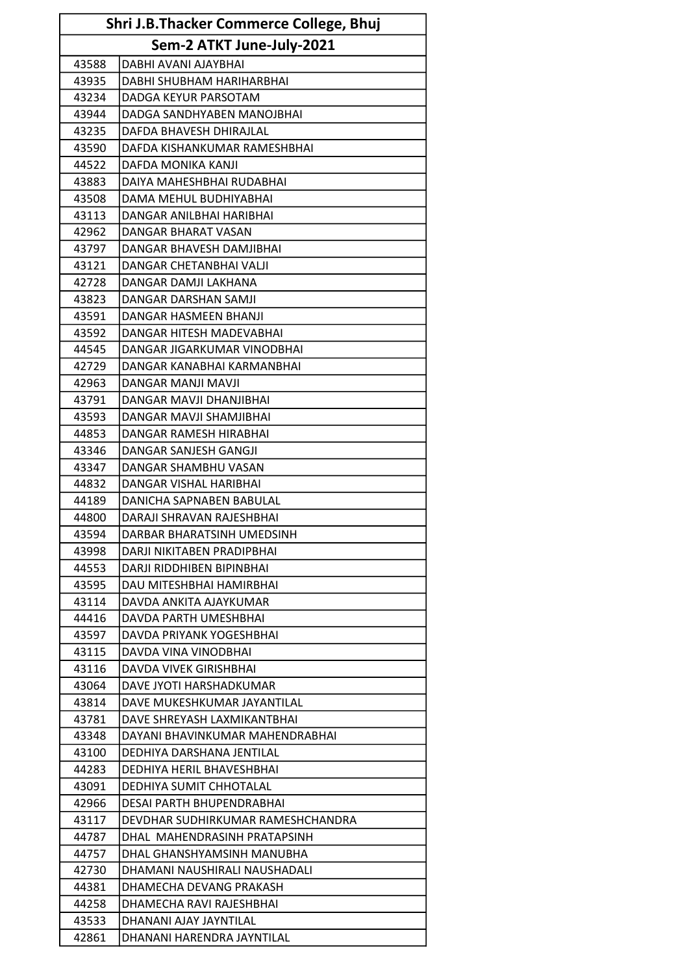| Shri J.B.Thacker Commerce College, Bhuj |                                   |  |
|-----------------------------------------|-----------------------------------|--|
|                                         | Sem-2 ATKT June-July-2021         |  |
| 43588                                   | DABHI AVANI AJAYBHAI              |  |
| 43935                                   | DABHI SHUBHAM HARIHARBHAI         |  |
| 43234                                   | DADGA KEYUR PARSOTAM              |  |
| 43944                                   | DADGA SANDHYABEN MANOJBHAI        |  |
| 43235                                   | DAFDA BHAVESH DHIRAJLAL           |  |
| 43590                                   | DAFDA KISHANKUMAR RAMESHBHAI      |  |
| 44522                                   | DAFDA MONIKA KANJI                |  |
| 43883                                   | DAIYA MAHESHBHAI RUDABHAI         |  |
| 43508                                   | DAMA MEHUL BUDHIYABHAI            |  |
| 43113                                   | DANGAR ANILBHAI HARIBHAI          |  |
| 42962                                   | DANGAR BHARAT VASAN               |  |
| 43797                                   | DANGAR BHAVESH DAMJIBHAI          |  |
| 43121                                   | DANGAR CHETANBHAI VALJI           |  |
| 42728                                   | DANGAR DAMJI LAKHANA              |  |
| 43823                                   | DANGAR DARSHAN SAMJI              |  |
| 43591                                   | DANGAR HASMEEN BHANJI             |  |
| 43592                                   | DANGAR HITESH MADEVABHAI          |  |
| 44545                                   | DANGAR JIGARKUMAR VINODBHAI       |  |
| 42729                                   | DANGAR KANABHAI KARMANBHAI        |  |
| 42963                                   | DANGAR MANJI MAVJI                |  |
| 43791                                   | DANGAR MAVJI DHANJIBHAI           |  |
| 43593                                   | DANGAR MAVJI SHAMJIBHAI           |  |
| 44853                                   | DANGAR RAMESH HIRABHAI            |  |
| 43346                                   | DANGAR SANJESH GANGJI             |  |
| 43347                                   | <b>DANGAR SHAMBHU VASAN</b>       |  |
| 44832                                   | DANGAR VISHAL HARIBHAI            |  |
| 44189                                   | DANICHA SAPNABEN BABULAL          |  |
| 44800                                   | DARAJI SHRAVAN RAJESHBHAI         |  |
| 43594                                   | DARBAR BHARATSINH UMEDSINH        |  |
| 43998                                   | DARJI NIKITABEN PRADIPBHAI        |  |
| 44553                                   | DARJI RIDDHIBEN BIPINBHAI         |  |
| 43595                                   | DAU MITESHBHAI HAMIRBHAI          |  |
| 43114                                   | DAVDA ANKITA AJAYKUMAR            |  |
| 44416                                   | DAVDA PARTH UMESHBHAI             |  |
| 43597                                   | DAVDA PRIYANK YOGESHBHAI          |  |
| 43115                                   | DAVDA VINA VINODBHAI              |  |
| 43116                                   | DAVDA VIVEK GIRISHBHAI            |  |
| 43064                                   | DAVE JYOTI HARSHADKUMAR           |  |
| 43814                                   | DAVE MUKESHKUMAR JAYANTILAL       |  |
| 43781                                   | DAVE SHREYASH LAXMIKANTBHAI       |  |
| 43348                                   | DAYANI BHAVINKUMAR MAHENDRABHAI   |  |
| 43100                                   | DEDHIYA DARSHANA JENTILAL         |  |
| 44283                                   | DEDHIYA HERIL BHAVESHBHAI         |  |
| 43091                                   | DEDHIYA SUMIT CHHOTALAL           |  |
| 42966                                   | DESAI PARTH BHUPENDRABHAI         |  |
| 43117                                   | DEVDHAR SUDHIRKUMAR RAMESHCHANDRA |  |
| 44787                                   | DHAL MAHENDRASINH PRATAPSINH      |  |
| 44757                                   | DHAL GHANSHYAMSINH MANUBHA        |  |
| 42730                                   | DHAMANI NAUSHIRALI NAUSHADALI     |  |
| 44381                                   | DHAMECHA DEVANG PRAKASH           |  |
| 44258                                   | DHAMECHA RAVI RAJESHBHAI          |  |
| 43533                                   | DHANANI AJAY JAYNTILAL            |  |
| 42861                                   | DHANANI HARENDRA JAYNTILAL        |  |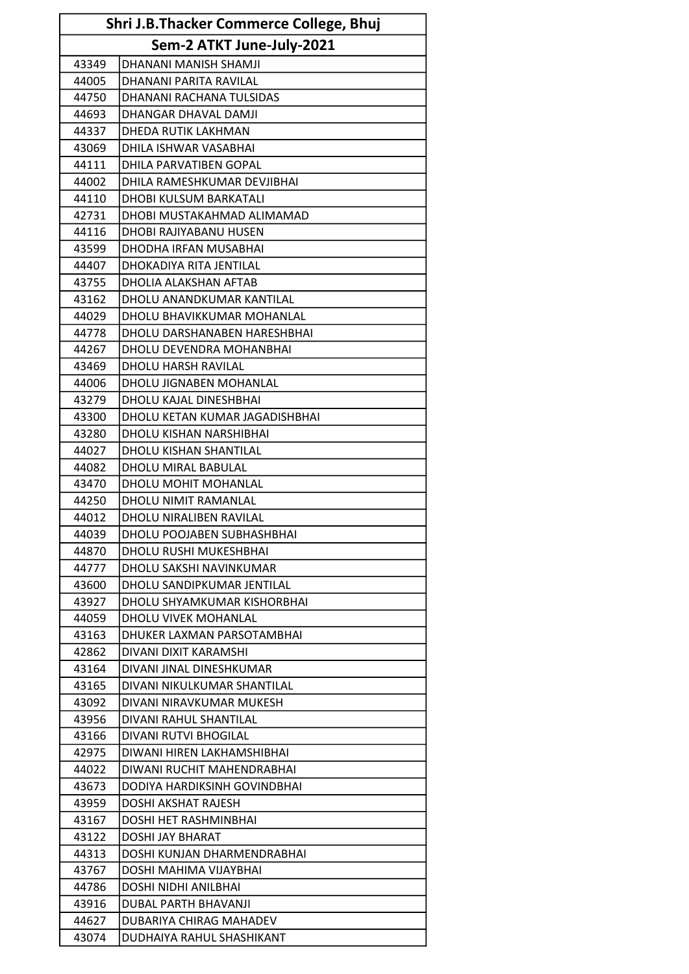| Shri J.B.Thacker Commerce College, Bhuj |                                |  |
|-----------------------------------------|--------------------------------|--|
|                                         | Sem-2 ATKT June-July-2021      |  |
| 43349                                   | DHANANI MANISH SHAMJI          |  |
| 44005                                   | DHANANI PARITA RAVILAL         |  |
| 44750                                   | DHANANI RACHANA TULSIDAS       |  |
| 44693                                   | DHANGAR DHAVAL DAMJI           |  |
| 44337                                   | DHEDA RUTIK LAKHMAN            |  |
| 43069                                   | DHILA ISHWAR VASABHAI          |  |
| 44111                                   | DHILA PARVATIBEN GOPAL         |  |
| 44002                                   | DHILA RAMESHKUMAR DEVJIBHAI    |  |
| 44110                                   | DHOBI KULSUM BARKATALI         |  |
| 42731                                   | DHOBI MUSTAKAHMAD ALIMAMAD     |  |
| 44116                                   | DHOBI RAJIYABANU HUSEN         |  |
| 43599                                   | DHODHA IRFAN MUSABHAI          |  |
| 44407                                   | <b>DHOKADIYA RITA JENTILAL</b> |  |
| 43755                                   | DHOLIA ALAKSHAN AFTAB          |  |
| 43162                                   | DHOLU ANANDKUMAR KANTILAL      |  |
| 44029                                   | DHOLU BHAVIKKUMAR MOHANLAL     |  |
| 44778                                   | DHOLU DARSHANABEN HARESHBHAI   |  |
| 44267                                   | DHOLU DEVENDRA MOHANBHAI       |  |
| 43469                                   | DHOLU HARSH RAVILAL            |  |
| 44006                                   | DHOLU JIGNABEN MOHANLAL        |  |
| 43279                                   | DHOLU KAJAL DINESHBHAI         |  |
| 43300                                   | DHOLU KETAN KUMAR JAGADISHBHAI |  |
| 43280                                   | DHOLU KISHAN NARSHIBHAI        |  |
| 44027                                   | DHOLU KISHAN SHANTILAL         |  |
| 44082                                   | DHOLU MIRAL BABULAL            |  |
| 43470                                   | <b>DHOLU MOHIT MOHANLAL</b>    |  |
| 44250                                   | DHOLU NIMIT RAMANLAL           |  |
| 44012                                   | <b>DHOLU NIRALIBEN RAVILAL</b> |  |
| 44039                                   | DHOLU POOJABEN SUBHASHBHAI     |  |
| 44870                                   | <b>DHOLU RUSHI MUKESHBHAI</b>  |  |
| 44777                                   | DHOLU SAKSHI NAVINKUMAR        |  |
| 43600                                   | DHOLU SANDIPKUMAR JENTILAL     |  |
| 43927                                   | DHOLU SHYAMKUMAR KISHORBHAI    |  |
| 44059                                   | DHOLU VIVEK MOHANLAL           |  |
| 43163                                   | DHUKER LAXMAN PARSOTAMBHAI     |  |
| 42862                                   | DIVANI DIXIT KARAMSHI          |  |
| 43164                                   | DIVANI JINAL DINESHKUMAR       |  |
| 43165                                   | DIVANI NIKULKUMAR SHANTILAL    |  |
| 43092                                   | DIVANI NIRAVKUMAR MUKESH       |  |
| 43956                                   | DIVANI RAHUL SHANTILAL         |  |
| 43166                                   | DIVANI RUTVI BHOGILAL          |  |
| 42975                                   | DIWANI HIREN LAKHAMSHIBHAI     |  |
| 44022                                   | DIWANI RUCHIT MAHENDRABHAI     |  |
| 43673                                   | DODIYA HARDIKSINH GOVINDBHAI   |  |
| 43959                                   | DOSHI AKSHAT RAJESH            |  |
| 43167                                   | DOSHI HET RASHMINBHAI          |  |
| 43122                                   | DOSHI JAY BHARAT               |  |
| 44313                                   | DOSHI KUNJAN DHARMENDRABHAI    |  |
| 43767                                   | DOSHI MAHIMA VIJAYBHAI         |  |
| 44786                                   | DOSHI NIDHI ANILBHAI           |  |
| 43916                                   | DUBAL PARTH BHAVANJI           |  |
| 44627                                   | DUBARIYA CHIRAG MAHADEV        |  |
| 43074                                   | DUDHAIYA RAHUL SHASHIKANT      |  |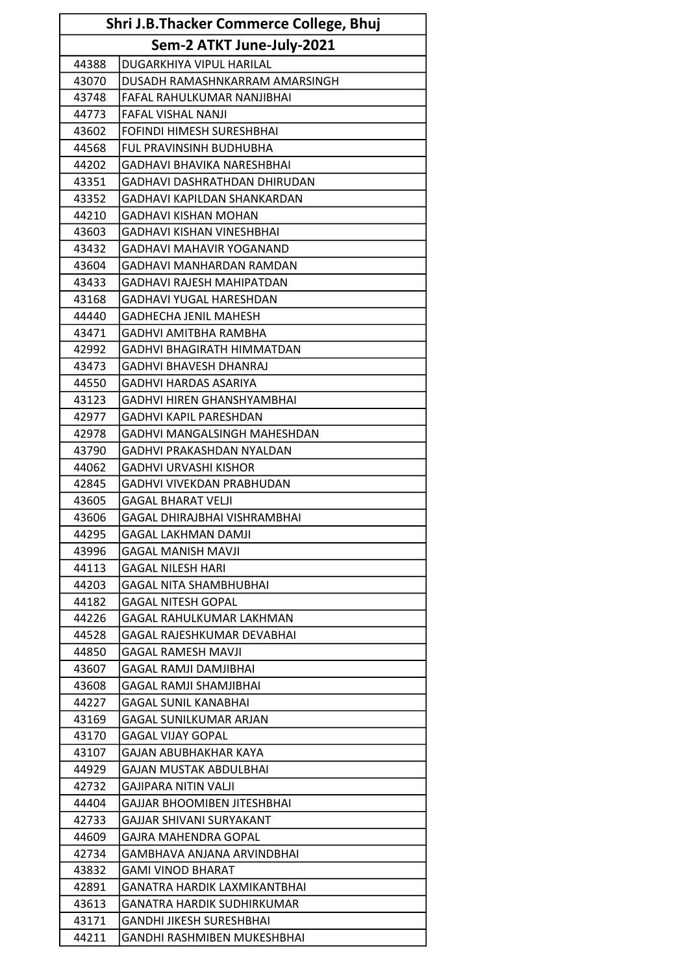| Shri J.B.Thacker Commerce College, Bhuj |                                     |  |
|-----------------------------------------|-------------------------------------|--|
|                                         | Sem-2 ATKT June-July-2021           |  |
| 44388                                   | DUGARKHIYA VIPUL HARILAL            |  |
| 43070                                   | DUSADH RAMASHNKARRAM AMARSINGH      |  |
| 43748                                   | FAFAL RAHULKUMAR NANJIBHAI          |  |
| 44773                                   | <b>FAFAL VISHAL NANJI</b>           |  |
| 43602                                   | FOFINDI HIMESH SURESHBHAI           |  |
| 44568                                   | FUL PRAVINSINH BUDHUBHA             |  |
| 44202                                   | <b>GADHAVI BHAVIKA NARESHBHAI</b>   |  |
| 43351                                   | GADHAVI DASHRATHDAN DHIRUDAN        |  |
| 43352                                   | GADHAVI KAPILDAN SHANKARDAN         |  |
| 44210                                   | <b>GADHAVI KISHAN MOHAN</b>         |  |
| 43603                                   | <b>GADHAVI KISHAN VINESHBHAI</b>    |  |
| 43432                                   | <b>GADHAVI MAHAVIR YOGANAND</b>     |  |
| 43604                                   | <b>GADHAVI MANHARDAN RAMDAN</b>     |  |
| 43433                                   | <b>GADHAVI RAJESH MAHIPATDAN</b>    |  |
| 43168                                   | <b>GADHAVI YUGAL HARESHDAN</b>      |  |
| 44440                                   | <b>GADHECHA JENIL MAHESH</b>        |  |
| 43471                                   | GADHVI AMITBHA RAMBHA               |  |
| 42992                                   | <b>GADHVI BHAGIRATH HIMMATDAN</b>   |  |
| 43473                                   | <b>GADHVI BHAVESH DHANRAJ</b>       |  |
| 44550                                   | <b>GADHVI HARDAS ASARIYA</b>        |  |
| 43123                                   | <b>GADHVI HIREN GHANSHYAMBHAI</b>   |  |
| 42977                                   | <b>GADHVI KAPIL PARESHDAN</b>       |  |
| 42978                                   | <b>GADHVI MANGALSINGH MAHESHDAN</b> |  |
| 43790                                   | GADHVI PRAKASHDAN NYALDAN           |  |
| 44062                                   | <b>GADHVI URVASHI KISHOR</b>        |  |
| 42845                                   | GADHVI VIVEKDAN PRABHUDAN           |  |
| 43605                                   | <b>GAGAL BHARAT VELJI</b>           |  |
| 43606                                   | GAGAL DHIRAJBHAI VISHRAMBHAI        |  |
| 44295                                   | <b>GAGAL LAKHMAN DAMJI</b>          |  |
| 43996                                   | <b>GAGAL MANISH MAVJI</b>           |  |
| 44113                                   | <b>GAGAL NILESH HARI</b>            |  |
| 44203                                   | <b>GAGAL NITA SHAMBHUBHAI</b>       |  |
| 44182                                   | <b>GAGAL NITESH GOPAL</b>           |  |
| 44226                                   | GAGAL RAHULKUMAR LAKHMAN            |  |
| 44528                                   | GAGAL RAJESHKUMAR DEVABHAI          |  |
| 44850                                   | GAGAL RAMESH MAVJI                  |  |
| 43607                                   | <b>GAGAL RAMJI DAMJIBHAI</b>        |  |
| 43608                                   | GAGAL RAMJI SHAMJIBHAI              |  |
| 44227                                   | <b>GAGAL SUNIL KANABHAI</b>         |  |
| 43169                                   | <b>GAGAL SUNILKUMAR ARJAN</b>       |  |
| 43170                                   | <b>GAGAL VIJAY GOPAL</b>            |  |
| 43107                                   | GAJAN ABUBHAKHAR KAYA               |  |
| 44929                                   | GAJAN MUSTAK ABDULBHAI              |  |
| 42732                                   | <b>GAJIPARA NITIN VALJI</b>         |  |
| 44404                                   | GAJJAR BHOOMIBEN JITESHBHAI         |  |
| 42733                                   | GAJJAR SHIVANI SURYAKANT            |  |
| 44609                                   | GAJRA MAHENDRA GOPAL                |  |
| 42734                                   | GAMBHAVA ANJANA ARVINDBHAI          |  |
| 43832                                   | <b>GAMI VINOD BHARAT</b>            |  |
| 42891                                   | GANATRA HARDIK LAXMIKANTBHAI        |  |
| 43613                                   | <b>GANATRA HARDIK SUDHIRKUMAR</b>   |  |
| 43171                                   | <b>GANDHI JIKESH SURESHBHAI</b>     |  |
| 44211                                   | GANDHI RASHMIBEN MUKESHBHAI         |  |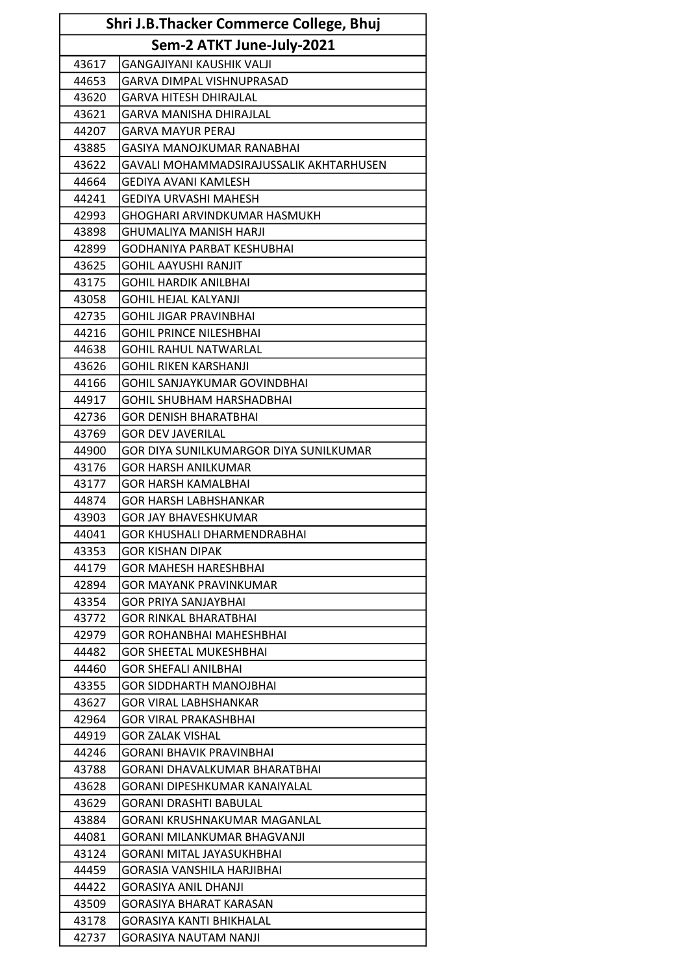| <b>Shri J.B.Thacker Commerce College, Bhuj</b> |                                         |  |  |
|------------------------------------------------|-----------------------------------------|--|--|
|                                                | Sem-2 ATKT June-July-2021               |  |  |
| 43617                                          | <b>GANGAJIYANI KAUSHIK VALJI</b>        |  |  |
| 44653                                          | <b>GARVA DIMPAL VISHNUPRASAD</b>        |  |  |
| 43620                                          | <b>GARVA HITESH DHIRAJLAL</b>           |  |  |
| 43621                                          | <b>GARVA MANISHA DHIRAJLAL</b>          |  |  |
| 44207                                          | GARVA MAYUR PERAJ                       |  |  |
| 43885                                          | GASIYA MANOJKUMAR RANABHAI              |  |  |
| 43622                                          | GAVALI MOHAMMADSIRAJUSSALIK AKHTARHUSEN |  |  |
| 44664                                          | <b>GEDIYA AVANI KAMLESH</b>             |  |  |
| 44241                                          | GEDIYA URVASHI MAHESH                   |  |  |
| 42993                                          | <b>GHOGHARI ARVINDKUMAR HASMUKH</b>     |  |  |
| 43898                                          | <b>GHUMALIYA MANISH HARJI</b>           |  |  |
| 42899                                          | GODHANIYA PARBAT KESHUBHAI              |  |  |
| 43625                                          | <b>GOHIL AAYUSHI RANJIT</b>             |  |  |
| 43175                                          | GOHIL HARDIK ANILBHAI                   |  |  |
| 43058                                          | <b>GOHIL HEJAL KALYANJI</b>             |  |  |
| 42735                                          | <b>GOHIL JIGAR PRAVINBHAI</b>           |  |  |
| 44216                                          | <b>GOHIL PRINCE NILESHBHAI</b>          |  |  |
| 44638                                          | <b>GOHIL RAHUL NATWARLAL</b>            |  |  |
| 43626                                          | <b>GOHIL RIKEN KARSHANJI</b>            |  |  |
| 44166                                          | GOHIL SANJAYKUMAR GOVINDBHAI            |  |  |
| 44917                                          | <b>GOHIL SHUBHAM HARSHADBHAI</b>        |  |  |
| 42736                                          | <b>GOR DENISH BHARATBHAI</b>            |  |  |
| 43769                                          | <b>GOR DEV JAVERILAL</b>                |  |  |
| 44900                                          | GOR DIYA SUNILKUMARGOR DIYA SUNILKUMAR  |  |  |
| 43176                                          | <b>GOR HARSH ANILKUMAR</b>              |  |  |
| 43177                                          | <b>GOR HARSH KAMALBHAI</b>              |  |  |
| 44874                                          | <b>GOR HARSH LABHSHANKAR</b>            |  |  |
| 43903                                          | GOR JAY BHAVESHKUMAR                    |  |  |
| 44041                                          | GOR KHUSHALI DHARMENDRABHAI             |  |  |
| 43353                                          | <b>GOR KISHAN DIPAK</b>                 |  |  |
| 44179                                          | <b>GOR MAHESH HARESHBHAI</b>            |  |  |
| 42894                                          | <b>GOR MAYANK PRAVINKUMAR</b>           |  |  |
| 43354                                          | <b>GOR PRIYA SANJAYBHAI</b>             |  |  |
| 43772                                          | <b>GOR RINKAL BHARATBHAI</b>            |  |  |
| 42979                                          | <b>GOR ROHANBHAI MAHESHBHAI</b>         |  |  |
| 44482                                          | <b>GOR SHEETAL MUKESHBHAI</b>           |  |  |
| 44460                                          | <b>GOR SHEFALI ANILBHAI</b>             |  |  |
| 43355                                          | <b>GOR SIDDHARTH MANOJBHAI</b>          |  |  |
| 43627                                          | <b>GOR VIRAL LABHSHANKAR</b>            |  |  |
| 42964                                          | <b>GOR VIRAL PRAKASHBHAI</b>            |  |  |
| 44919                                          | <b>GOR ZALAK VISHAL</b>                 |  |  |
| 44246                                          | GORANI BHAVIK PRAVINBHAI                |  |  |
| 43788                                          | GORANI DHAVALKUMAR BHARATBHAI           |  |  |
| 43628                                          | GORANI DIPESHKUMAR KANAIYALAL           |  |  |
| 43629                                          | <b>GORANI DRASHTI BABULAL</b>           |  |  |
| 43884                                          | <b>GORANI KRUSHNAKUMAR MAGANLAL</b>     |  |  |
| 44081                                          | GORANI MILANKUMAR BHAGVANJI             |  |  |
| 43124                                          | <b>GORANI MITAL JAYASUKHBHAI</b>        |  |  |
| 44459                                          | GORASIA VANSHILA HARJIBHAI              |  |  |
| 44422                                          | <b>GORASIYA ANIL DHANJI</b>             |  |  |
| 43509                                          | <b>GORASIYA BHARAT KARASAN</b>          |  |  |
| 43178                                          | <b>GORASIYA KANTI BHIKHALAL</b>         |  |  |
| 42737                                          | <b>GORASIYA NAUTAM NANJI</b>            |  |  |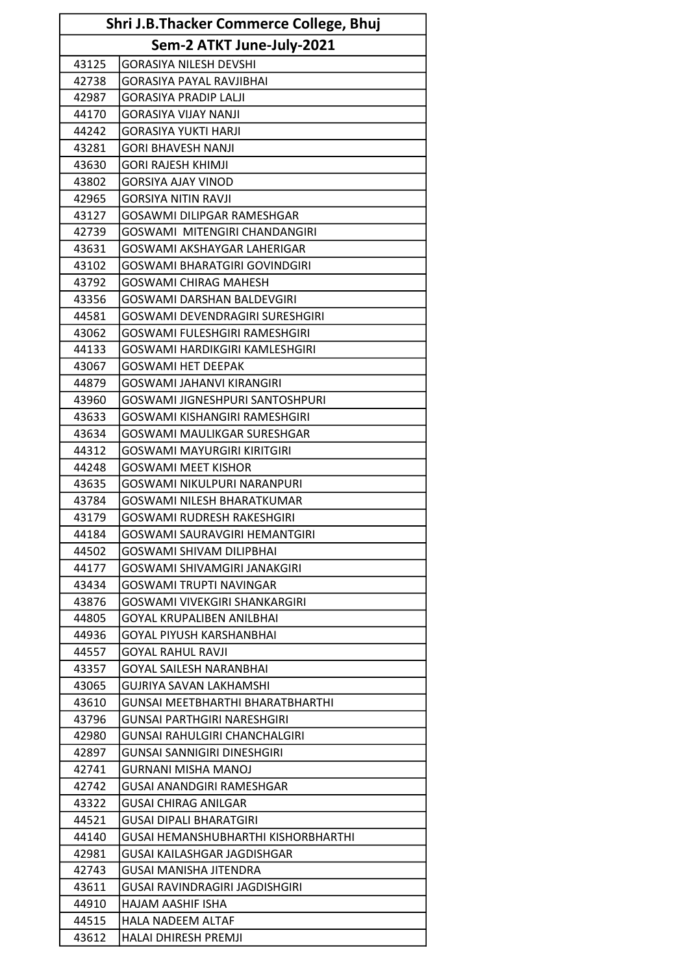| Shri J.B.Thacker Commerce College, Bhuj |                                        |  |
|-----------------------------------------|----------------------------------------|--|
| Sem-2 ATKT June-July-2021               |                                        |  |
| 43125                                   | <b>GORASIYA NILESH DEVSHI</b>          |  |
| 42738                                   | <b>GORASIYA PAYAL RAVJIBHAI</b>        |  |
| 42987                                   | <b>GORASIYA PRADIP LALJI</b>           |  |
| 44170                                   | <b>GORASIYA VIJAY NANJI</b>            |  |
| 44242                                   | <b>GORASIYA YUKTI HARJI</b>            |  |
| 43281                                   | <b>GORI BHAVESH NANJI</b>              |  |
| 43630                                   | <b>GORI RAJESH KHIMJI</b>              |  |
| 43802                                   | <b>GORSIYA AJAY VINOD</b>              |  |
| 42965                                   | <b>GORSIYA NITIN RAVJI</b>             |  |
| 43127                                   | GOSAWMI DILIPGAR RAMESHGAR             |  |
| 42739                                   | <b>GOSWAMI MITENGIRI CHANDANGIRI</b>   |  |
| 43631                                   | GOSWAMI AKSHAYGAR LAHERIGAR            |  |
| 43102                                   | GOSWAMI BHARATGIRI GOVINDGIRI          |  |
| 43792                                   | <b>GOSWAMI CHIRAG MAHESH</b>           |  |
| 43356                                   | <b>GOSWAMI DARSHAN BALDEVGIRI</b>      |  |
| 44581                                   | <b>GOSWAMI DEVENDRAGIRI SURESHGIRI</b> |  |
| 43062                                   | GOSWAMI FULESHGIRI RAMESHGIRI          |  |
| 44133                                   | GOSWAMI HARDIKGIRI KAMLESHGIRI         |  |
| 43067                                   | <b>GOSWAMI HET DEEPAK</b>              |  |
| 44879                                   | <b>GOSWAMI JAHANVI KIRANGIRI</b>       |  |
| 43960                                   | GOSWAMI JIGNESHPURI SANTOSHPURI        |  |
| 43633                                   | GOSWAMI KISHANGIRI RAMESHGIRI          |  |
| 43634                                   | <b>GOSWAMI MAULIKGAR SURESHGAR</b>     |  |
| 44312                                   | GOSWAMI MAYURGIRI KIRITGIRI            |  |
| 44248                                   | <b>GOSWAMI MEET KISHOR</b>             |  |
| 43635                                   | GOSWAMI NIKULPURI NARANPURI            |  |
| 43784                                   | <b>GOSWAMI NILESH BHARATKUMAR</b>      |  |
| 43179                                   | <b>GOSWAMI RUDRESH RAKESHGIRI</b>      |  |
| 44184                                   | GOSWAMI SAURAVGIRI HEMANTGIRI          |  |
| 44502                                   | <b>GOSWAMI SHIVAM DILIPBHAI</b>        |  |
| 44177                                   | GOSWAMI SHIVAMGIRI JANAKGIRI           |  |
| 43434                                   | <b>GOSWAMI TRUPTI NAVINGAR</b>         |  |
| 43876                                   | GOSWAMI VIVEKGIRI SHANKARGIRI          |  |
| 44805                                   | <b>GOYAL KRUPALIBEN ANILBHAI</b>       |  |
| 44936                                   | GOYAL PIYUSH KARSHANBHAI               |  |
| 44557                                   | GOYAL RAHUL RAVJI                      |  |
| 43357                                   | <b>GOYAL SAILESH NARANBHAI</b>         |  |
| 43065                                   | GUJRIYA SAVAN LAKHAMSHI                |  |
| 43610                                   | GUNSAI MEETBHARTHI BHARATBHARTHI       |  |
| 43796                                   | GUNSAI PARTHGIRI NARESHGIRI            |  |
| 42980                                   | GUNSAI RAHULGIRI CHANCHALGIRI          |  |
| 42897                                   | GUNSAI SANNIGIRI DINESHGIRI            |  |
| 42741                                   | GURNANI MISHA MANOJ                    |  |
| 42742                                   | <b>GUSAI ANANDGIRI RAMESHGAR</b>       |  |
| 43322                                   | GUSAI CHIRAG ANILGAR                   |  |
| 44521                                   | <b>GUSAI DIPALI BHARATGIRI</b>         |  |
| 44140                                   | GUSAI HEMANSHUBHARTHI KISHORBHARTHI    |  |
| 42981                                   | GUSAI KAILASHGAR JAGDISHGAR            |  |
| 42743                                   | GUSAI MANISHA JITENDRA                 |  |
| 43611                                   | GUSAI RAVINDRAGIRI JAGDISHGIRI         |  |
| 44910                                   | HAJAM AASHIF ISHA                      |  |
| 44515                                   | <b>HALA NADEEM ALTAF</b>               |  |
| 43612                                   | HALAI DHIRESH PREMJI                   |  |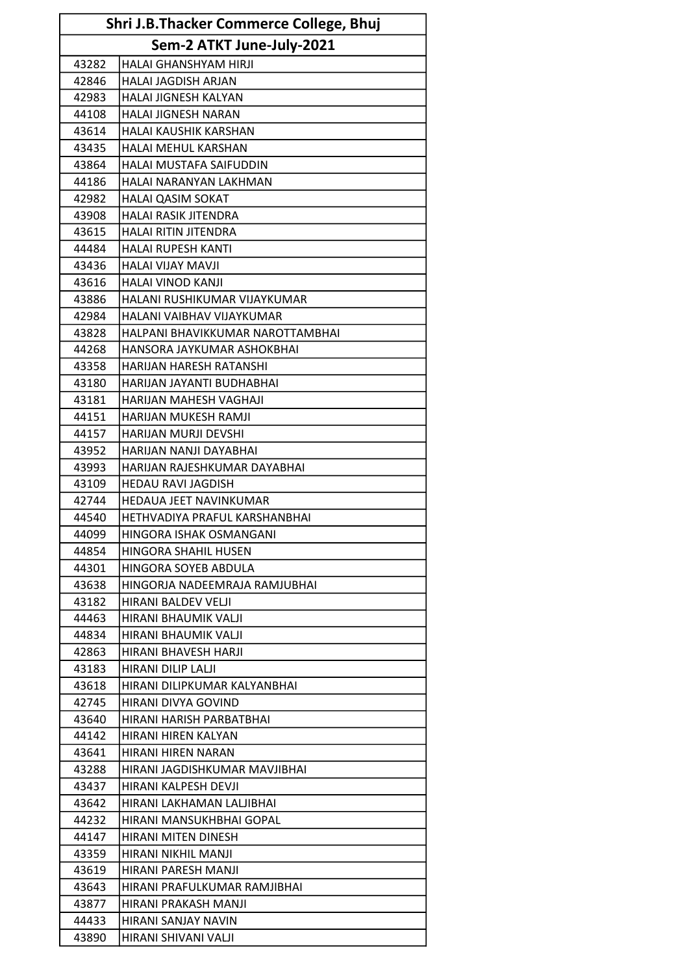| <b>Shri J.B.Thacker Commerce College, Bhuj</b> |                                  |
|------------------------------------------------|----------------------------------|
|                                                | Sem-2 ATKT June-July-2021        |
| 43282                                          | HALAI GHANSHYAM HIRJI            |
| 42846                                          | <b>HALAI JAGDISH ARJAN</b>       |
| 42983                                          | <b>HALAI JIGNESH KALYAN</b>      |
| 44108                                          | <b>HALAI JIGNESH NARAN</b>       |
| 43614                                          | HALAI KAUSHIK KARSHAN            |
| 43435                                          | HALAI MEHUL KARSHAN              |
| 43864                                          | HALAI MUSTAFA SAIFUDDIN          |
| 44186                                          | HALAI NARANYAN LAKHMAN           |
| 42982                                          | <b>HALAI QASIM SOKAT</b>         |
| 43908                                          | HALAI RASIK JITENDRA             |
| 43615                                          | HALAI RITIN JITENDRA             |
| 44484                                          | <b>HALAI RUPESH KANTI</b>        |
| 43436                                          | <b>HALAI VIJAY MAVJI</b>         |
| 43616                                          | <b>HALAI VINOD KANJI</b>         |
| 43886                                          | HALANI RUSHIKUMAR VIJAYKUMAR     |
| 42984                                          | HALANI VAIBHAV VIJAYKUMAR        |
| 43828                                          | HALPANI BHAVIKKUMAR NAROTTAMBHAI |
| 44268                                          | HANSORA JAYKUMAR ASHOKBHAI       |
| 43358                                          | HARIJAN HARESH RATANSHI          |
| 43180                                          | HARIJAN JAYANTI BUDHABHAI        |
| 43181                                          | HARIJAN MAHESH VAGHAJI           |
| 44151                                          | HARIJAN MUKESH RAMJI             |
| 44157                                          | <b>HARIJAN MURJI DEVSHI</b>      |
| 43952                                          | HARIJAN NANJI DAYABHAI           |
| 43993                                          | HARIJAN RAJESHKUMAR DAYABHAI     |
| 43109                                          | <b>HEDAU RAVI JAGDISH</b>        |
| 42744                                          | <b>HEDAUA JEET NAVINKUMAR</b>    |
| 44540                                          | HETHVADIYA PRAFUL KARSHANBHAI    |
| 44099                                          | HINGORA ISHAK OSMANGANI          |
| 44854                                          | HINGORA SHAHIL HUSEN             |
| 44301                                          | HINGORA SOYEB ABDULA             |
| 43638                                          | HINGORJA NADEEMRAJA RAMJUBHAI    |
| 43182                                          | HIRANI BALDEV VELJI              |
| 44463                                          | HIRANI BHAUMIK VALJI             |
| 44834                                          | HIRANI BHAUMIK VALJI             |
| 42863                                          | HIRANI BHAVESH HARJI             |
| 43183                                          | HIRANI DILIP LALJI               |
| 43618                                          | HIRANI DILIPKUMAR KALYANBHAI     |
| 42745                                          | HIRANI DIVYA GOVIND              |
| 43640                                          | HIRANI HARISH PARBATBHAI         |
| 44142                                          | HIRANI HIREN KALYAN              |
| 43641                                          | HIRANI HIREN NARAN               |
| 43288                                          | HIRANI JAGDISHKUMAR MAVJIBHAI    |
| 43437                                          | HIRANI KALPESH DEVJI             |
| 43642                                          | HIRANI LAKHAMAN LALJIBHAI        |
| 44232                                          | HIRANI MANSUKHBHAI GOPAL         |
| 44147                                          | HIRANI MITEN DINESH              |
| 43359                                          | HIRANI NIKHIL MANJI              |
| 43619                                          | HIRANI PARESH MANJI              |
| 43643                                          | HIRANI PRAFULKUMAR RAMJIBHAI     |
| 43877                                          | HIRANI PRAKASH MANJI             |
| 44433                                          | HIRANI SANJAY NAVIN              |
| 43890                                          | HIRANI SHIVANI VALJI             |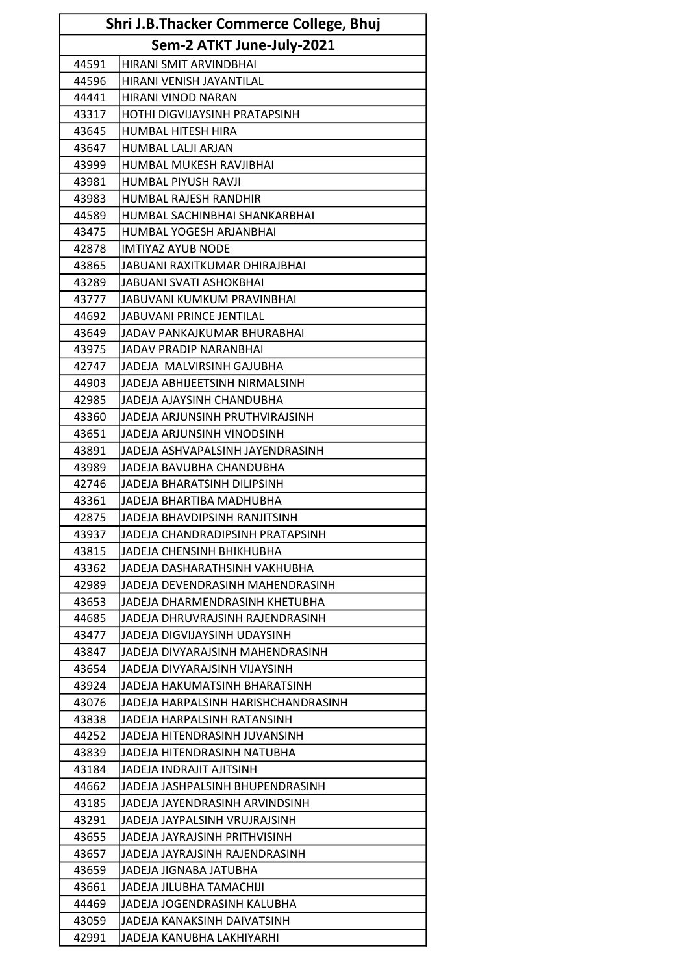| Shri J.B.Thacker Commerce College, Bhuj |                                     |
|-----------------------------------------|-------------------------------------|
|                                         | Sem-2 ATKT June-July-2021           |
| 44591                                   | HIRANI SMIT ARVINDBHAI              |
| 44596                                   | HIRANI VENISH JAYANTILAL            |
| 44441                                   | HIRANI VINOD NARAN                  |
| 43317                                   | HOTHI DIGVIJAYSINH PRATAPSINH       |
| 43645                                   | <b>HUMBAL HITESH HIRA</b>           |
| 43647                                   | HUMBAL LALJI ARJAN                  |
| 43999                                   | HUMBAL MUKESH RAVJIBHAI             |
| 43981                                   | HUMBAL PIYUSH RAVJI                 |
| 43983                                   | HUMBAL RAJESH RANDHIR               |
| 44589                                   | HUMBAL SACHINBHAI SHANKARBHAI       |
| 43475                                   | HUMBAL YOGESH ARJANBHAI             |
| 42878                                   | <b>IMTIYAZ AYUB NODE</b>            |
| 43865                                   | JABUANI RAXITKUMAR DHIRAJBHAI       |
| 43289                                   | <b>JABUANI SVATI ASHOKBHAI</b>      |
| 43777                                   | JABUVANI KUMKUM PRAVINBHAI          |
| 44692                                   | JABUVANI PRINCE JENTILAL            |
| 43649                                   | JADAV PANKAJKUMAR BHURABHAI         |
| 43975                                   | JADAV PRADIP NARANBHAI              |
| 42747                                   | JADEJA MALVIRSINH GAJUBHA           |
| 44903                                   | JADEJA ABHIJEETSINH NIRMALSINH      |
| 42985                                   | JADEJA AJAYSINH CHANDUBHA           |
| 43360                                   | JADEJA ARJUNSINH PRUTHVIRAJSINH     |
| 43651                                   | JADEJA ARJUNSINH VINODSINH          |
| 43891                                   | JADEJA ASHVAPALSINH JAYENDRASINH    |
| 43989                                   | JADEJA BAVUBHA CHANDUBHA            |
| 42746                                   | JADEJA BHARATSINH DILIPSINH         |
| 43361                                   | JADEJA BHARTIBA MADHUBHA            |
| 42875                                   | JADEJA BHAVDIPSINH RANJITSINH       |
| 43937                                   | JADEJA CHANDRADIPSINH PRATAPSINH    |
| 43815                                   | JADEJA CHENSINH BHIKHUBHA           |
| 43362                                   | JADEJA DASHARATHSINH VAKHUBHA       |
| 42989                                   | JADEJA DEVENDRASINH MAHENDRASINH    |
| 43653                                   | JADEJA DHARMENDRASINH KHETUBHA      |
| 44685                                   | JADEJA DHRUVRAJSINH RAJENDRASINH    |
| 43477                                   | JADEJA DIGVIJAYSINH UDAYSINH        |
| 43847                                   | JADEJA DIVYARAJSINH MAHENDRASINH    |
| 43654                                   | JADEJA DIVYARAJSINH VIJAYSINH       |
| 43924                                   | JADEJA HAKUMATSINH BHARATSINH       |
| 43076                                   | JADEJA HARPALSINH HARISHCHANDRASINH |
| 43838                                   | JADEJA HARPALSINH RATANSINH         |
| 44252                                   | JADEJA HITENDRASINH JUVANSINH       |
| 43839                                   | JADEJA HITENDRASINH NATUBHA         |
| 43184                                   | JADEJA INDRAJIT AJITSINH            |
| 44662                                   | JADEJA JASHPALSINH BHUPENDRASINH    |
| 43185                                   | JADEJA JAYENDRASINH ARVINDSINH      |
| 43291                                   | JADEJA JAYPALSINH VRUJRAJSINH       |
| 43655                                   | JADEJA JAYRAJSINH PRITHVISINH       |
| 43657                                   | JADEJA JAYRAJSINH RAJENDRASINH      |
| 43659                                   | JADEJA JIGNABA JATUBHA              |
| 43661                                   | JADEJA JILUBHA TAMACHIJI            |
| 44469                                   | JADEJA JOGENDRASINH KALUBHA         |
| 43059                                   | JADEJA KANAKSINH DAIVATSINH         |
| 42991                                   | JADEJA KANUBHA LAKHIYARHI           |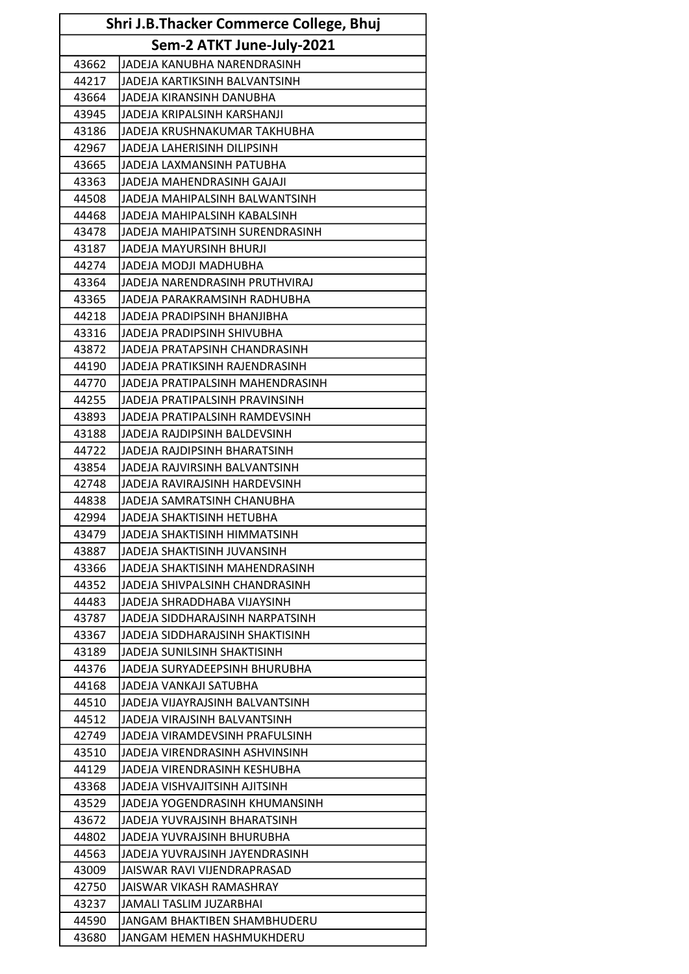| Shri J.B.Thacker Commerce College, Bhuj |                                  |
|-----------------------------------------|----------------------------------|
|                                         | Sem-2 ATKT June-July-2021        |
| 43662                                   | JJADEJA KANUBHA NARENDRASINH     |
| 44217                                   | JADEJA KARTIKSINH BALVANTSINH    |
| 43664                                   | JADEJA KIRANSINH DANUBHA         |
| 43945                                   | JADEJA KRIPALSINH KARSHANJI      |
| 43186                                   | JADEJA KRUSHNAKUMAR TAKHUBHA     |
| 42967                                   | JADEJA LAHERISINH DILIPSINH      |
| 43665                                   | JADEJA LAXMANSINH PATUBHA        |
| 43363                                   | JADEJA MAHENDRASINH GAJAJI       |
| 44508                                   | JADEJA MAHIPALSINH BALWANTSINH   |
| 44468                                   | JADEJA MAHIPALSINH KABALSINH     |
| 43478                                   | JADEJA MAHIPATSINH SURENDRASINH  |
| 43187                                   | JADEJA MAYURSINH BHURJI          |
| 44274                                   | JADEJA MODJI MADHUBHA            |
| 43364                                   | JADEJA NARENDRASINH PRUTHVIRAJ   |
| 43365                                   | JADEJA PARAKRAMSINH RADHUBHA     |
| 44218                                   | JADEJA PRADIPSINH BHANJIBHA      |
| 43316                                   | JADEJA PRADIPSINH SHIVUBHA       |
| 43872                                   | JADEJA PRATAPSINH CHANDRASINH    |
| 44190                                   | JADEJA PRATIKSINH RAJENDRASINH   |
| 44770                                   | JADEJA PRATIPALSINH MAHENDRASINH |
| 44255                                   | JADEJA PRATIPALSINH PRAVINSINH   |
| 43893                                   | JADEJA PRATIPALSINH RAMDEVSINH   |
| 43188                                   | JADEJA RAJDIPSINH BALDEVSINH     |
| 44722                                   | JADEJA RAJDIPSINH BHARATSINH     |
| 43854                                   | JADEJA RAJVIRSINH BALVANTSINH    |
| 42748                                   | JADEJA RAVIRAJSINH HARDEVSINH    |
| 44838                                   | JADEJA SAMRATSINH CHANUBHA       |
| 42994                                   | JADEJA SHAKTISINH HETUBHA        |
| 43479                                   | JADEJA SHAKTISINH HIMMATSINH     |
| 43887                                   | JADEJA SHAKTISINH JUVANSINH      |
| 43366                                   | JADEJA SHAKTISINH MAHENDRASINH   |
| 44352                                   | JADEJA SHIVPALSINH CHANDRASINH   |
| 44483                                   | JADEJA SHRADDHABA VIJAYSINH      |
| 43787                                   | JADEJA SIDDHARAJSINH NARPATSINH  |
| 43367                                   | JADEJA SIDDHARAJSINH SHAKTISINH  |
| 43189                                   | JADEJA SUNILSINH SHAKTISINH      |
| 44376                                   | JADEJA SURYADEEPSINH BHURUBHA    |
| 44168                                   | JADEJA VANKAJI SATUBHA           |
| 44510                                   | JADEJA VIJAYRAJSINH BALVANTSINH. |
| 44512                                   | JADEJA VIRAJSINH BALVANTSINH     |
| 42749                                   | JADEJA VIRAMDEVSINH PRAFULSINH   |
| 43510                                   | JADEJA VIRENDRASINH ASHVINSINH   |
| 44129                                   | JADEJA VIRENDRASINH KESHUBHA     |
| 43368                                   | JADEJA VISHVAJITSINH AJITSINH    |
| 43529                                   | JADEJA YOGENDRASINH KHUMANSINH   |
| 43672                                   | JADEJA YUVRAJSINH BHARATSINH     |
| 44802                                   | JADEJA YUVRAJSINH BHURUBHA       |
| 44563                                   | JADEJA YUVRAJSINH JAYENDRASINH   |
| 43009                                   | JAISWAR RAVI VIJENDRAPRASAD      |
| 42750                                   | JAISWAR VIKASH RAMASHRAY         |
| 43237                                   | JAMALI TASLIM JUZARBHAI          |
| 44590                                   | JANGAM BHAKTIBEN SHAMBHUDERU     |
| 43680                                   | JANGAM HEMEN HASHMUKHDERU        |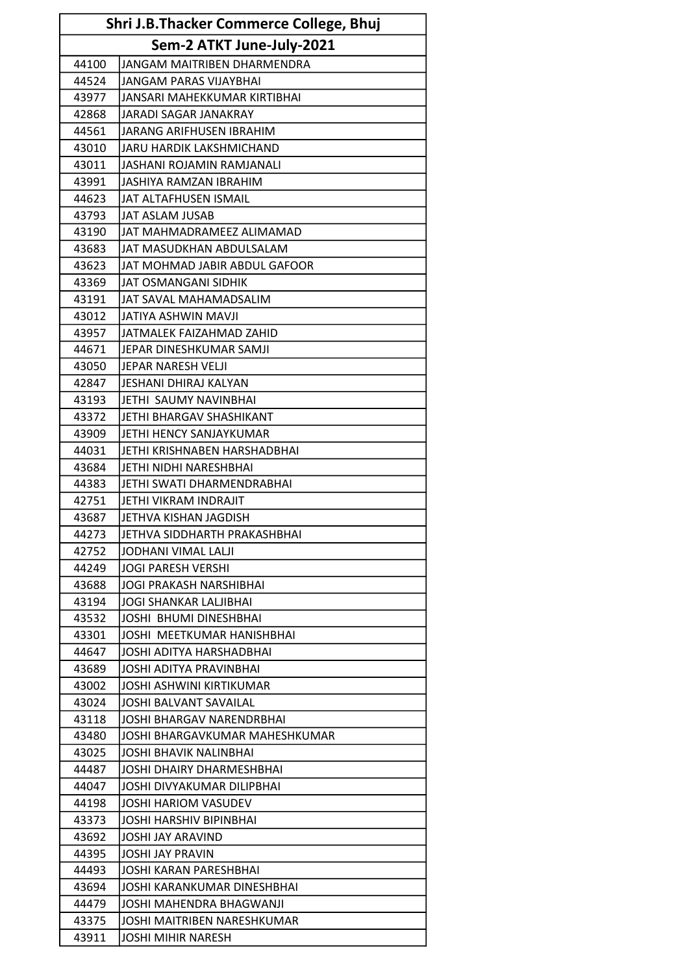| Shri J.B.Thacker Commerce College, Bhuj |                                    |
|-----------------------------------------|------------------------------------|
|                                         | Sem-2 ATKT June-July-2021          |
| 44100                                   | JANGAM MAITRIBEN DHARMENDRA        |
| 44524                                   | <b>JANGAM PARAS VIJAYBHAI</b>      |
| 43977                                   | JANSARI MAHEKKUMAR KIRTIBHAI       |
| 42868                                   | JARADI SAGAR JANAKRAY              |
| 44561                                   | JARANG ARIFHUSEN IBRAHIM           |
| 43010                                   | JARU HARDIK LAKSHMICHAND           |
| 43011                                   | JASHANI ROJAMIN RAMJANALI          |
| 43991                                   | JASHIYA RAMZAN IBRAHIM             |
| 44623                                   | IJAT ALTAFHUSEN ISMAIL             |
| 43793                                   | JAT ASLAM JUSAB                    |
| 43190                                   | JAT MAHMADRAMEEZ ALIMAMAD          |
| 43683                                   | JAT MASUDKHAN ABDULSALAM           |
| 43623                                   | JAT MOHMAD JABIR ABDUL GAFOOR      |
| 43369                                   | JAT OSMANGANI SIDHIK               |
| 43191                                   | JAT SAVAL MAHAMADSALIM             |
| 43012                                   | lJATIYA ASHWIN MAVJI               |
| 43957                                   | JATMALEK FAIZAHMAD ZAHID           |
| 44671                                   | JEPAR DINESHKUMAR SAMJI            |
| 43050                                   | IJEPAR NARESH VELJI                |
| 42847                                   | JESHANI DHIRAJ KALYAN              |
| 43193                                   | JETHI SAUMY NAVINBHAI              |
| 43372                                   | JETHI BHARGAV SHASHIKANT           |
| 43909                                   | JETHI HENCY SANJAYKUMAR            |
| 44031                                   | JETHI KRISHNABEN HARSHADBHAI       |
| 43684                                   | JETHI NIDHI NARESHBHAI             |
| 44383                                   | JETHI SWATI DHARMENDRABHAI         |
| 42751                                   | JETHI VIKRAM INDRAJIT              |
| 43687                                   | JETHVA KISHAN JAGDISH              |
| 44273                                   | JETHVA SIDDHARTH PRAKASHBHAI       |
| 42752                                   | JODHANI VIMAL LALJI                |
| 44249                                   | IJOGI PARESH VERSHI                |
| 43688                                   | JOGI PRAKASH NARSHIBHAI            |
| 43194                                   | <b>JOGI SHANKAR LALJIBHAI</b>      |
| 43532                                   | JOSHI BHUMI DINESHBHAI             |
| 43301                                   | IJOSHI MEETKUMAR HANISHBHAI        |
| 44647                                   | JOSHI ADITYA HARSHADBHAI           |
| 43689                                   | IJOSHI ADITYA PRAVINBHAI           |
| 43002                                   | JOSHI ASHWINI KIRTIKUMAR           |
| 43024                                   | <b>JOSHI BALVANT SAVAILAL</b>      |
| 43118                                   | JOSHI BHARGAV NARENDRBHAI          |
| 43480                                   | IJOSHI BHARGAVKUMAR MAHESHKUMAR    |
| 43025                                   | IJOSHI BHAVIK NALINBHAI            |
| 44487                                   | IJOSHI DHAIRY DHARMESHBHAI         |
| 44047                                   | JOSHI DIVYAKUMAR DILIPBHAI         |
| 44198                                   | <b>JOSHI HARIOM VASUDEV</b>        |
| 43373                                   | JOSHI HARSHIV BIPINBHAI            |
| 43692                                   | <b>JOSHI JAY ARAVIND</b>           |
| 44395                                   | JOSHI JAY PRAVIN                   |
| 44493                                   | IJOSHI KARAN PARESHBHAI            |
| 43694                                   | IJOSHI KARANKUMAR DINESHBHAI       |
| 44479                                   | JOSHI MAHENDRA BHAGWANJI           |
| 43375                                   | <b>JOSHI MAITRIBEN NARESHKUMAR</b> |
| 43911                                   | JOSHI MIHIR NARESH                 |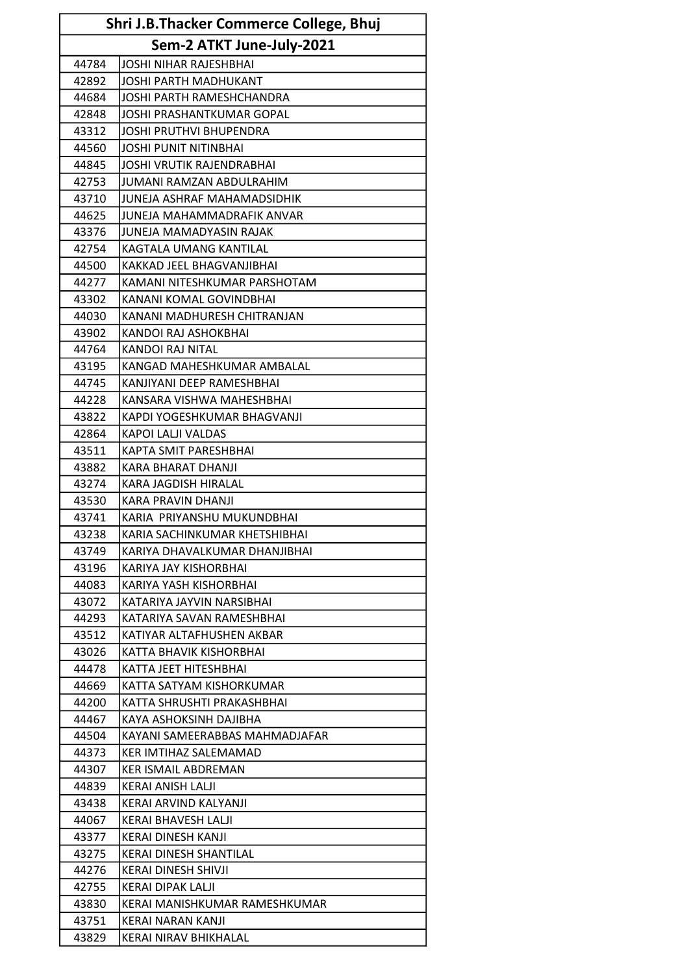| Shri J.B.Thacker Commerce College, Bhuj |                                  |  |
|-----------------------------------------|----------------------------------|--|
|                                         | Sem-2 ATKT June-July-2021        |  |
| 44784                                   | JOSHI NIHAR RAJESHBHAI           |  |
| 42892                                   | <b>JOSHI PARTH MADHUKANT</b>     |  |
| 44684                                   | <b>JOSHI PARTH RAMESHCHANDRA</b> |  |
| 42848                                   | <b>JOSHI PRASHANTKUMAR GOPAL</b> |  |
| 43312                                   | <b>JOSHI PRUTHVI BHUPENDRA</b>   |  |
| 44560                                   | JOSHI PUNIT NITINBHAI            |  |
| 44845                                   | <b>JOSHI VRUTIK RAJENDRABHAI</b> |  |
| 42753                                   | JUMANI RAMZAN ABDULRAHIM         |  |
| 43710                                   | JUNEJA ASHRAF MAHAMADSIDHIK      |  |
| 44625                                   | JUNEJA MAHAMMADRAFIK ANVAR       |  |
| 43376                                   | JUNEJA MAMADYASIN RAJAK          |  |
| 42754                                   | KAGTALA UMANG KANTILAL           |  |
| 44500                                   | KAKKAD JEEL BHAGVANJIBHAI        |  |
| 44277                                   | KAMANI NITESHKUMAR PARSHOTAM     |  |
| 43302                                   | KANANI KOMAL GOVINDBHAI          |  |
| 44030                                   | KANANI MADHURESH CHITRANJAN      |  |
| 43902                                   | KANDOI RAJ ASHOKBHAI             |  |
| 44764                                   | KANDOI RAJ NITAL                 |  |
| 43195                                   | KANGAD MAHESHKUMAR AMBALAL       |  |
| 44745                                   | KANJIYANI DEEP RAMESHBHAI        |  |
| 44228                                   | KANSARA VISHWA MAHESHBHAI        |  |
| 43822                                   | KAPDI YOGESHKUMAR BHAGVANJI      |  |
| 42864                                   | KAPOI LALJI VALDAS               |  |
| 43511                                   | KAPTA SMIT PARESHBHAI            |  |
| 43882                                   | <b>KARA BHARAT DHANJI</b>        |  |
| 43274                                   | KARA JAGDISH HIRALAL             |  |
| 43530                                   | KARA PRAVIN DHANJI               |  |
| 43741                                   | KARIA PRIYANSHU MUKUNDBHAI       |  |
| 43238                                   | KARIA SACHINKUMAR KHETSHIBHAI    |  |
| 43749                                   | KARIYA DHAVALKUMAR DHANJIBHAI    |  |
| 43196                                   | KARIYA JAY KISHORBHAI            |  |
| 44083                                   | KARIYA YASH KISHORBHAI           |  |
| 43072                                   | KATARIYA JAYVIN NARSIBHAI        |  |
| 44293                                   | KATARIYA SAVAN RAMESHBHAI        |  |
| 43512                                   | KATIYAR ALTAFHUSHEN AKBAR        |  |
| 43026                                   | KATTA BHAVIK KISHORBHAI          |  |
| 44478                                   | KATTA JEET HITESHBHAI            |  |
| 44669                                   | KATTA SATYAM KISHORKUMAR         |  |
| 44200                                   | KATTA SHRUSHTI PRAKASHBHAI       |  |
| 44467                                   | KAYA ASHOKSINH DAJIBHA           |  |
| 44504                                   | KAYANI SAMEERABBAS MAHMADJAFAR   |  |
| 44373                                   | KER IMTIHAZ SALEMAMAD            |  |
| 44307                                   | <b>KER ISMAIL ABDREMAN</b>       |  |
| 44839                                   | KERAI ANISH LALJI                |  |
| 43438                                   | KERAI ARVIND KALYANJI            |  |
| 44067                                   | KERAI BHAVESH LALJI              |  |
| 43377                                   | KERAI DINESH KANJI               |  |
| 43275                                   | <b>KERAI DINESH SHANTILAL</b>    |  |
| 44276                                   | KERAI DINESH SHIVJI              |  |
| 42755                                   | KERAI DIPAK LALJI                |  |
| 43830                                   | KERAI MANISHKUMAR RAMESHKUMAR    |  |
| 43751                                   | KERAI NARAN KANJI                |  |
| 43829                                   | KERAI NIRAV BHIKHALAL            |  |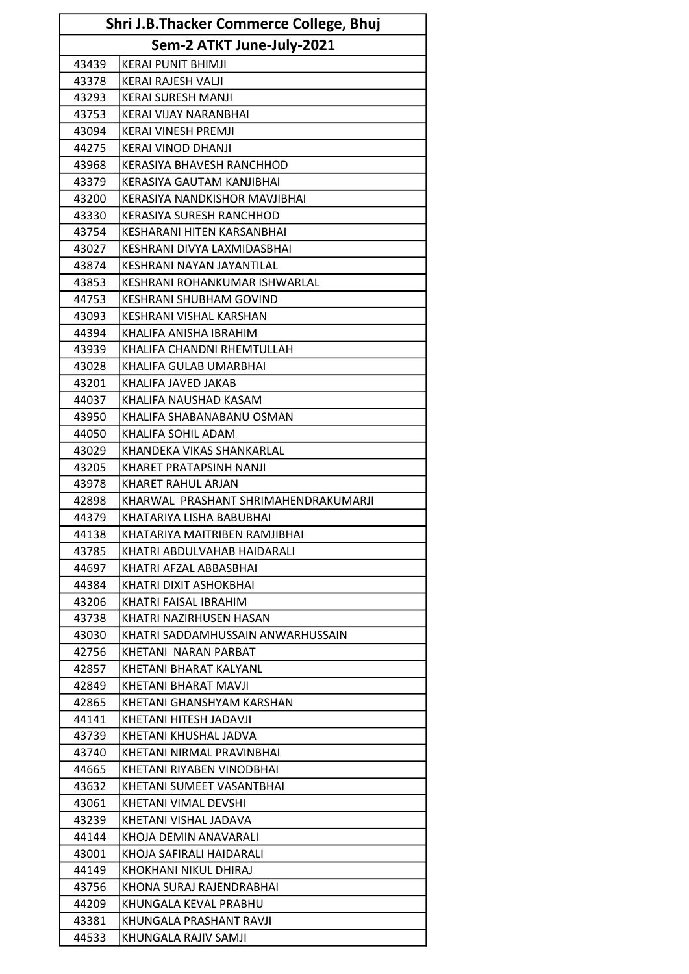| Shri J.B.Thacker Commerce College, Bhuj |                                      |  |
|-----------------------------------------|--------------------------------------|--|
|                                         | Sem-2 ATKT June-July-2021            |  |
| 43439                                   | <b>KERAI PUNIT BHIMJI</b>            |  |
| 43378                                   | KERAI RAJESH VALJI                   |  |
| 43293                                   | <b>KERAI SURESH MANJI</b>            |  |
| 43753                                   | KERAI VIJAY NARANBHAI                |  |
| 43094                                   | <b>KERAI VINESH PREMJI</b>           |  |
| 44275                                   | <b>KERAI VINOD DHANJI</b>            |  |
| 43968                                   | <b>KERASIYA BHAVESH RANCHHOD</b>     |  |
| 43379                                   | KERASIYA GAUTAM KANJIBHAI            |  |
| 43200                                   | KERASIYA NANDKISHOR MAVJIBHAI        |  |
| 43330                                   | <b>KERASIYA SURESH RANCHHOD</b>      |  |
| 43754                                   | KESHARANI HITEN KARSANBHAI           |  |
| 43027                                   | KESHRANI DIVYA LAXMIDASBHAI          |  |
| 43874                                   | KESHRANI NAYAN JAYANTILAL            |  |
| 43853                                   | KESHRANI ROHANKUMAR ISHWARLAL        |  |
| 44753                                   | <b>KESHRANI SHUBHAM GOVIND</b>       |  |
| 43093                                   | KESHRANI VISHAL KARSHAN              |  |
| 44394                                   | KHALIFA ANISHA IBRAHIM               |  |
| 43939                                   | KHALIFA CHANDNI RHEMTULLAH           |  |
| 43028                                   | KHALIFA GULAB UMARBHAI               |  |
| 43201                                   | KHALIFA JAVED JAKAB                  |  |
| 44037                                   | KHALIFA NAUSHAD KASAM                |  |
| 43950                                   | KHALIFA SHABANABANU OSMAN            |  |
| 44050                                   | KHALIFA SOHIL ADAM                   |  |
| 43029                                   | KHANDEKA VIKAS SHANKARLAL            |  |
| 43205                                   | KHARET PRATAPSINH NANJI              |  |
| 43978                                   | KHARET RAHUL ARJAN                   |  |
| 42898                                   | KHARWAL PRASHANT SHRIMAHENDRAKUMARJI |  |
| 44379                                   | KHATARIYA LISHA BABUBHAI             |  |
| 44138                                   | KHATARIYA MAITRIBEN RAMJIBHAI        |  |
| 43785                                   | KHATRI ABDULVAHAB HAIDARALI          |  |
| 44697                                   | KHATRI AFZAL ABBASBHAI               |  |
| 44384                                   | KHATRI DIXIT ASHOKBHAI               |  |
| 43206                                   | KHATRI FAISAL IBRAHIM                |  |
| 43738                                   | KHATRI NAZIRHUSEN HASAN              |  |
| 43030                                   | KHATRI SADDAMHUSSAIN ANWARHUSSAIN    |  |
| 42756                                   | KHETANI NARAN PARBAT                 |  |
| 42857                                   | KHETANI BHARAT KALYANL               |  |
| 42849                                   | KHETANI BHARAT MAVJI                 |  |
| 42865                                   | KHETANI GHANSHYAM KARSHAN            |  |
| 44141                                   | KHETANI HITESH JADAVJI               |  |
| 43739                                   | KHETANI KHUSHAL JADVA                |  |
| 43740                                   | KHETANI NIRMAL PRAVINBHAI            |  |
| 44665                                   | KHETANI RIYABEN VINODBHAI            |  |
| 43632                                   | KHETANI SUMEET VASANTBHAI            |  |
| 43061                                   | KHETANI VIMAL DEVSHI                 |  |
| 43239                                   | KHETANI VISHAL JADAVA                |  |
| 44144                                   | KHOJA DEMIN ANAVARALI                |  |
| 43001                                   | KHOJA SAFIRALI HAIDARALI             |  |
| 44149                                   | KHOKHANI NIKUL DHIRAJ                |  |
| 43756                                   | KHONA SURAJ RAJENDRABHAI             |  |
| 44209                                   | KHUNGALA KEVAL PRABHU                |  |
| 43381                                   | KHUNGALA PRASHANT RAVJI              |  |
| 44533                                   | KHUNGALA RAJIV SAMJI                 |  |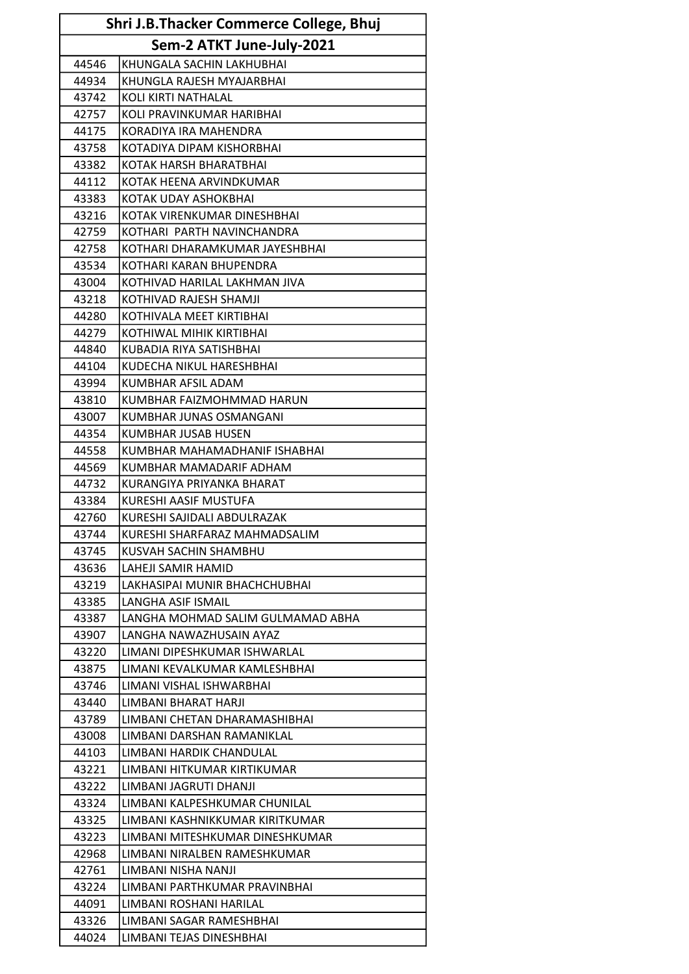| Shri J.B.Thacker Commerce College, Bhuj |                                                         |
|-----------------------------------------|---------------------------------------------------------|
|                                         | Sem-2 ATKT June-July-2021                               |
| 44546                                   | KHUNGALA SACHIN LAKHUBHAI                               |
| 44934                                   | KHUNGLA RAJESH MYAJARBHAI                               |
| 43742                                   | KOLI KIRTI NATHALAL                                     |
| 42757                                   | KOLI PRAVINKUMAR HARIBHAI                               |
| 44175                                   | KORADIYA IRA MAHENDRA                                   |
| 43758                                   | KOTADIYA DIPAM KISHORBHAI                               |
| 43382                                   | KOTAK HARSH BHARATBHAI                                  |
| 44112                                   | KOTAK HEENA ARVINDKUMAR                                 |
| 43383                                   | KOTAK UDAY ASHOKBHAI                                    |
| 43216                                   | KOTAK VIRENKUMAR DINESHBHAI                             |
| 42759                                   | KOTHARI PARTH NAVINCHANDRA                              |
| 42758                                   | KOTHARI DHARAMKUMAR JAYESHBHAI                          |
| 43534                                   | KOTHARI KARAN BHUPENDRA                                 |
| 43004                                   | KOTHIVAD HARILAL LAKHMAN JIVA                           |
| 43218                                   | KOTHIVAD RAJESH SHAMJI                                  |
| 44280                                   | KOTHIVALA MEET KIRTIBHAI                                |
| 44279                                   | KOTHIWAL MIHIK KIRTIBHAI                                |
| 44840                                   | KUBADIA RIYA SATISHBHAI                                 |
| 44104                                   | KUDECHA NIKUL HARESHBHAI                                |
| 43994                                   | KUMBHAR AFSIL ADAM                                      |
| 43810                                   | KUMBHAR FAIZMOHMMAD HARUN                               |
| 43007                                   | KUMBHAR JUNAS OSMANGANI                                 |
| 44354                                   | <b>KUMBHAR JUSAB HUSEN</b>                              |
| 44558                                   | KUMBHAR MAHAMADHANIF ISHABHAI                           |
| 44569                                   | KUMBHAR MAMADARIF ADHAM                                 |
| 44732                                   | KURANGIYA PRIYANKA BHARAT                               |
| 43384                                   | <b>KURESHI AASIF MUSTUFA</b>                            |
| 42760                                   | KURESHI SAJIDALI ABDULRAZAK                             |
| 43744                                   | KURESHI SHARFARAZ MAHMADSALIM                           |
| 43745                                   | KUSVAH SACHIN SHAMBHU                                   |
| 43636                                   | LAHEJI SAMIR HAMID                                      |
| 43219                                   | LAKHASIPAI MUNIR BHACHCHUBHAI                           |
| 43385                                   | LANGHA ASIF ISMAIL                                      |
| 43387<br>43907                          | LANGHA MOHMAD SALIM GULMAMAD ABHA                       |
| 43220                                   | LANGHA NAWAZHUSAIN AYAZ<br>LIMANI DIPESHKUMAR ISHWARLAL |
| 43875                                   | LIMANI KEVALKUMAR KAMLESHBHAI                           |
| 43746                                   | LIMANI VISHAL ISHWARBHAI                                |
| 43440                                   | LIMBANI BHARAT HARJI                                    |
| 43789                                   | LIMBANI CHETAN DHARAMASHIBHAI                           |
| 43008                                   | LIMBANI DARSHAN RAMANIKLAL                              |
| 44103                                   | LIMBANI HARDIK CHANDULAL                                |
| 43221                                   | LIMBANI HITKUMAR KIRTIKUMAR                             |
| 43222                                   | LIMBANI JAGRUTI DHANJI                                  |
| 43324                                   | LIMBANI KALPESHKUMAR CHUNILAL                           |
| 43325                                   | LIMBANI KASHNIKKUMAR KIRITKUMAR                         |
| 43223                                   | LIMBANI MITESHKUMAR DINESHKUMAR                         |
| 42968                                   | LIMBANI NIRALBEN RAMESHKUMAR                            |
| 42761                                   | LIMBANI NISHA NANJI                                     |
| 43224                                   | LIMBANI PARTHKUMAR PRAVINBHAI                           |
| 44091                                   | LIMBANI ROSHANI HARILAL                                 |
| 43326                                   | LIMBANI SAGAR RAMESHBHAI                                |
| 44024                                   | LIMBANI TEJAS DINESHBHAI                                |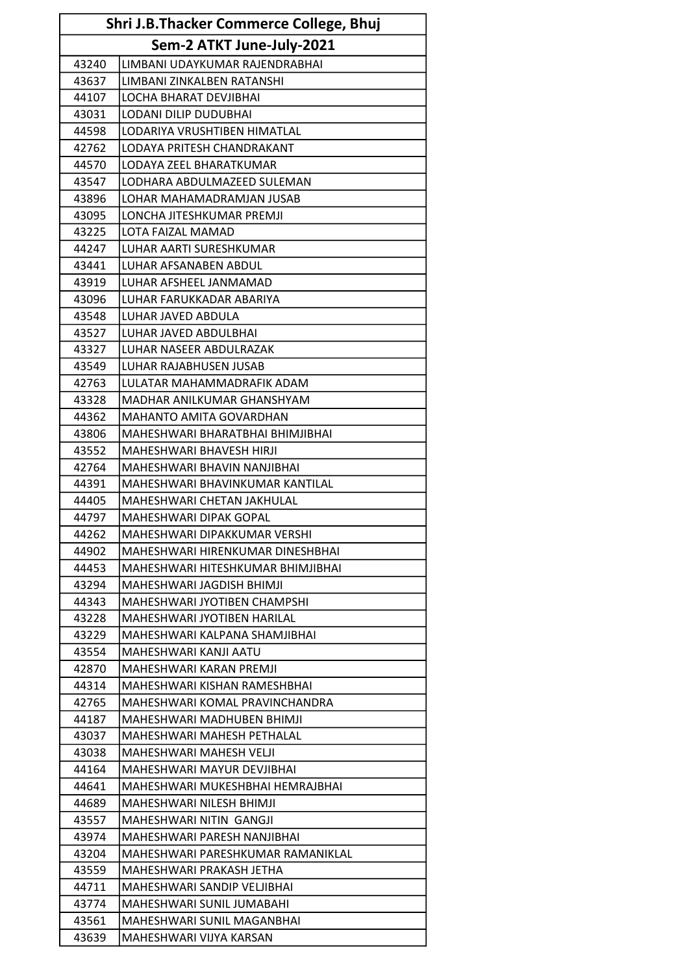| Shri J.B.Thacker Commerce College, Bhuj |                                                       |  |  |
|-----------------------------------------|-------------------------------------------------------|--|--|
|                                         | Sem-2 ATKT June-July-2021                             |  |  |
| 43240                                   | LIMBANI UDAYKUMAR RAJENDRABHAI                        |  |  |
| 43637                                   | LIMBANI ZINKALBEN RATANSHI                            |  |  |
| 44107                                   | <b>LOCHA BHARAT DEVJIBHAI</b>                         |  |  |
| 43031                                   | LODANI DILIP DUDUBHAI                                 |  |  |
| 44598                                   | LODARIYA VRUSHTIBEN HIMATLAL                          |  |  |
| 42762                                   | LODAYA PRITESH CHANDRAKANT                            |  |  |
| 44570                                   | LODAYA ZEEL BHARATKUMAR                               |  |  |
| 43547                                   | LODHARA ABDULMAZEED SULEMAN                           |  |  |
| 43896                                   | LOHAR MAHAMADRAMJAN JUSAB                             |  |  |
| 43095                                   | LONCHA JITESHKUMAR PREMJI                             |  |  |
| 43225                                   | LOTA FAIZAL MAMAD                                     |  |  |
| 44247                                   | LUHAR AARTI SURESHKUMAR                               |  |  |
| 43441                                   | LUHAR AFSANABEN ABDUL                                 |  |  |
| 43919                                   | LUHAR AFSHEEL JANMAMAD                                |  |  |
| 43096                                   | LUHAR FARUKKADAR ABARIYA                              |  |  |
| 43548                                   | LUHAR JAVED ABDULA                                    |  |  |
| 43527                                   | LUHAR JAVED ABDULBHAI                                 |  |  |
| 43327                                   | LUHAR NASEER ABDULRAZAK                               |  |  |
| 43549                                   | LUHAR RAJABHUSEN JUSAB                                |  |  |
| 42763                                   | LULATAR MAHAMMADRAFIK ADAM                            |  |  |
| 43328                                   | MADHAR ANILKUMAR GHANSHYAM                            |  |  |
| 44362                                   | MAHANTO AMITA GOVARDHAN                               |  |  |
| 43806                                   | MAHESHWARI BHARATBHAI BHIMJIBHAI                      |  |  |
| 43552                                   | MAHESHWARI BHAVESH HIRJI                              |  |  |
| 42764                                   | MAHESHWARI BHAVIN NANJIBHAI                           |  |  |
| 44391                                   | MAHESHWARI BHAVINKUMAR KANTILAL                       |  |  |
| 44405                                   | MAHESHWARI CHETAN JAKHULAL                            |  |  |
| 44797                                   | MAHESHWARI DIPAK GOPAL                                |  |  |
| 44262                                   | MAHESHWARI DIPAKKUMAR VERSHI                          |  |  |
| 44902                                   | MAHESHWARI HIRENKUMAR DINESHBHAI                      |  |  |
| 44453                                   | MAHESHWARI HITESHKUMAR BHIMJIBHAI                     |  |  |
| 43294                                   | MAHESHWARI JAGDISH BHIMJI                             |  |  |
| 44343                                   | MAHESHWARI JYOTIBEN CHAMPSHI                          |  |  |
| 43228                                   | <b>MAHESHWARI JYOTIBEN HARILAL</b>                    |  |  |
| 43229                                   | MAHESHWARI KALPANA SHAMJIBHAI                         |  |  |
| 43554                                   | MAHESHWARI KANJI AATU                                 |  |  |
| 42870                                   | MAHESHWARI KARAN PREMJI                               |  |  |
| 44314                                   | MAHESHWARI KISHAN RAMESHBHAI                          |  |  |
| 42765                                   | MAHESHWARI KOMAL PRAVINCHANDRA                        |  |  |
| 44187                                   | MAHESHWARI MADHUBEN BHIMJI                            |  |  |
| 43037                                   | MAHESHWARI MAHESH PETHALAL                            |  |  |
| 43038<br>44164                          | MAHESHWARI MAHESH VELJI<br>MAHESHWARI MAYUR DEVJIBHAI |  |  |
| 44641                                   | MAHESHWARI MUKESHBHAI HEMRAJBHAI                      |  |  |
| 44689                                   | MAHESHWARI NILESH BHIMJI                              |  |  |
| 43557                                   | MAHESHWARI NITIN GANGJI                               |  |  |
| 43974                                   | MAHESHWARI PARESH NANJIBHAI                           |  |  |
| 43204                                   | MAHESHWARI PARESHKUMAR RAMANIKLAL                     |  |  |
| 43559                                   | MAHESHWARI PRAKASH JETHA                              |  |  |
| 44711                                   | MAHESHWARI SANDIP VELJIBHAI                           |  |  |
| 43774                                   | MAHESHWARI SUNIL JUMABAHI                             |  |  |
| 43561                                   | MAHESHWARI SUNIL MAGANBHAI                            |  |  |
| 43639                                   | MAHESHWARI VIJYA KARSAN                               |  |  |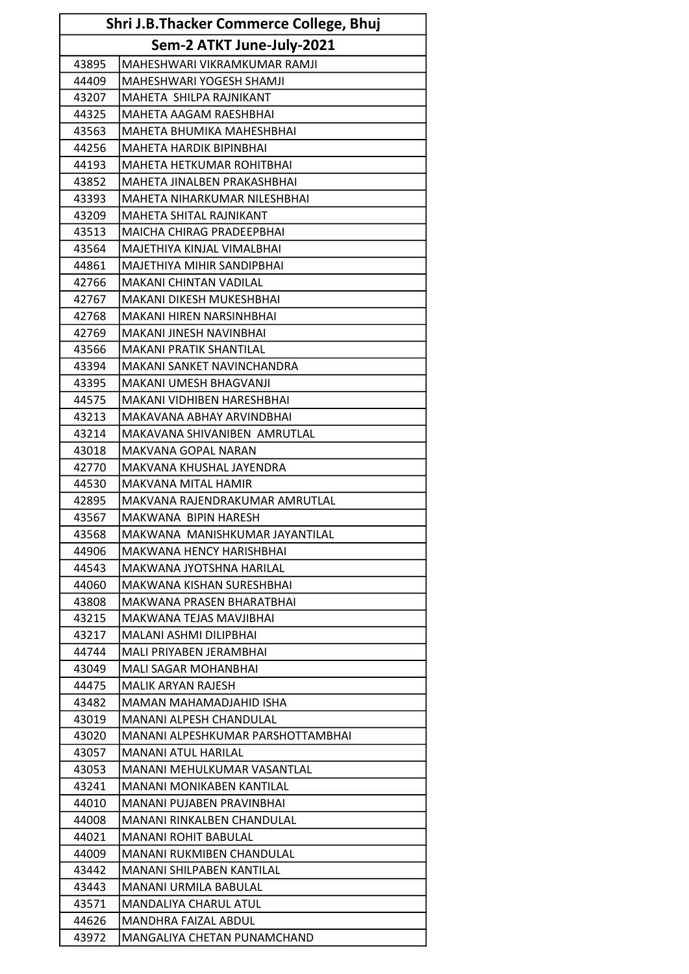| Shri J.B.Thacker Commerce College, Bhuj |                                   |  |
|-----------------------------------------|-----------------------------------|--|
| Sem-2 ATKT June-July-2021               |                                   |  |
| 43895                                   | MAHESHWARI VIKRAMKUMAR RAMJI      |  |
| 44409                                   | MAHESHWARI YOGESH SHAMJI          |  |
| 43207                                   | MAHETA SHILPA RAJNIKANT           |  |
| 44325                                   | MAHETA AAGAM RAESHBHAI            |  |
| 43563                                   | MAHETA BHUMIKA MAHESHBHAI         |  |
| 44256                                   | <b>MAHETA HARDIK BIPINBHAI</b>    |  |
| 44193                                   | <b>MAHETA HETKUMAR ROHITBHAI</b>  |  |
| 43852                                   | MAHETA JINALBEN PRAKASHBHAI       |  |
| 43393                                   | MAHETA NIHARKUMAR NILESHBHAI      |  |
| 43209                                   | MAHETA SHITAL RAJNIKANT           |  |
| 43513                                   | MAICHA CHIRAG PRADEEPBHAI         |  |
| 43564                                   | MAJETHIYA KINJAL VIMALBHAI        |  |
| 44861                                   | MAJETHIYA MIHIR SANDIPBHAI        |  |
| 42766                                   | <b>MAKANI CHINTAN VADILAL</b>     |  |
| 42767                                   | <b>MAKANI DIKESH MUKESHBHAI</b>   |  |
| 42768                                   | <b>MAKANI HIREN NARSINHBHAI</b>   |  |
| 42769                                   | <b>MAKANI JINESH NAVINBHAI</b>    |  |
| 43566                                   | <b>MAKANI PRATIK SHANTILAL</b>    |  |
| 43394                                   | MAKANI SANKET NAVINCHANDRA        |  |
| 43395                                   | MAKANI UMESH BHAGVANJI            |  |
| 44575                                   | MAKANI VIDHIBEN HARESHBHAI        |  |
| 43213                                   | MAKAVANA ABHAY ARVINDBHAI         |  |
| 43214                                   | MAKAVANA SHIVANIBEN AMRUTLAL      |  |
| 43018                                   | MAKVANA GOPAL NARAN               |  |
| 42770                                   | MAKVANA KHUSHAL JAYENDRA          |  |
| 44530                                   | <b>MAKVANA MITAL HAMIR</b>        |  |
| 42895                                   | MAKVANA RAJENDRAKUMAR AMRUTLAL    |  |
| 43567                                   | MAKWANA BIPIN HARESH              |  |
| 43568                                   | MAKWANA MANISHKUMAR JAYANTILAL    |  |
| 44906                                   | MAKWANA HENCY HARISHBHAI          |  |
| 44543                                   | MAKWANA JYOTSHNA HARILAL          |  |
| 44060                                   | MAKWANA KISHAN SURESHBHAI         |  |
| 43808                                   | MAKWANA PRASEN BHARATBHAI         |  |
| 43215                                   | MAKWANA TEJAS MAVJIBHAI           |  |
| 43217                                   | MALANI ASHMI DILIPBHAI            |  |
| 44744                                   | MALI PRIYABEN JERAMBHAI           |  |
| 43049                                   | <b>MALI SAGAR MOHANBHAI</b>       |  |
| 44475                                   | <b>MALIK ARYAN RAJESH</b>         |  |
| 43482                                   | MAMAN MAHAMADJAHID ISHA           |  |
| 43019                                   | <b>MANANI ALPESH CHANDULAL</b>    |  |
| 43020                                   | MANANI ALPESHKUMAR PARSHOTTAMBHAI |  |
| 43057                                   | <b>MANANI ATUL HARILAL</b>        |  |
| 43053                                   | MANANI MEHULKUMAR VASANTLAL       |  |
| 43241                                   | MANANI MONIKABEN KANTILAL         |  |
| 44010                                   | MANANI PUJABEN PRAVINBHAI         |  |
| 44008                                   | MANANI RINKALBEN CHANDULAL        |  |
| 44021                                   | <b>MANANI ROHIT BABULAL</b>       |  |
| 44009                                   | MANANI RUKMIBEN CHANDULAL         |  |
| 43442                                   | MANANI SHILPABEN KANTILAL         |  |
| 43443                                   | <b>MANANI URMILA BABULAL</b>      |  |
| 43571                                   | MANDALIYA CHARUL ATUL             |  |
| 44626                                   | MANDHRA FAIZAL ABDUL              |  |
| 43972                                   | MANGALIYA CHETAN PUNAMCHAND       |  |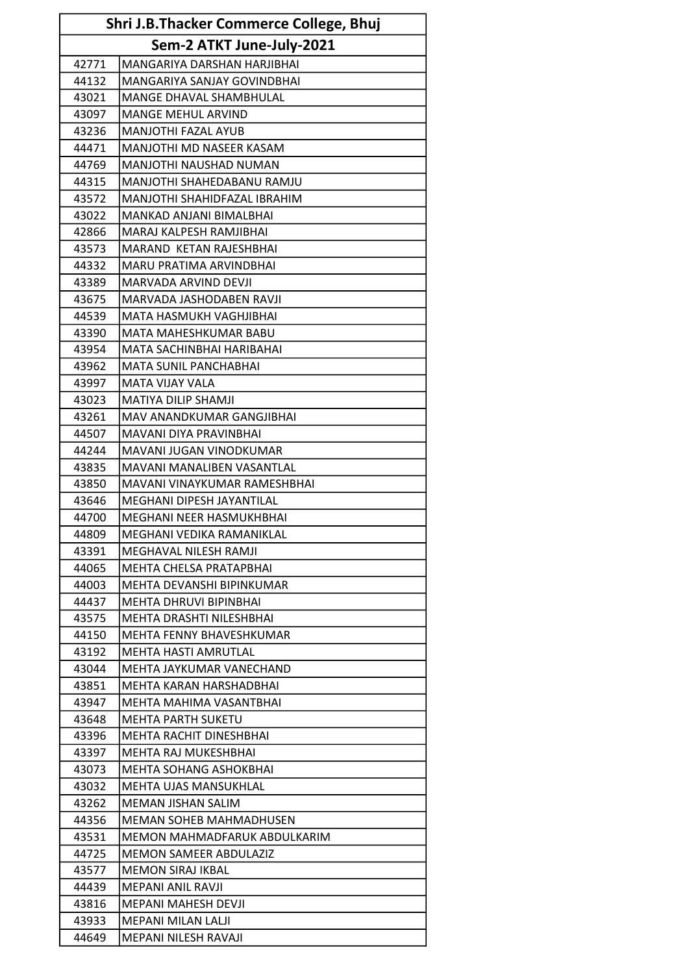| Shri J.B.Thacker Commerce College, Bhuj |                                |  |
|-----------------------------------------|--------------------------------|--|
| Sem-2 ATKT June-July-2021               |                                |  |
| 42771                                   | MANGARIYA DARSHAN HARJIBHAI    |  |
| 44132                                   | MANGARIYA SANJAY GOVINDBHAI    |  |
| 43021                                   | MANGE DHAVAL SHAMBHULAL        |  |
| 43097                                   | <b>MANGE MEHUL ARVIND</b>      |  |
| 43236                                   | <b>MANJOTHI FAZAL AYUB</b>     |  |
| 44471                                   | MANJOTHI MD NASEER KASAM       |  |
| 44769                                   | <b>MANJOTHI NAUSHAD NUMAN</b>  |  |
| 44315                                   | MANJOTHI SHAHEDABANU RAMJU     |  |
| 43572                                   | MANJOTHI SHAHIDFAZAL IBRAHIM   |  |
| 43022                                   | MANKAD ANJANI BIMALBHAI        |  |
| 42866                                   | MARAJ KALPESH RAMJIBHAI        |  |
| 43573                                   | MARAND KETAN RAJESHBHAI        |  |
| 44332                                   | MARU PRATIMA ARVINDBHAI        |  |
| 43389                                   | MARVADA ARVIND DEVJI           |  |
| 43675                                   | MARVADA JASHODABEN RAVJI       |  |
| 44539                                   | MATA HASMUKH VAGHJIBHAI        |  |
| 43390                                   | MATA MAHESHKUMAR BABU          |  |
| 43954                                   | MATA SACHINBHAI HARIBAHAI      |  |
| 43962                                   | <b>MATA SUNIL PANCHABHAI</b>   |  |
| 43997                                   | <b>MATA VIJAY VALA</b>         |  |
| 43023                                   | MATIYA DILIP SHAMJI            |  |
| 43261                                   | MAV ANANDKUMAR GANGJIBHAI      |  |
| 44507                                   | MAVANI DIYA PRAVINBHAI         |  |
| 44244                                   | MAVANI JUGAN VINODKUMAR        |  |
| 43835                                   | MAVANI MANALIBEN VASANTLAL     |  |
| 43850                                   | MAVANI VINAYKUMAR RAMESHBHAI   |  |
| 43646                                   | MEGHANI DIPESH JAYANTILAL      |  |
| 44700                                   | MEGHANI NEER HASMUKHBHAI       |  |
| 44809                                   | MEGHANI VEDIKA RAMANIKLAL      |  |
| 43391                                   | MEGHAVAL NILESH RAMJI          |  |
| 44065                                   | <b>MEHTA CHELSA PRATAPBHAI</b> |  |
| 44003                                   | MEHTA DEVANSHI BIPINKUMAR      |  |
| 44437                                   | <b>MEHTA DHRUVI BIPINBHAI</b>  |  |
| 43575                                   | MEHTA DRASHTI NILESHBHAI       |  |
| 44150                                   | MEHTA FENNY BHAVESHKUMAR       |  |
| 43192                                   | MEHTA HASTI AMRUTLAL           |  |
| 43044                                   | MEHTA JAYKUMAR VANECHAND       |  |
| 43851                                   | MEHTA KARAN HARSHADBHAI        |  |
| 43947                                   | MEHTA MAHIMA VASANTBHAI        |  |
| 43648                                   | <b>MEHTA PARTH SUKETU</b>      |  |
| 43396                                   | <b>MEHTA RACHIT DINESHBHAI</b> |  |
| 43397                                   | <b>MEHTA RAJ MUKESHBHAI</b>    |  |
| 43073                                   | MEHTA SOHANG ASHOKBHAI         |  |
| 43032                                   | MEHTA UJAS MANSUKHLAL          |  |
| 43262                                   | <b>MEMAN JISHAN SALIM</b>      |  |
| 44356                                   | <b>MEMAN SOHEB MAHMADHUSEN</b> |  |
| 43531                                   | MEMON MAHMADFARUK ABDULKARIM   |  |
| 44725                                   | <b>MEMON SAMEER ABDULAZIZ</b>  |  |
| 43577                                   | <b>MEMON SIRAJ IKBAL</b>       |  |
| 44439                                   | MEPANI ANIL RAVJI              |  |
| 43816                                   | MEPANI MAHESH DEVJI            |  |
| 43933                                   | <b>MEPANI MILAN LALJI</b>      |  |
| 44649                                   | <b>MEPANI NILESH RAVAJI</b>    |  |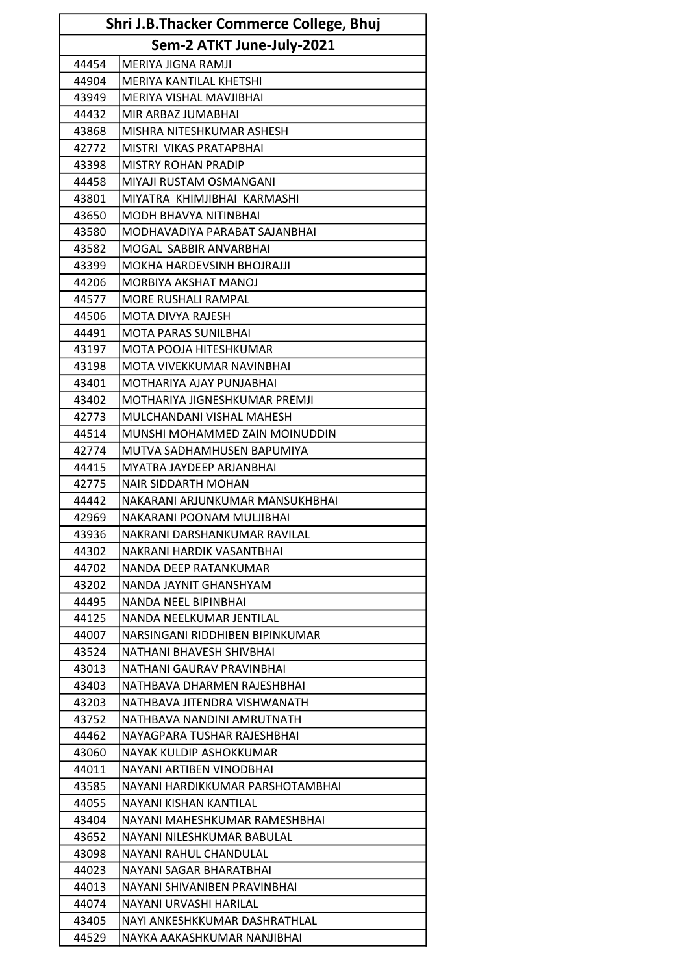| Shri J.B.Thacker Commerce College, Bhuj |                                  |  |
|-----------------------------------------|----------------------------------|--|
|                                         | Sem-2 ATKT June-July-2021        |  |
| 44454                                   | MERIYA JIGNA RAMJI               |  |
| 44904                                   | MERIYA KANTILAL KHETSHI          |  |
| 43949                                   | MERIYA VISHAL MAVJIBHAI          |  |
| 44432                                   | MIR ARBAZ JUMABHAI               |  |
| 43868                                   | MISHRA NITESHKUMAR ASHESH        |  |
| 42772                                   | MISTRI VIKAS PRATAPBHAI          |  |
| 43398                                   | <b>MISTRY ROHAN PRADIP</b>       |  |
| 44458                                   | MIYAJI RUSTAM OSMANGANI          |  |
| 43801                                   | MIYATRA KHIMJIBHAI KARMASHI      |  |
| 43650                                   | <b>MODH BHAVYA NITINBHAI</b>     |  |
| 43580                                   | MODHAVADIYA PARABAT SAJANBHAI    |  |
| 43582                                   | MOGAL SABBIR ANVARBHAI           |  |
| 43399                                   | MOKHA HARDEVSINH BHOJRAJJI       |  |
| 44206                                   | MORBIYA AKSHAT MANOJ             |  |
| 44577                                   | <b>MORE RUSHALI RAMPAL</b>       |  |
| 44506                                   | MOTA DIVYA RAJESH                |  |
| 44491                                   | <b>MOTA PARAS SUNILBHAI</b>      |  |
| 43197                                   | MOTA POOJA HITESHKUMAR           |  |
| 43198                                   | MOTA VIVEKKUMAR NAVINBHAI        |  |
| 43401                                   | MOTHARIYA AJAY PUNJABHAI         |  |
| 43402                                   | MOTHARIYA JIGNESHKUMAR PREMJI    |  |
| 42773                                   | MULCHANDANI VISHAL MAHESH        |  |
| 44514                                   | MUNSHI MOHAMMED ZAIN MOINUDDIN   |  |
| 42774                                   | MUTVA SADHAMHUSEN BAPUMIYA       |  |
| 44415                                   | MYATRA JAYDEEP ARJANBHAI         |  |
| 42775                                   | <b>NAIR SIDDARTH MOHAN</b>       |  |
| 44442                                   | NAKARANI ARJUNKUMAR MANSUKHBHAI  |  |
| 42969                                   | NAKARANI POONAM MULJIBHAI        |  |
| 43936                                   | NAKRANI DARSHANKUMAR RAVILAL     |  |
| 44302                                   | NAKRANI HARDIK VASANTBHAI        |  |
| 44702                                   | NANDA DEEP RATANKUMAR            |  |
| 43202                                   | NANDA JAYNIT GHANSHYAM           |  |
| 44495                                   | NANDA NEEL BIPINBHAI             |  |
| 44125                                   | NANDA NEELKUMAR JENTILAL         |  |
| 44007                                   | NARSINGANI RIDDHIBEN BIPINKUMAR  |  |
| 43524                                   | NATHANI BHAVESH SHIVBHAI         |  |
| 43013                                   | NATHANI GAURAV PRAVINBHAI        |  |
| 43403                                   | NATHBAVA DHARMEN RAJESHBHAI      |  |
| 43203                                   | NATHBAVA JITENDRA VISHWANATH     |  |
| 43752                                   | NATHBAVA NANDINI AMRUTNATH       |  |
| 44462                                   | NAYAGPARA TUSHAR RAJESHBHAI      |  |
| 43060                                   | NAYAK KULDIP ASHOKKUMAR          |  |
| 44011                                   | NAYANI ARTIBEN VINODBHAI         |  |
| 43585                                   | NAYANI HARDIKKUMAR PARSHOTAMBHAI |  |
| 44055                                   | NAYANI KISHAN KANTILAL           |  |
| 43404                                   | NAYANI MAHESHKUMAR RAMESHBHAI    |  |
| 43652                                   | NAYANI NILESHKUMAR BABULAL       |  |
| 43098                                   | NAYANI RAHUL CHANDULAL           |  |
| 44023                                   | NAYANI SAGAR BHARATBHAI          |  |
| 44013                                   | NAYANI SHIVANIBEN PRAVINBHAI     |  |
| 44074                                   | NAYANI URVASHI HARILAL           |  |
| 43405                                   | NAYI ANKESHKKUMAR DASHRATHLAL    |  |
| 44529                                   | NAYKA AAKASHKUMAR NANJIBHAI      |  |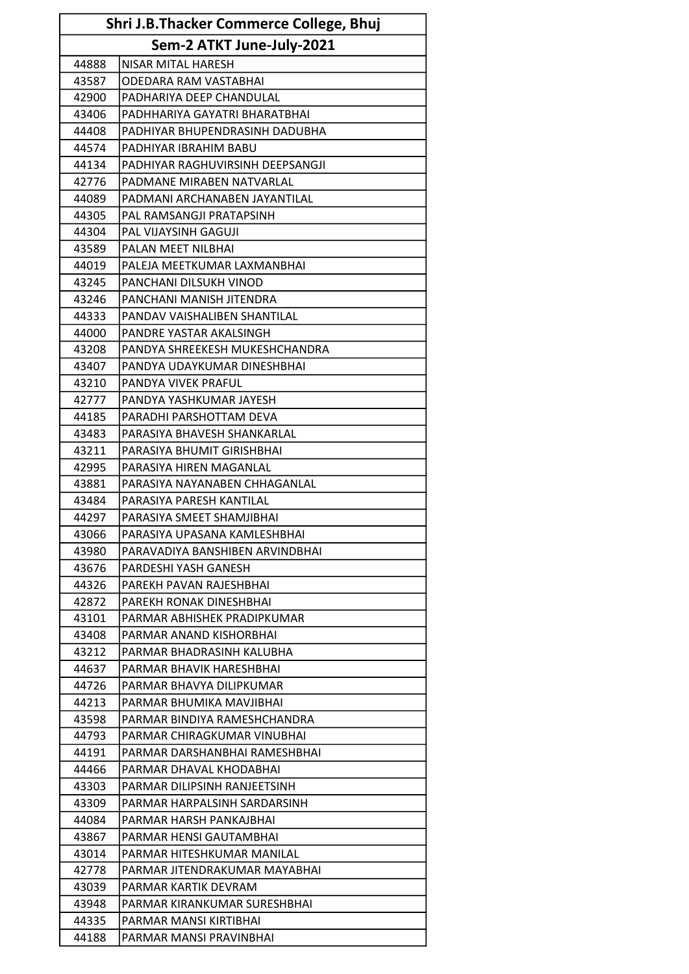| Shri J.B.Thacker Commerce College, Bhuj |                                  |
|-----------------------------------------|----------------------------------|
|                                         | Sem-2 ATKT June-July-2021        |
| 44888                                   | NISAR MITAL HARESH               |
| 43587                                   | ODEDARA RAM VASTABHAI            |
| 42900                                   | PADHARIYA DEEP CHANDULAL         |
| 43406                                   | PADHHARIYA GAYATRI BHARATBHAI    |
| 44408                                   | PADHIYAR BHUPENDRASINH DADUBHA   |
| 44574                                   | PADHIYAR IBRAHIM BABU            |
| 44134                                   | PADHIYAR RAGHUVIRSINH DEEPSANGJI |
| 42776                                   | PADMANE MIRABEN NATVARLAL        |
| 44089                                   | PADMANI ARCHANABEN JAYANTILAL    |
| 44305                                   | PAL RAMSANGJI PRATAPSINH         |
| 44304                                   | PAL VIJAYSINH GAGUJI             |
| 43589                                   | PALAN MEET NILBHAI               |
| 44019                                   | PALEJA MEETKUMAR LAXMANBHAI      |
| 43245                                   | PANCHANI DILSUKH VINOD           |
| 43246                                   | PANCHANI MANISH JITENDRA         |
| 44333                                   | PANDAV VAISHALIBEN SHANTILAL     |
| 44000                                   | PANDRE YASTAR AKALSINGH          |
| 43208                                   | PANDYA SHREEKESH MUKESHCHANDRA   |
| 43407                                   | PANDYA UDAYKUMAR DINESHBHAI      |
| 43210                                   | PANDYA VIVEK PRAFUL              |
| 42777                                   | PANDYA YASHKUMAR JAYESH          |
| 44185                                   | PARADHI PARSHOTTAM DEVA          |
| 43483                                   | PARASIYA BHAVESH SHANKARLAL      |
| 43211                                   | PARASIYA BHUMIT GIRISHBHAI       |
| 42995                                   | PARASIYA HIREN MAGANLAL          |
| 43881                                   | PARASIYA NAYANABEN CHHAGANLAL    |
| 43484                                   | PARASIYA PARESH KANTILAL         |
| 44297                                   | PARASIYA SMEET SHAMJIBHAI        |
| 43066                                   | PARASIYA UPASANA KAMLESHBHAI     |
| 43980                                   | PARAVADIYA BANSHIBEN ARVINDBHAI  |
| 43676                                   | PARDESHI YASH GANESH             |
| 44326                                   | PAREKH PAVAN RAJESHBHAI          |
| 42872                                   | PAREKH RONAK DINESHBHAI          |
| 43101                                   | PARMAR ABHISHEK PRADIPKUMAR      |
| 43408                                   | PARMAR ANAND KISHORBHAI          |
| 43212                                   | PARMAR BHADRASINH KALUBHA        |
| 44637                                   | PARMAR BHAVIK HARESHBHAI         |
| 44726                                   | PARMAR BHAVYA DILIPKUMAR         |
| 44213                                   | PARMAR BHUMIKA MAVJIBHAI         |
| 43598                                   | PARMAR BINDIYA RAMESHCHANDRA     |
| 44793                                   | PARMAR CHIRAGKUMAR VINUBHAI      |
| 44191                                   | PARMAR DARSHANBHAI RAMESHBHAI    |
| 44466                                   | PARMAR DHAVAL KHODABHAI          |
| 43303                                   | PARMAR DILIPSINH RANJEETSINH     |
| 43309                                   | PARMAR HARPALSINH SARDARSINH     |
| 44084                                   | PARMAR HARSH PANKAJBHAI          |
| 43867                                   | PARMAR HENSI GAUTAMBHAI          |
| 43014                                   | PARMAR HITESHKUMAR MANILAL       |
| 42778                                   | PARMAR JITENDRAKUMAR MAYABHAI    |
| 43039                                   | PARMAR KARTIK DEVRAM             |
| 43948                                   | PARMAR KIRANKUMAR SURESHBHAI     |
| 44335                                   | PARMAR MANSI KIRTIBHAI           |
| 44188                                   | PARMAR MANSI PRAVINBHAI          |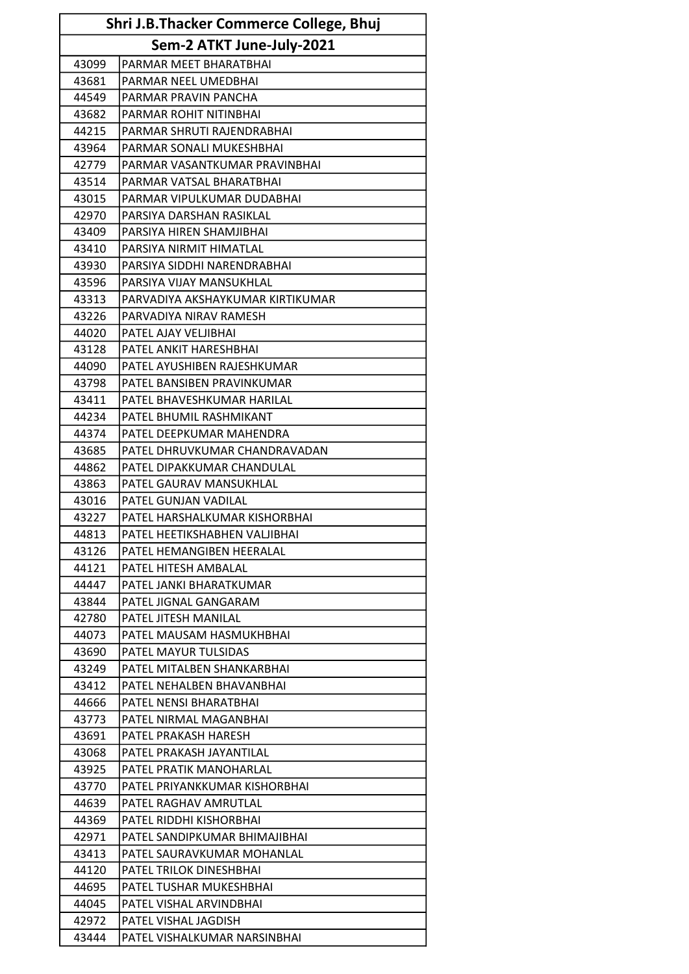| Shri J.B.Thacker Commerce College, Bhuj |                                  |
|-----------------------------------------|----------------------------------|
|                                         | Sem-2 ATKT June-July-2021        |
| 43099                                   | PARMAR MEET BHARATBHAI           |
| 43681                                   | PARMAR NEEL UMEDBHAI             |
| 44549                                   | PARMAR PRAVIN PANCHA             |
| 43682                                   | PARMAR ROHIT NITINBHAI           |
| 44215                                   | PARMAR SHRUTI RAJENDRABHAI       |
| 43964                                   | PARMAR SONALI MUKESHBHAI         |
| 42779                                   | PARMAR VASANTKUMAR PRAVINBHAI    |
| 43514                                   | PARMAR VATSAL BHARATBHAI         |
| 43015                                   | PARMAR VIPULKUMAR DUDABHAI       |
| 42970                                   | PARSIYA DARSHAN RASIKLAL         |
| 43409                                   | PARSIYA HIREN SHAMJIBHAI         |
| 43410                                   | PARSIYA NIRMIT HIMATLAL          |
| 43930                                   | PARSIYA SIDDHI NARENDRABHAI      |
| 43596                                   | PARSIYA VIJAY MANSUKHLAL         |
| 43313                                   | PARVADIYA AKSHAYKUMAR KIRTIKUMAR |
| 43226                                   | PARVADIYA NIRAV RAMESH           |
| 44020                                   | PATEL AJAY VELJIBHAI             |
| 43128                                   | PATEL ANKIT HARESHBHAI           |
| 44090                                   | PATEL AYUSHIBEN RAJESHKUMAR      |
| 43798                                   | PATEL BANSIBEN PRAVINKUMAR       |
| 43411                                   | PATEL BHAVESHKUMAR HARILAL       |
| 44234                                   | PATEL BHUMIL RASHMIKANT          |
| 44374                                   | PATEL DEEPKUMAR MAHENDRA         |
| 43685                                   | PATEL DHRUVKUMAR CHANDRAVADAN    |
| 44862                                   | PATEL DIPAKKUMAR CHANDULAL       |
| 43863                                   | PATEL GAURAV MANSUKHLAL          |
| 43016                                   | PATEL GUNJAN VADILAL             |
| 43227                                   | PATEL HARSHALKUMAR KISHORBHAI    |
| 44813                                   | PATEL HEETIKSHABHEN VALJIBHAI    |
| 43126                                   | PATEL HEMANGIBEN HEERALAL        |
| 44121                                   | PATEL HITESH AMBALAL             |
| 44447                                   | PATEL JANKI BHARATKUMAR          |
| 43844                                   | PATEL JIGNAL GANGARAM            |
| 42780                                   | PATEL JITESH MANILAL             |
| 44073                                   | PATEL MAUSAM HASMUKHBHAI         |
| 43690                                   | PATEL MAYUR TULSIDAS             |
| 43249                                   | PATEL MITALBEN SHANKARBHAI       |
| 43412                                   | PATEL NEHALBEN BHAVANBHAI        |
| 44666                                   | PATEL NENSI BHARATBHAI           |
| 43773                                   | PATEL NIRMAL MAGANBHAI           |
| 43691                                   | PATEL PRAKASH HARESH             |
| 43068                                   | PATEL PRAKASH JAYANTILAL         |
| 43925                                   | PATEL PRATIK MANOHARLAL          |
| 43770                                   | PATEL PRIYANKKUMAR KISHORBHAI    |
| 44639                                   | PATEL RAGHAV AMRUTLAL            |
| 44369                                   | PATEL RIDDHI KISHORBHAI          |
| 42971                                   | PATEL SANDIPKUMAR BHIMAJIBHAI    |
| 43413                                   | PATEL SAURAVKUMAR MOHANLAL       |
| 44120                                   | PATEL TRILOK DINESHBHAI          |
| 44695                                   | PATEL TUSHAR MUKESHBHAI          |
| 44045                                   | PATEL VISHAL ARVINDBHAI          |
| 42972                                   | PATEL VISHAL JAGDISH             |
| 43444                                   | PATEL VISHALKUMAR NARSINBHAI     |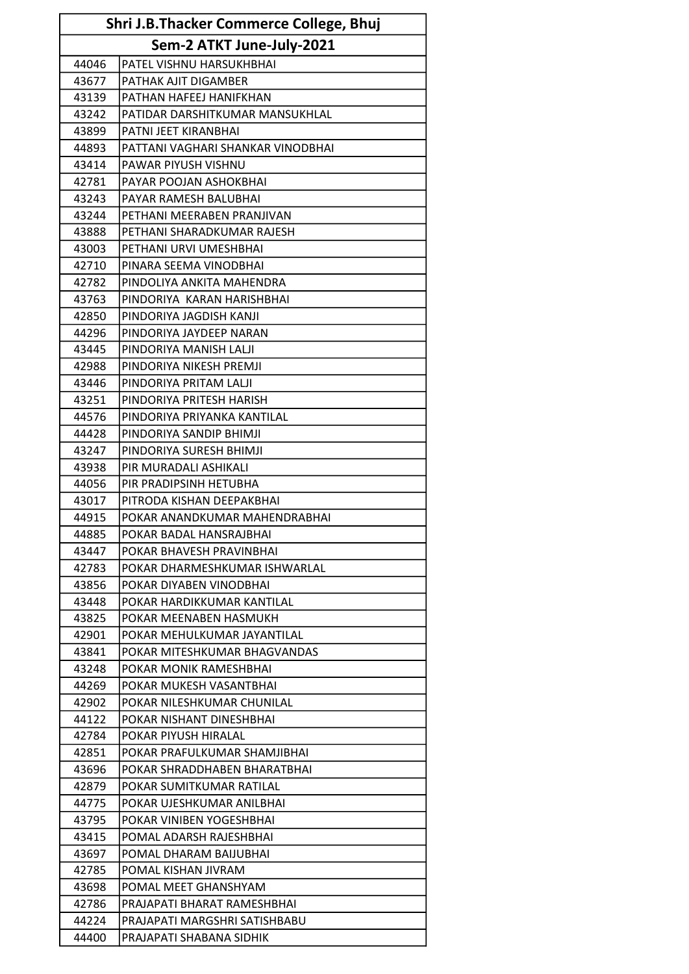| Shri J.B.Thacker Commerce College, Bhuj |                                   |  |
|-----------------------------------------|-----------------------------------|--|
| Sem-2 ATKT June-July-2021               |                                   |  |
| 44046                                   | PATEL VISHNU HARSUKHBHAI          |  |
| 43677                                   | PATHAK AJIT DIGAMBER              |  |
| 43139                                   | PATHAN HAFEEJ HANIFKHAN           |  |
| 43242                                   | PATIDAR DARSHITKUMAR MANSUKHLAL   |  |
| 43899                                   | PATNI JEET KIRANBHAI              |  |
| 44893                                   | PATTANI VAGHARI SHANKAR VINODBHAI |  |
| 43414                                   | PAWAR PIYUSH VISHNU               |  |
| 42781                                   | PAYAR POOJAN ASHOKBHAI            |  |
| 43243                                   | PAYAR RAMESH BALUBHAI             |  |
| 43244                                   | PETHANI MEERABEN PRANJIVAN        |  |
| 43888                                   | PETHANI SHARADKUMAR RAJESH        |  |
| 43003                                   | PETHANI URVI UMESHBHAI            |  |
| 42710                                   | PINARA SEEMA VINODBHAI            |  |
| 42782                                   | PINDOLIYA ANKITA MAHENDRA         |  |
| 43763                                   | PINDORIYA KARAN HARISHBHAI        |  |
| 42850                                   | PINDORIYA JAGDISH KANJI           |  |
| 44296                                   | PINDORIYA JAYDEEP NARAN           |  |
| 43445                                   | PINDORIYA MANISH LALJI            |  |
| 42988                                   | PINDORIYA NIKESH PREMJI           |  |
| 43446                                   | PINDORIYA PRITAM LALJI            |  |
| 43251                                   | PINDORIYA PRITESH HARISH          |  |
| 44576                                   | PINDORIYA PRIYANKA KANTILAL       |  |
| 44428                                   | PINDORIYA SANDIP BHIMJI           |  |
| 43247                                   | PINDORIYA SURESH BHIMJI           |  |
| 43938                                   | PIR MURADALI ASHIKALI             |  |
| 44056                                   | PIR PRADIPSINH HETUBHA            |  |
| 43017                                   | PITRODA KISHAN DEEPAKBHAI         |  |
| 44915                                   | POKAR ANANDKUMAR MAHENDRABHAI     |  |
| 44885                                   | POKAR BADAL HANSRAJBHAI           |  |
| 43447                                   | POKAR BHAVESH PRAVINBHAI          |  |
| 42783                                   | POKAR DHARMESHKUMAR ISHWARLAL     |  |
| 43856                                   | POKAR DIYABEN VINODBHAI           |  |
| 43448                                   | POKAR HARDIKKUMAR KANTILAL        |  |
| 43825                                   | POKAR MEENABEN HASMUKH            |  |
| 42901                                   | POKAR MEHULKUMAR JAYANTILAL       |  |
| 43841                                   | POKAR MITESHKUMAR BHAGVANDAS      |  |
| 43248                                   | POKAR MONIK RAMESHBHAI            |  |
| 44269                                   | POKAR MUKESH VASANTBHAI           |  |
| 42902                                   | POKAR NILESHKUMAR CHUNILAL        |  |
| 44122                                   | POKAR NISHANT DINESHBHAI          |  |
| 42784                                   | POKAR PIYUSH HIRALAL              |  |
| 42851                                   | POKAR PRAFULKUMAR SHAMJIBHAI      |  |
| 43696                                   | POKAR SHRADDHABEN BHARATBHAI      |  |
| 42879                                   | POKAR SUMITKUMAR RATILAL          |  |
| 44775                                   | POKAR UJESHKUMAR ANILBHAI         |  |
| 43795                                   | POKAR VINIBEN YOGESHBHAI          |  |
| 43415                                   | POMAL ADARSH RAJESHBHAI           |  |
| 43697                                   | POMAL DHARAM BAIJUBHAI            |  |
| 42785                                   | POMAL KISHAN JIVRAM               |  |
| 43698                                   | POMAL MEET GHANSHYAM              |  |
| 42786                                   | PRAJAPATI BHARAT RAMESHBHAI       |  |
| 44224                                   | PRAJAPATI MARGSHRI SATISHBABU     |  |
| 44400                                   | PRAJAPATI SHABANA SIDHIK          |  |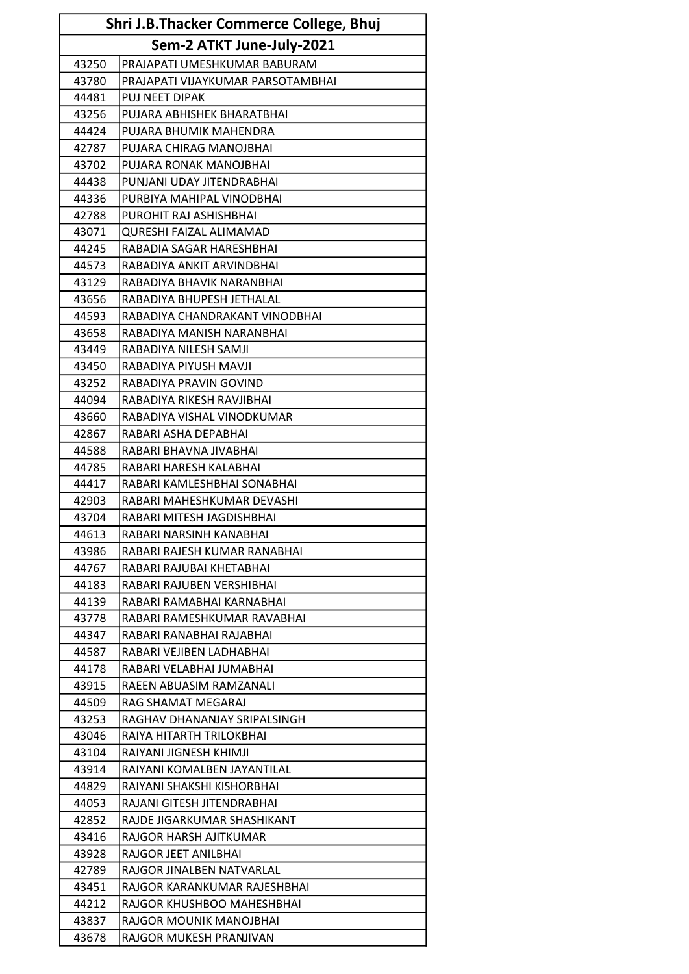| Shri J.B.Thacker Commerce College, Bhuj |                                   |  |
|-----------------------------------------|-----------------------------------|--|
| Sem-2 ATKT June-July-2021               |                                   |  |
| 43250                                   | PRAJAPATI UMESHKUMAR BABURAM      |  |
| 43780                                   | PRAJAPATI VIJAYKUMAR PARSOTAMBHAI |  |
| 44481                                   | PUJ NEET DIPAK                    |  |
| 43256                                   | PUJARA ABHISHEK BHARATBHAI        |  |
| 44424                                   | PUJARA BHUMIK MAHENDRA            |  |
| 42787                                   | PUJARA CHIRAG MANOJBHAI           |  |
| 43702                                   | PUJARA RONAK MANOJBHAI            |  |
| 44438                                   | PUNJANI UDAY JITENDRABHAI         |  |
| 44336                                   | PURBIYA MAHIPAL VINODBHAI         |  |
| 42788                                   | PUROHIT RAJ ASHISHBHAI            |  |
| 43071                                   | QURESHI FAIZAL ALIMAMAD           |  |
| 44245                                   | RABADIA SAGAR HARESHBHAI          |  |
| 44573                                   | RABADIYA ANKIT ARVINDBHAI         |  |
| 43129                                   | RABADIYA BHAVIK NARANBHAI         |  |
| 43656                                   | RABADIYA BHUPESH JETHALAL         |  |
| 44593                                   | RABADIYA CHANDRAKANT VINODBHAI    |  |
| 43658                                   | RABADIYA MANISH NARANBHAI         |  |
| 43449                                   | RABADIYA NILESH SAMJI             |  |
| 43450                                   | RABADIYA PIYUSH MAVJI             |  |
| 43252                                   | RABADIYA PRAVIN GOVIND            |  |
| 44094                                   | RABADIYA RIKESH RAVJIBHAI         |  |
| 43660                                   | RABADIYA VISHAL VINODKUMAR        |  |
| 42867                                   | RABARI ASHA DEPABHAI              |  |
| 44588                                   | RABARI BHAVNA JIVABHAI            |  |
| 44785                                   | RABARI HARESH KALABHAI            |  |
| 44417                                   | RABARI KAMLESHBHAI SONABHAI       |  |
| 42903                                   | RABARI MAHESHKUMAR DEVASHI        |  |
| 43704                                   | RABARI MITESH JAGDISHBHAI         |  |
| 44613                                   | RABARI NARSINH KANABHAI           |  |
| 43986                                   | RABARI RAJESH KUMAR RANABHAI      |  |
| 44767                                   | RABARI RAJUBAI KHETABHAI          |  |
| 44183                                   | RABARI RAJUBEN VERSHIBHAI         |  |
| 44139                                   | RABARI RAMABHAI KARNABHAI         |  |
| 43778                                   | RABARI RAMESHKUMAR RAVABHAI       |  |
| 44347                                   | RABARI RANABHAI RAJABHAI          |  |
| 44587                                   | RABARI VEJIBEN LADHABHAI          |  |
| 44178                                   | RABARI VELABHAI JUMABHAI          |  |
| 43915                                   | RAEEN ABUASIM RAMZANALI           |  |
| 44509                                   | RAG SHAMAT MEGARAJ                |  |
| 43253                                   | RAGHAV DHANANJAY SRIPALSINGH      |  |
| 43046                                   | RAIYA HITARTH TRILOKBHAI          |  |
| 43104                                   | RAIYANI JIGNESH KHIMJI            |  |
| 43914                                   | RAIYANI KOMALBEN JAYANTILAL       |  |
| 44829                                   | RAIYANI SHAKSHI KISHORBHAI        |  |
| 44053                                   | RAJANI GITESH JITENDRABHAI        |  |
| 42852                                   | RAJDE JIGARKUMAR SHASHIKANT       |  |
| 43416                                   | RAJGOR HARSH AJITKUMAR            |  |
| 43928                                   | RAJGOR JEET ANILBHAI              |  |
| 42789                                   | RAJGOR JINALBEN NATVARLAL         |  |
| 43451                                   | RAJGOR KARANKUMAR RAJESHBHAI      |  |
| 44212                                   | RAJGOR KHUSHBOO MAHESHBHAI        |  |
| 43837                                   | RAJGOR MOUNIK MANOJBHAI           |  |
| 43678                                   | RAJGOR MUKESH PRANJIVAN           |  |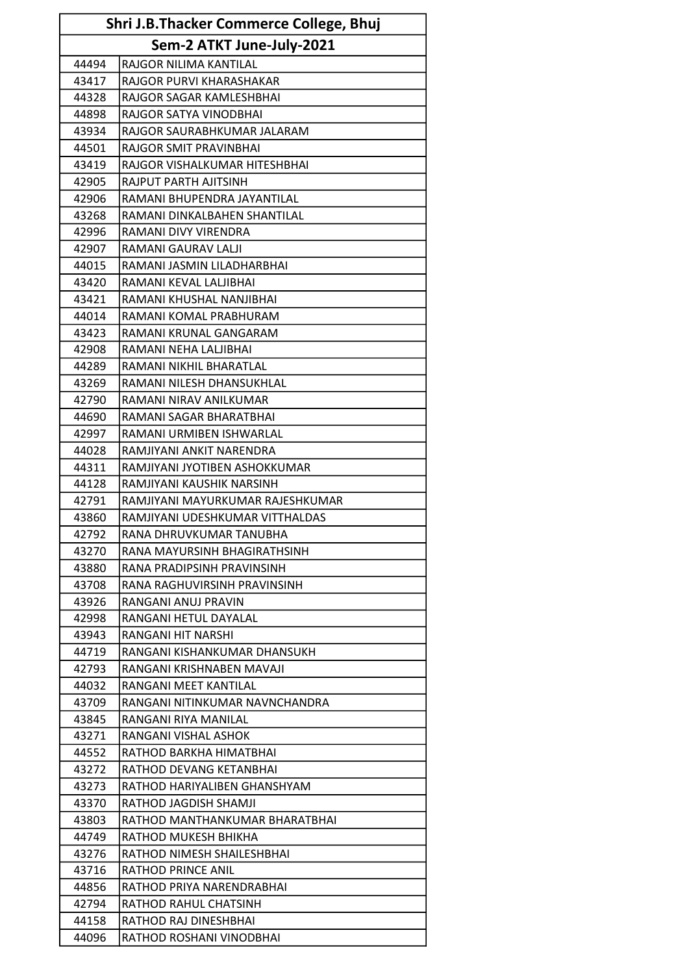| Shri J.B.Thacker Commerce College, Bhuj |                                  |
|-----------------------------------------|----------------------------------|
|                                         | Sem-2 ATKT June-July-2021        |
| 44494                                   | RAJGOR NILIMA KANTILAL           |
| 43417                                   | RAJGOR PURVI KHARASHAKAR         |
| 44328                                   | RAJGOR SAGAR KAMLESHBHAI         |
| 44898                                   | RAJGOR SATYA VINODBHAI           |
| 43934                                   | RAJGOR SAURABHKUMAR JALARAM      |
| 44501                                   | RAJGOR SMIT PRAVINBHAI           |
| 43419                                   | RAJGOR VISHALKUMAR HITESHBHAI    |
| 42905                                   | RAJPUT PARTH AJITSINH            |
| 42906                                   | RAMANI BHUPENDRA JAYANTILAL      |
| 43268                                   | RAMANI DINKALBAHEN SHANTILAL     |
| 42996                                   | RAMANI DIVY VIRENDRA             |
| 42907                                   | RAMANI GAURAV LALJI              |
| 44015                                   | RAMANI JASMIN LILADHARBHAI       |
| 43420                                   | RAMANI KEVAL LALJIBHAI           |
| 43421                                   | RAMANI KHUSHAL NANJIBHAI         |
| 44014                                   | RAMANI KOMAL PRABHURAM           |
| 43423                                   | RAMANI KRUNAL GANGARAM           |
| 42908                                   | RAMANI NEHA LALJIBHAI            |
| 44289                                   | RAMANI NIKHIL BHARATLAL          |
| 43269                                   | RAMANI NILESH DHANSUKHLAL        |
| 42790                                   | RAMANI NIRAV ANILKUMAR           |
| 44690                                   | RAMANI SAGAR BHARATBHAI          |
| 42997                                   | RAMANI URMIBEN ISHWARLAL         |
| 44028                                   | RAMJIYANI ANKIT NARENDRA         |
| 44311                                   | RAMJIYANI JYOTIBEN ASHOKKUMAR    |
| 44128                                   | RAMJIYANI KAUSHIK NARSINH        |
| 42791                                   | RAMJIYANI MAYURKUMAR RAJESHKUMAR |
| 43860                                   | RAMJIYANI UDESHKUMAR VITTHALDAS  |
| 42792                                   | RANA DHRUVKUMAR TANUBHA          |
| 43270                                   | RANA MAYURSINH BHAGIRATHSINH     |
| 43880                                   | RANA PRADIPSINH PRAVINSINH       |
| 43708                                   | RANA RAGHUVIRSINH PRAVINSINH     |
| 43926                                   | RANGANI ANUJ PRAVIN              |
| 42998                                   | RANGANI HETUL DAYALAL            |
| 43943                                   | RANGANI HIT NARSHI               |
| 44719                                   | RANGANI KISHANKUMAR DHANSUKH     |
| 42793                                   | RANGANI KRISHNABEN MAVAJI        |
| 44032                                   | RANGANI MEET KANTILAL            |
| 43709                                   | RANGANI NITINKUMAR NAVNCHANDRA   |
| 43845                                   | RANGANI RIYA MANILAL             |
| 43271                                   | RANGANI VISHAL ASHOK             |
| 44552                                   | RATHOD BARKHA HIMATBHAI          |
| 43272                                   | RATHOD DEVANG KETANBHAI          |
| 43273                                   | RATHOD HARIYALIBEN GHANSHYAM     |
| 43370                                   | RATHOD JAGDISH SHAMJI            |
| 43803                                   | RATHOD MANTHANKUMAR BHARATBHAI   |
| 44749                                   | RATHOD MUKESH BHIKHA             |
| 43276                                   | RATHOD NIMESH SHAILESHBHAI       |
| 43716                                   | RATHOD PRINCE ANIL               |
| 44856                                   | RATHOD PRIYA NARENDRABHAI        |
| 42794                                   | RATHOD RAHUL CHATSINH            |
| 44158                                   | RATHOD RAJ DINESHBHAI            |
| 44096                                   | RATHOD ROSHANI VINODBHAI         |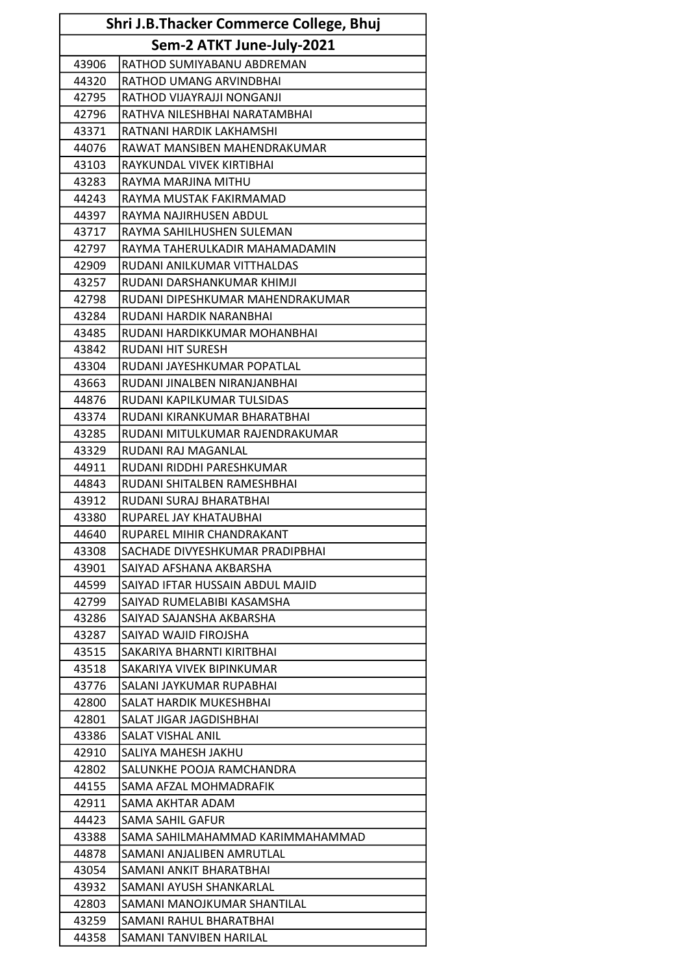| Shri J.B.Thacker Commerce College, Bhuj |                                  |  |  |
|-----------------------------------------|----------------------------------|--|--|
|                                         | Sem-2 ATKT June-July-2021        |  |  |
| 43906                                   | RATHOD SUMIYABANU ABDREMAN       |  |  |
| 44320                                   | RATHOD UMANG ARVINDBHAI          |  |  |
| 42795                                   | RATHOD VIJAYRAJJI NONGANJI       |  |  |
| 42796                                   | RATHVA NILESHBHAI NARATAMBHAI    |  |  |
| 43371                                   | RATNANI HARDIK LAKHAMSHI         |  |  |
| 44076                                   | RAWAT MANSIBEN MAHENDRAKUMAR     |  |  |
| 43103                                   | RAYKUNDAL VIVEK KIRTIBHAI        |  |  |
| 43283                                   | RAYMA MARJINA MITHU              |  |  |
| 44243                                   | RAYMA MUSTAK FAKIRMAMAD          |  |  |
| 44397                                   | RAYMA NAJIRHUSEN ABDUL           |  |  |
| 43717                                   | RAYMA SAHILHUSHEN SULEMAN        |  |  |
| 42797                                   | RAYMA TAHERULKADIR MAHAMADAMIN   |  |  |
| 42909                                   | RUDANI ANILKUMAR VITTHALDAS      |  |  |
| 43257                                   | RUDANI DARSHANKUMAR KHIMJI       |  |  |
| 42798                                   | RUDANI DIPESHKUMAR MAHENDRAKUMAR |  |  |
| 43284                                   | RUDANI HARDIK NARANBHAI          |  |  |
| 43485                                   | RUDANI HARDIKKUMAR MOHANBHAI     |  |  |
| 43842                                   | <b>RUDANI HIT SURESH</b>         |  |  |
| 43304                                   | RUDANI JAYESHKUMAR POPATLAL      |  |  |
| 43663                                   | RUDANI JINALBEN NIRANJANBHAI     |  |  |
| 44876                                   | RUDANI KAPILKUMAR TULSIDAS       |  |  |
| 43374                                   | RUDANI KIRANKUMAR BHARATBHAI     |  |  |
| 43285                                   | RUDANI MITULKUMAR RAJENDRAKUMAR  |  |  |
| 43329                                   | RUDANI RAJ MAGANLAL              |  |  |
| 44911                                   | RUDANI RIDDHI PARESHKUMAR        |  |  |
| 44843                                   | RUDANI SHITALBEN RAMESHBHAI      |  |  |
| 43912                                   | RUDANI SURAJ BHARATBHAI          |  |  |
| 43380                                   | RUPAREL JAY KHATAUBHAI           |  |  |
| 44640                                   | RUPAREL MIHIR CHANDRAKANT        |  |  |
| 43308                                   | SACHADE DIVYESHKUMAR PRADIPBHAI  |  |  |
| 43901                                   | SAIYAD AFSHANA AKBARSHA          |  |  |
| 44599                                   | SAIYAD IFTAR HUSSAIN ABDUL MAJID |  |  |
| 42799                                   | SAIYAD RUMELABIBI KASAMSHA       |  |  |
| 43286                                   | SAIYAD SAJANSHA AKBARSHA         |  |  |
| 43287                                   | SAIYAD WAJID FIROJSHA            |  |  |
| 43515                                   | SAKARIYA BHARNTI KIRITBHAI       |  |  |
| 43518                                   | SAKARIYA VIVEK BIPINKUMAR        |  |  |
| 43776                                   | SALANI JAYKUMAR RUPABHAI         |  |  |
| 42800                                   | SALAT HARDIK MUKESHBHAI          |  |  |
| 42801                                   | SALAT JIGAR JAGDISHBHAI          |  |  |
| 43386                                   | SALAT VISHAL ANIL                |  |  |
| 42910                                   | SALIYA MAHESH JAKHU              |  |  |
| 42802                                   | SALUNKHE POOJA RAMCHANDRA        |  |  |
| 44155                                   | SAMA AFZAL MOHMADRAFIK           |  |  |
| 42911                                   | SAMA AKHTAR ADAM                 |  |  |
| 44423                                   | SAMA SAHIL GAFUR                 |  |  |
| 43388                                   | SAMA SAHILMAHAMMAD KARIMMAHAMMAD |  |  |
| 44878                                   | SAMANI ANJALIBEN AMRUTLAL        |  |  |
| 43054                                   | SAMANI ANKIT BHARATBHAI          |  |  |
| 43932                                   | SAMANI AYUSH SHANKARLAL          |  |  |
| 42803                                   | SAMANI MANOJKUMAR SHANTILAL      |  |  |
| 43259                                   | SAMANI RAHUL BHARATBHAI          |  |  |
| 44358                                   | SAMANI TANVIBEN HARILAL          |  |  |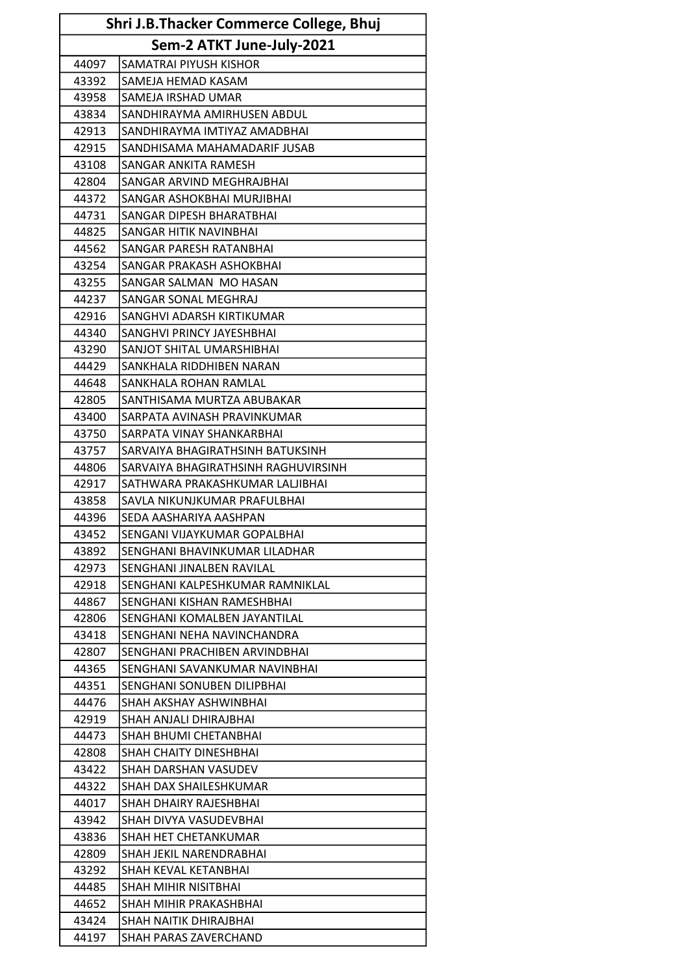| <b>Shri J.B.Thacker Commerce College, Bhuj</b> |                                     |  |  |
|------------------------------------------------|-------------------------------------|--|--|
|                                                | Sem-2 ATKT June-July-2021           |  |  |
| 44097                                          | SAMATRAI PIYUSH KISHOR              |  |  |
| 43392                                          | SAMEJA HEMAD KASAM                  |  |  |
| 43958                                          | SAMEJA IRSHAD UMAR                  |  |  |
| 43834                                          | SANDHIRAYMA AMIRHUSEN ABDUL         |  |  |
| 42913                                          | SANDHIRAYMA IMTIYAZ AMADBHAI        |  |  |
| 42915                                          | SANDHISAMA MAHAMADARIF JUSAB        |  |  |
| 43108                                          | SANGAR ANKITA RAMESH                |  |  |
| 42804                                          | SANGAR ARVIND MEGHRAJBHAI           |  |  |
| 44372                                          | SANGAR ASHOKBHAI MURJIBHAI          |  |  |
| 44731                                          | SANGAR DIPESH BHARATBHAI            |  |  |
| 44825                                          | SANGAR HITIK NAVINBHAI              |  |  |
| 44562                                          | SANGAR PARESH RATANBHAI             |  |  |
| 43254                                          | SANGAR PRAKASH ASHOKBHAI            |  |  |
| 43255                                          | SANGAR SALMAN MO HASAN              |  |  |
| 44237                                          | SANGAR SONAL MEGHRAJ                |  |  |
| 42916                                          | SANGHVI ADARSH KIRTIKUMAR           |  |  |
| 44340                                          | SANGHVI PRINCY JAYESHBHAI           |  |  |
| 43290                                          | SANJOT SHITAL UMARSHIBHAI           |  |  |
| 44429                                          | SANKHALA RIDDHIBEN NARAN            |  |  |
| 44648                                          | SANKHALA ROHAN RAMLAL               |  |  |
| 42805                                          | SANTHISAMA MURTZA ABUBAKAR          |  |  |
| 43400                                          | SARPATA AVINASH PRAVINKUMAR         |  |  |
| 43750                                          | SARPATA VINAY SHANKARBHAI           |  |  |
| 43757                                          | SARVAIYA BHAGIRATHSINH BATUKSINH    |  |  |
| 44806                                          | SARVAIYA BHAGIRATHSINH RAGHUVIRSINH |  |  |
| 42917                                          | SATHWARA PRAKASHKUMAR LALJIBHAI     |  |  |
| 43858                                          | SAVLA NIKUNJKUMAR PRAFULBHAI        |  |  |
| 44396                                          | SEDA AASHARIYA AASHPAN              |  |  |
| 43452                                          | SENGANI VIJAYKUMAR GOPALBHAI        |  |  |
| 43892                                          | SENGHANI BHAVINKUMAR LILADHAR       |  |  |
| 42973                                          | SENGHANI JINALBEN RAVILAL           |  |  |
| 42918                                          | SENGHANI KALPESHKUMAR RAMNIKLAL     |  |  |
| 44867                                          | SENGHANI KISHAN RAMESHBHAI          |  |  |
| 42806                                          | SENGHANI KOMALBEN JAYANTILAL        |  |  |
| 43418                                          | SENGHANI NEHA NAVINCHANDRA          |  |  |
| 42807                                          | SENGHANI PRACHIBEN ARVINDBHAI       |  |  |
| 44365                                          | SENGHANI SAVANKUMAR NAVINBHAI       |  |  |
| 44351                                          | SENGHANI SONUBEN DILIPBHAI          |  |  |
| 44476                                          | SHAH AKSHAY ASHWINBHAI              |  |  |
| 42919                                          | SHAH ANJALI DHIRAJBHAI              |  |  |
| 44473                                          | SHAH BHUMI CHETANBHAI               |  |  |
| 42808                                          | SHAH CHAITY DINESHBHAI              |  |  |
| 43422                                          | SHAH DARSHAN VASUDEV                |  |  |
| 44322                                          | SHAH DAX SHAILESHKUMAR              |  |  |
| 44017                                          | SHAH DHAIRY RAJESHBHAI              |  |  |
| 43942                                          | SHAH DIVYA VASUDEVBHAI              |  |  |
| 43836                                          | SHAH HET CHETANKUMAR                |  |  |
| 42809                                          | SHAH JEKIL NARENDRABHAI             |  |  |
| 43292                                          | SHAH KEVAL KETANBHAI                |  |  |
| 44485                                          | SHAH MIHIR NISITBHAI                |  |  |
| 44652                                          | SHAH MIHIR PRAKASHBHAI              |  |  |
| 43424                                          | SHAH NAITIK DHIRAJBHAI              |  |  |
| 44197                                          | SHAH PARAS ZAVERCHAND               |  |  |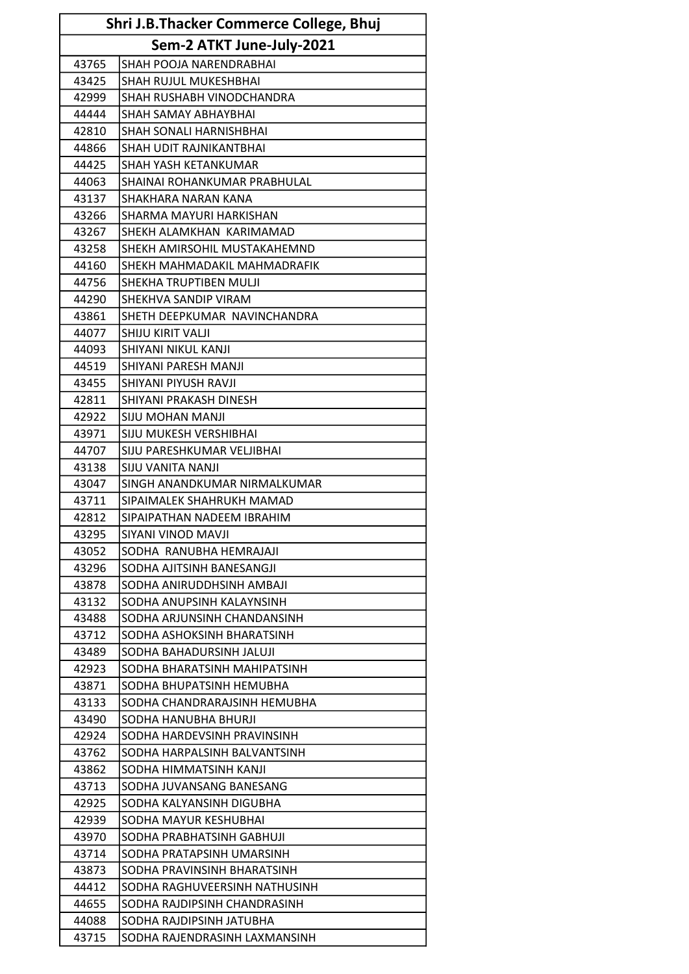| <b>Shri J.B.Thacker Commerce College, Bhuj</b> |                                |  |  |
|------------------------------------------------|--------------------------------|--|--|
|                                                | Sem-2 ATKT June-July-2021      |  |  |
| 43765                                          | SHAH POOJA NARENDRABHAI        |  |  |
| 43425                                          | SHAH RUJUL MUKESHBHAI          |  |  |
| 42999                                          | SHAH RUSHABH VINODCHANDRA      |  |  |
| 44444                                          | <b>SHAH SAMAY ABHAYBHAI</b>    |  |  |
| 42810                                          | <b>SHAH SONALI HARNISHBHAI</b> |  |  |
| 44866                                          | SHAH UDIT RAJNIKANTBHAI        |  |  |
| 44425                                          | SHAH YASH KETANKUMAR           |  |  |
| 44063                                          | SHAINAI ROHANKUMAR PRABHULAL   |  |  |
| 43137                                          | SHAKHARA NARAN KANA            |  |  |
| 43266                                          | SHARMA MAYURI HARKISHAN        |  |  |
| 43267                                          | SHEKH ALAMKHAN KARIMAMAD       |  |  |
| 43258                                          | SHEKH AMIRSOHIL MUSTAKAHEMND   |  |  |
| 44160                                          | SHEKH MAHMADAKIL MAHMADRAFIK   |  |  |
| 44756                                          | SHEKHA TRUPTIBEN MULJI         |  |  |
| 44290                                          | SHEKHVA SANDIP VIRAM           |  |  |
| 43861                                          | SHETH DEEPKUMAR NAVINCHANDRA   |  |  |
| 44077                                          | SHIJU KIRIT VALJI              |  |  |
| 44093                                          | SHIYANI NIKUL KANJI            |  |  |
| 44519                                          | SHIYANI PARESH MANJI           |  |  |
| 43455                                          | SHIYANI PIYUSH RAVJI           |  |  |
| 42811                                          | SHIYANI PRAKASH DINESH         |  |  |
| 42922                                          | <b>SIJU MOHAN MANJI</b>        |  |  |
| 43971                                          | <b>SIJU MUKESH VERSHIBHAI</b>  |  |  |
| 44707                                          | SIJU PARESHKUMAR VELJIBHAI     |  |  |
| 43138                                          | <b>SIJU VANITA NANJI</b>       |  |  |
| 43047                                          | SINGH ANANDKUMAR NIRMALKUMAR   |  |  |
| 43711                                          | SIPAIMALEK SHAHRUKH MAMAD      |  |  |
| 42812                                          | SIPAIPATHAN NADEEM IBRAHIM     |  |  |
| 43295                                          | SIYANI VINOD MAVJI             |  |  |
| 43052                                          | SODHA RANUBHA HEMRAJAJI        |  |  |
| 43296                                          | SODHA AJITSINH BANESANGJI      |  |  |
| 43878                                          | SODHA ANIRUDDHSINH AMBAJI      |  |  |
| 43132                                          | SODHA ANUPSINH KALAYNSINH      |  |  |
| 43488                                          | SODHA ARJUNSINH CHANDANSINH    |  |  |
| 43712                                          | SODHA ASHOKSINH BHARATSINH     |  |  |
| 43489                                          | SODHA BAHADURSINH JALUJI       |  |  |
| 42923                                          | SODHA BHARATSINH MAHIPATSINH   |  |  |
| 43871                                          | SODHA BHUPATSINH HEMUBHA       |  |  |
| 43133                                          | SODHA CHANDRARAJSINH HEMUBHA   |  |  |
| 43490                                          | SODHA HANUBHA BHURJI           |  |  |
| 42924                                          | SODHA HARDEVSINH PRAVINSINH    |  |  |
| 43762                                          | SODHA HARPALSINH BALVANTSINH   |  |  |
| 43862                                          | SODHA HIMMATSINH KANJI         |  |  |
| 43713                                          | SODHA JUVANSANG BANESANG       |  |  |
| 42925                                          | SODHA KALYANSINH DIGUBHA       |  |  |
| 42939                                          | SODHA MAYUR KESHUBHAI          |  |  |
| 43970                                          | SODHA PRABHATSINH GABHUJI      |  |  |
| 43714                                          | SODHA PRATAPSINH UMARSINH      |  |  |
| 43873                                          | SODHA PRAVINSINH BHARATSINH    |  |  |
| 44412                                          | SODHA RAGHUVEERSINH NATHUSINH  |  |  |
| 44655                                          | SODHA RAJDIPSINH CHANDRASINH   |  |  |
| 44088                                          | SODHA RAJDIPSINH JATUBHA       |  |  |
| 43715                                          | SODHA RAJENDRASINH LAXMANSINH  |  |  |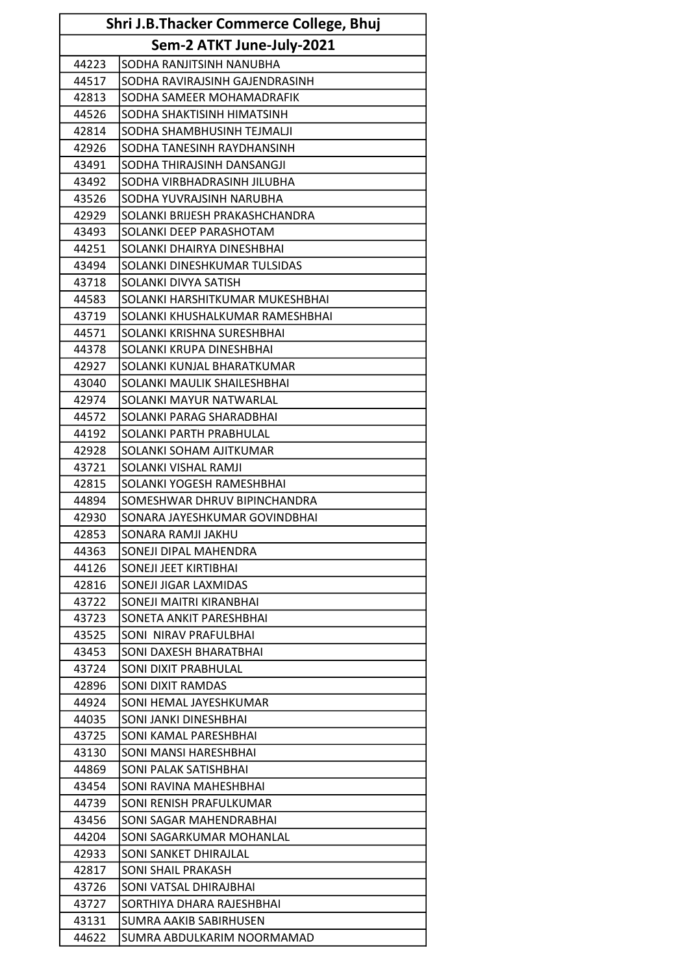| Shri J.B.Thacker Commerce College, Bhuj |                                 |  |
|-----------------------------------------|---------------------------------|--|
| Sem-2 ATKT June-July-2021               |                                 |  |
| 44223                                   | SODHA RANJITSINH NANUBHA        |  |
| 44517                                   | SODHA RAVIRAJSINH GAJENDRASINH  |  |
| 42813                                   | SODHA SAMEER MOHAMADRAFIK       |  |
| 44526                                   | SODHA SHAKTISINH HIMATSINH      |  |
| 42814                                   | SODHA SHAMBHUSINH TEJMALJI      |  |
| 42926                                   | SODHA TANESINH RAYDHANSINH      |  |
| 43491                                   | SODHA THIRAJSINH DANSANGJI      |  |
| 43492                                   | SODHA VIRBHADRASINH JILUBHA     |  |
| 43526                                   | SODHA YUVRAJSINH NARUBHA        |  |
| 42929                                   | SOLANKI BRIJESH PRAKASHCHANDRA  |  |
| 43493                                   | SOLANKI DEEP PARASHOTAM         |  |
| 44251                                   | SOLANKI DHAIRYA DINESHBHAI      |  |
| 43494                                   | SOLANKI DINESHKUMAR TULSIDAS    |  |
| 43718                                   | SOLANKI DIVYA SATISH            |  |
| 44583                                   | SOLANKI HARSHITKUMAR MUKESHBHAI |  |
| 43719                                   | SOLANKI KHUSHALKUMAR RAMESHBHAI |  |
| 44571                                   | SOLANKI KRISHNA SURESHBHAI      |  |
| 44378                                   | SOLANKI KRUPA DINESHBHAI        |  |
| 42927                                   | SOLANKI KUNJAL BHARATKUMAR      |  |
| 43040                                   | SOLANKI MAULIK SHAILESHBHAI     |  |
| 42974                                   | SOLANKI MAYUR NATWARLAL         |  |
| 44572                                   | SOLANKI PARAG SHARADBHAI        |  |
| 44192                                   | SOLANKI PARTH PRABHULAL         |  |
| 42928                                   | SOLANKI SOHAM AJITKUMAR         |  |
| 43721                                   | SOLANKI VISHAL RAMJI            |  |
| 42815                                   | SOLANKI YOGESH RAMESHBHAI       |  |
| 44894                                   | SOMESHWAR DHRUV BIPINCHANDRA    |  |
| 42930                                   | SONARA JAYESHKUMAR GOVINDBHAI   |  |
| 42853                                   | SONARA RAMJI JAKHU              |  |
| 44363                                   | SONEJI DIPAL MAHENDRA           |  |
| 44126                                   | SONEJI JEET KIRTIBHAI           |  |
| 42816                                   | SONEJI JIGAR LAXMIDAS           |  |
| 43722                                   | SONEJI MAITRI KIRANBHAI         |  |
| 43723                                   | SONETA ANKIT PARESHBHAI         |  |
| 43525                                   | SONI NIRAV PRAFULBHAI           |  |
| 43453                                   | SONI DAXESH BHARATBHAI          |  |
| 43724                                   | SONI DIXIT PRABHULAL            |  |
| 42896                                   | SONI DIXIT RAMDAS               |  |
| 44924                                   | SONI HEMAL JAYESHKUMAR          |  |
| 44035                                   | SONI JANKI DINESHBHAI           |  |
| 43725                                   | SONI KAMAL PARESHBHAI           |  |
| 43130                                   | SONI MANSI HARESHBHAI           |  |
| 44869                                   | SONI PALAK SATISHBHAI           |  |
| 43454                                   | SONI RAVINA MAHESHBHAI          |  |
| 44739                                   | SONI RENISH PRAFULKUMAR         |  |
| 43456                                   | SONI SAGAR MAHENDRABHAI         |  |
| 44204                                   | SONI SAGARKUMAR MOHANLAL        |  |
| 42933                                   | SONI SANKET DHIRAJLAL           |  |
| 42817                                   | SONI SHAIL PRAKASH              |  |
| 43726                                   | SONI VATSAL DHIRAJBHAI          |  |
| 43727                                   | SORTHIYA DHARA RAJESHBHAI       |  |
| 43131                                   | SUMRA AAKIB SABIRHUSEN          |  |
| 44622                                   | SUMRA ABDULKARIM NOORMAMAD      |  |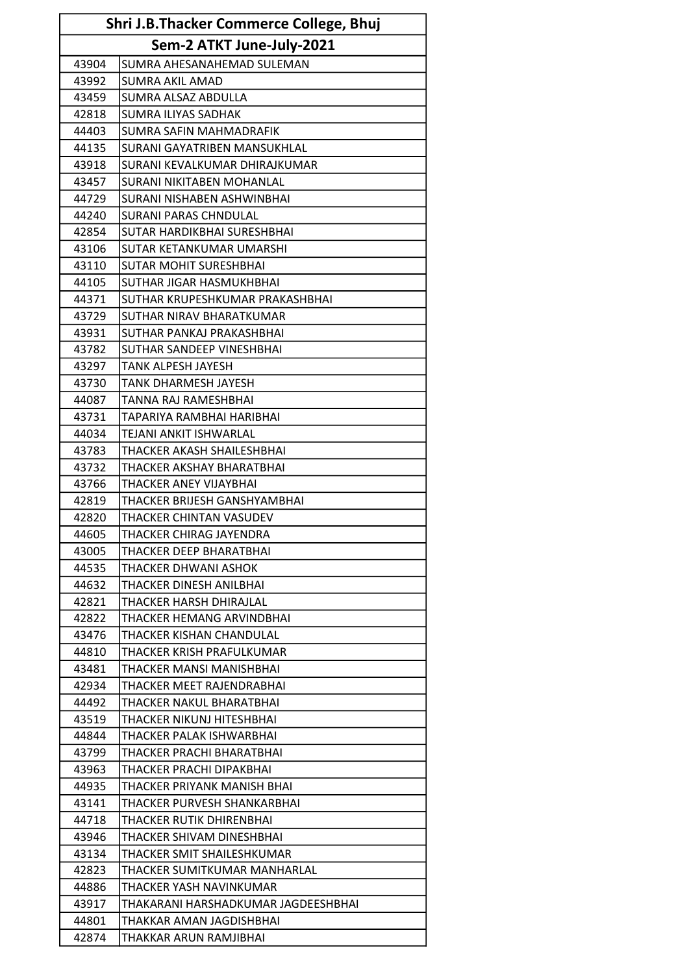| Shri J.B.Thacker Commerce College, Bhuj |                                     |  |  |
|-----------------------------------------|-------------------------------------|--|--|
|                                         | Sem-2 ATKT June-July-2021           |  |  |
| 43904                                   | SUMRA AHESANAHEMAD SULEMAN          |  |  |
| 43992                                   | <b>SUMRA AKIL AMAD</b>              |  |  |
| 43459                                   | SUMRA ALSAZ ABDULLA                 |  |  |
| 42818                                   | <b>SUMRA ILIYAS SADHAK</b>          |  |  |
| 44403                                   | SUMRA SAFIN MAHMADRAFIK             |  |  |
| 44135                                   | SURANI GAYATRIBEN MANSUKHLAL        |  |  |
| 43918                                   | SURANI KEVALKUMAR DHIRAJKUMAR       |  |  |
| 43457                                   | SURANI NIKITABEN MOHANLAL           |  |  |
| 44729                                   | SURANI NISHABEN ASHWINBHAI          |  |  |
| 44240                                   | <b>SURANI PARAS CHNDULAL</b>        |  |  |
| 42854                                   | SUTAR HARDIKBHAI SURESHBHAI         |  |  |
| 43106                                   | SUTAR KETANKUMAR UMARSHI            |  |  |
| 43110                                   | <b>SUTAR MOHIT SURESHBHAI</b>       |  |  |
| 44105                                   | SUTHAR JIGAR HASMUKHBHAI            |  |  |
| 44371                                   | SUTHAR KRUPESHKUMAR PRAKASHBHAI     |  |  |
| 43729                                   | SUTHAR NIRAV BHARATKUMAR            |  |  |
| 43931                                   | SUTHAR PANKAJ PRAKASHBHAI           |  |  |
| 43782                                   | SUTHAR SANDEEP VINESHBHAI           |  |  |
| 43297                                   | <b>TANK ALPESH JAYESH</b>           |  |  |
| 43730                                   | <b>TANK DHARMESH JAYESH</b>         |  |  |
| 44087                                   | TANNA RAJ RAMESHBHAI                |  |  |
| 43731                                   | TAPARIYA RAMBHAI HARIBHAI           |  |  |
| 44034                                   | TEJANI ANKIT ISHWARLAL              |  |  |
| 43783                                   | THACKER AKASH SHAILESHBHAI          |  |  |
| 43732                                   | THACKER AKSHAY BHARATBHAI           |  |  |
| 43766                                   | THACKER ANEY VIJAYBHAI              |  |  |
| 42819                                   | THACKER BRIJESH GANSHYAMBHAI        |  |  |
| 42820                                   | THACKER CHINTAN VASUDEV             |  |  |
| 44605                                   | THACKER CHIRAG JAYENDRA             |  |  |
| 43005                                   | THACKER DEEP BHARATBHAI             |  |  |
| 44535                                   | THACKER DHWANI ASHOK                |  |  |
| 44632                                   | THACKER DINESH ANILBHAI             |  |  |
| 42821                                   | THACKER HARSH DHIRAJLAL             |  |  |
| 42822                                   | THACKER HEMANG ARVINDBHAI           |  |  |
| 43476                                   | THACKER KISHAN CHANDULAL            |  |  |
| 44810                                   | THACKER KRISH PRAFULKUMAR           |  |  |
| 43481                                   | THACKER MANSI MANISHBHAI            |  |  |
| 42934                                   | THACKER MEET RAJENDRABHAI           |  |  |
| 44492                                   | THACKER NAKUL BHARATBHAI            |  |  |
| 43519                                   | THACKER NIKUNJ HITESHBHAI           |  |  |
| 44844                                   | THACKER PALAK ISHWARBHAI            |  |  |
| 43799                                   | THACKER PRACHI BHARATBHAI           |  |  |
| 43963                                   | THACKER PRACHI DIPAKBHAI            |  |  |
| 44935                                   | THACKER PRIYANK MANISH BHAI         |  |  |
| 43141                                   | THACKER PURVESH SHANKARBHAI         |  |  |
| 44718                                   | THACKER RUTIK DHIRENBHAI            |  |  |
| 43946                                   | THACKER SHIVAM DINESHBHAI           |  |  |
| 43134                                   | THACKER SMIT SHAILESHKUMAR          |  |  |
| 42823                                   | THACKER SUMITKUMAR MANHARLAL        |  |  |
| 44886                                   | THACKER YASH NAVINKUMAR             |  |  |
| 43917                                   | THAKARANI HARSHADKUMAR JAGDEESHBHAI |  |  |
| 44801                                   | THAKKAR AMAN JAGDISHBHAI            |  |  |
| 42874                                   | THAKKAR ARUN RAMJIBHAI              |  |  |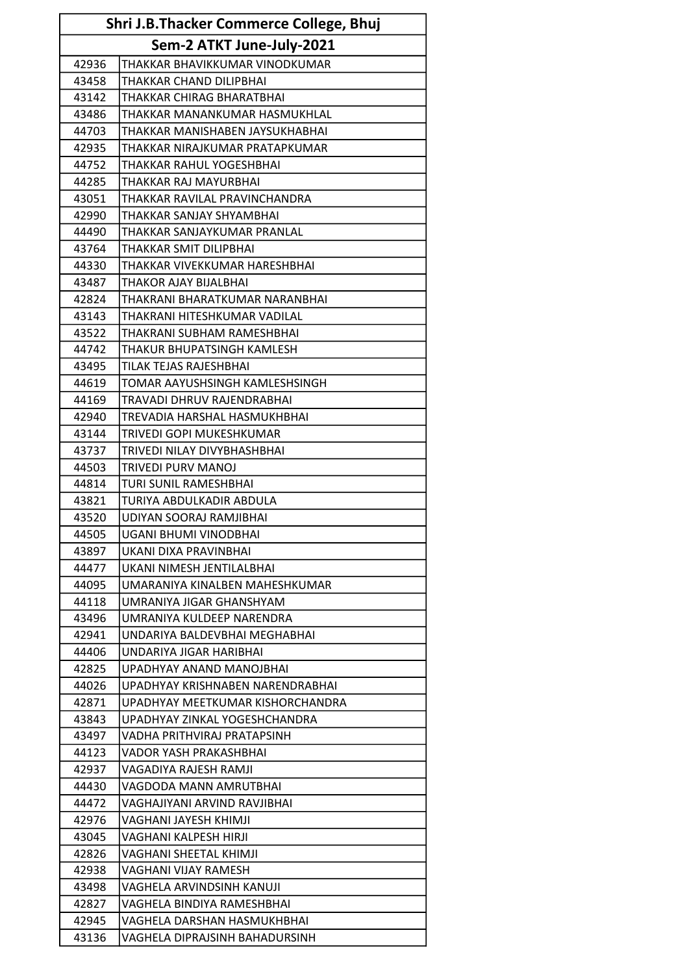| <b>Shri J.B.Thacker Commerce College, Bhuj</b> |                                  |  |  |
|------------------------------------------------|----------------------------------|--|--|
|                                                | Sem-2 ATKT June-July-2021        |  |  |
| 42936                                          | THAKKAR BHAVIKKUMAR VINODKUMAR   |  |  |
| 43458                                          | THAKKAR CHAND DILIPBHAI          |  |  |
| 43142                                          | THAKKAR CHIRAG BHARATBHAI        |  |  |
| 43486                                          | THAKKAR MANANKUMAR HASMUKHLAL    |  |  |
| 44703                                          | THAKKAR MANISHABEN JAYSUKHABHAI  |  |  |
| 42935                                          | THAKKAR NIRAJKUMAR PRATAPKUMAR   |  |  |
| 44752                                          | THAKKAR RAHUL YOGESHBHAI         |  |  |
| 44285                                          | THAKKAR RAJ MAYURBHAI            |  |  |
| 43051                                          | THAKKAR RAVILAL PRAVINCHANDRA    |  |  |
| 42990                                          | THAKKAR SANJAY SHYAMBHAI         |  |  |
| 44490                                          | THAKKAR SANJAYKUMAR PRANLAL      |  |  |
| 43764                                          | THAKKAR SMIT DILIPBHAI           |  |  |
| 44330                                          | THAKKAR VIVEKKUMAR HARESHBHAI    |  |  |
| 43487                                          | THAKOR AJAY BIJALBHAI            |  |  |
| 42824                                          | THAKRANI BHARATKUMAR NARANBHAI   |  |  |
| 43143                                          | THAKRANI HITESHKUMAR VADILAL     |  |  |
| 43522                                          | THAKRANI SUBHAM RAMESHBHAI       |  |  |
| 44742                                          | THAKUR BHUPATSINGH KAMLESH       |  |  |
| 43495                                          | TILAK TEJAS RAJESHBHAI           |  |  |
| 44619                                          | TOMAR AAYUSHSINGH KAMLESHSINGH   |  |  |
| 44169                                          | TRAVADI DHRUV RAJENDRABHAI       |  |  |
| 42940                                          | TREVADIA HARSHAL HASMUKHBHAI     |  |  |
| 43144                                          | TRIVEDI GOPI MUKESHKUMAR         |  |  |
| 43737                                          | TRIVEDI NILAY DIVYBHASHBHAI      |  |  |
| 44503                                          | <b>TRIVEDI PURV MANOJ</b>        |  |  |
| 44814                                          | TURI SUNIL RAMESHBHAI            |  |  |
| 43821                                          | TURIYA ABDULKADIR ABDULA         |  |  |
| 43520                                          | UDIYAN SOORAJ RAMJIBHAI          |  |  |
| 44505                                          | UGANI BHUMI VINODBHAI            |  |  |
| 43897                                          | UKANI DIXA PRAVINBHAI            |  |  |
| 44477                                          | UKANI NIMESH JENTILALBHAI        |  |  |
| 44095                                          | UMARANIYA KINALBEN MAHESHKUMAR   |  |  |
| 44118                                          | UMRANIYA JIGAR GHANSHYAM         |  |  |
| 43496                                          | UMRANIYA KULDEEP NARENDRA        |  |  |
| 42941                                          | UNDARIYA BALDEVBHAI MEGHABHAI    |  |  |
| 44406                                          | UNDARIYA JIGAR HARIBHAI          |  |  |
| 42825                                          | UPADHYAY ANAND MANOJBHAI         |  |  |
| 44026                                          | UPADHYAY KRISHNABEN NARENDRABHAI |  |  |
| 42871                                          | UPADHYAY MEETKUMAR KISHORCHANDRA |  |  |
| 43843                                          | UPADHYAY ZINKAL YOGESHCHANDRA    |  |  |
| 43497                                          | VADHA PRITHVIRAJ PRATAPSINH      |  |  |
| 44123                                          | VADOR YASH PRAKASHBHAI           |  |  |
| 42937                                          | VAGADIYA RAJESH RAMJI            |  |  |
| 44430                                          | VAGDODA MANN AMRUTBHAI           |  |  |
| 44472                                          | VAGHAJIYANI ARVIND RAVJIBHAI     |  |  |
| 42976                                          | VAGHANI JAYESH KHIMJI            |  |  |
| 43045                                          | VAGHANI KALPESH HIRJI            |  |  |
| 42826                                          | VAGHANI SHEETAL KHIMJI           |  |  |
| 42938                                          | VAGHANI VIJAY RAMESH             |  |  |
| 43498                                          | VAGHELA ARVINDSINH KANUJI        |  |  |
| 42827                                          | VAGHELA BINDIYA RAMESHBHAI       |  |  |
| 42945                                          | VAGHELA DARSHAN HASMUKHBHAI      |  |  |
| 43136                                          | VAGHELA DIPRAJSINH BAHADURSINH   |  |  |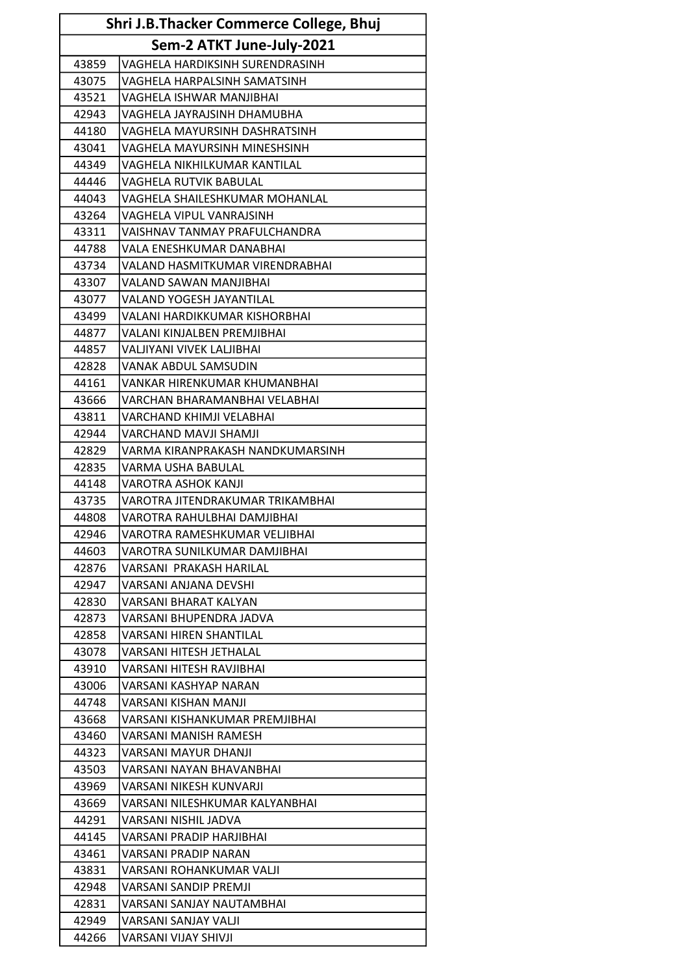| <b>Shri J.B.Thacker Commerce College, Bhuj</b> |                                        |  |  |
|------------------------------------------------|----------------------------------------|--|--|
|                                                | Sem-2 ATKT June-July-2021              |  |  |
| 43859                                          | VAGHELA HARDIKSINH SURENDRASINH        |  |  |
| 43075                                          | VAGHELA HARPALSINH SAMATSINH           |  |  |
| 43521                                          | VAGHELA ISHWAR MANJIBHAI               |  |  |
| 42943                                          | VAGHELA JAYRAJSINH DHAMUBHA            |  |  |
| 44180                                          | VAGHELA MAYURSINH DASHRATSINH          |  |  |
| 43041                                          | VAGHELA MAYURSINH MINESHSINH           |  |  |
| 44349                                          | VAGHELA NIKHILKUMAR KANTILAL           |  |  |
| 44446                                          | <b>VAGHELA RUTVIK BABULAL</b>          |  |  |
| 44043                                          | VAGHELA SHAILESHKUMAR MOHANLAL         |  |  |
| 43264                                          | VAGHELA VIPUL VANRAJSINH               |  |  |
| 43311                                          | VAISHNAV TANMAY PRAFULCHANDRA          |  |  |
| 44788                                          | <b>VALA ENESHKUMAR DANABHAI</b>        |  |  |
| 43734                                          | <b>VALAND HASMITKUMAR VIRENDRABHAI</b> |  |  |
| 43307                                          | <b>VALAND SAWAN MANJIBHAI</b>          |  |  |
| 43077                                          | <b>VALAND YOGESH JAYANTILAL</b>        |  |  |
| 43499                                          | VALANI HARDIKKUMAR KISHORBHAI          |  |  |
| 44877                                          | <b>VALANI KINJALBEN PREMJIBHAI</b>     |  |  |
| 44857                                          | VALJIYANI VIVEK LALJIBHAI              |  |  |
| 42828                                          | VANAK ABDUL SAMSUDIN                   |  |  |
| 44161                                          | VANKAR HIRENKUMAR KHUMANBHAI           |  |  |
| 43666                                          | VARCHAN BHARAMANBHAI VELABHAI          |  |  |
| 43811                                          | VARCHAND KHIMJI VELABHAI               |  |  |
| 42944                                          | <b>VARCHAND MAVJI SHAMJI</b>           |  |  |
| 42829                                          | VARMA KIRANPRAKASH NANDKUMARSINH       |  |  |
| 42835                                          | <b>VARMA USHA BABULAL</b>              |  |  |
| 44148                                          | <b>VAROTRA ASHOK KANJI</b>             |  |  |
| 43735                                          | VAROTRA JITENDRAKUMAR TRIKAMBHAI       |  |  |
| 44808                                          | VAROTRA RAHULBHAI DAMJIBHAI            |  |  |
| 42946                                          | VAROTRA RAMESHKUMAR VELJIBHAI          |  |  |
| 44603                                          | VAROTRA SUNILKUMAR DAMJIBHAI           |  |  |
| 42876                                          | VARSANI PRAKASH HARILAL                |  |  |
| 42947                                          | VARSANI ANJANA DEVSHI                  |  |  |
| 42830                                          | VARSANI BHARAT KALYAN                  |  |  |
| 42873                                          | VARSANI BHUPENDRA JADVA                |  |  |
| 42858                                          | <b>VARSANI HIREN SHANTILAL</b>         |  |  |
| 43078                                          | VARSANI HITESH JETHALAL                |  |  |
| 43910                                          | VARSANI HITESH RAVJIBHAI               |  |  |
| 43006                                          | VARSANI KASHYAP NARAN                  |  |  |
| 44748                                          | VARSANI KISHAN MANJI                   |  |  |
| 43668                                          | VARSANI KISHANKUMAR PREMJIBHAI         |  |  |
| 43460                                          | VARSANI MANISH RAMESH                  |  |  |
| 44323                                          | VARSANI MAYUR DHANJI                   |  |  |
| 43503                                          | VARSANI NAYAN BHAVANBHAI               |  |  |
| 43969                                          | VARSANI NIKESH KUNVARJI                |  |  |
| 43669                                          | VARSANI NILESHKUMAR KALYANBHAI         |  |  |
| 44291                                          | VARSANI NISHIL JADVA                   |  |  |
| 44145                                          | VARSANI PRADIP HARJIBHAI               |  |  |
|                                                |                                        |  |  |
| 43461                                          | VARSANI PRADIP NARAN                   |  |  |
| 43831                                          | VARSANI ROHANKUMAR VALJI               |  |  |
| 42948                                          | VARSANI SANDIP PREMJI                  |  |  |
| 42831                                          | VARSANI SANJAY NAUTAMBHAI              |  |  |
| 42949                                          | VARSANI SANJAY VALJI                   |  |  |
| 44266                                          | VARSANI VIJAY SHIVJI                   |  |  |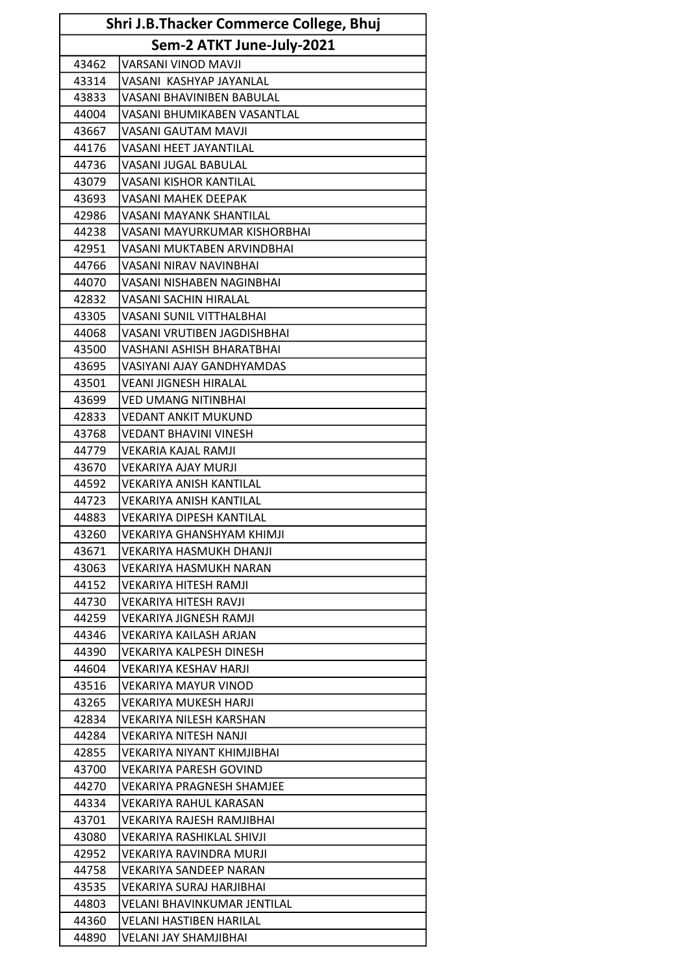| Shri J.B.Thacker Commerce College, Bhuj |                                  |  |
|-----------------------------------------|----------------------------------|--|
| Sem-2 ATKT June-July-2021               |                                  |  |
| 43462                                   | <b>VARSANI VINOD MAVJI</b>       |  |
| 43314                                   | VASANI KASHYAP JAYANLAL          |  |
| 43833                                   | VASANI BHAVINIBEN BABULAL        |  |
| 44004                                   | VASANI BHUMIKABEN VASANTLAL      |  |
| 43667                                   | <b>VASANI GAUTAM MAVJI</b>       |  |
| 44176                                   | <b>VASANI HEET JAYANTILAL</b>    |  |
| 44736                                   | <b>VASANI JUGAL BABULAL</b>      |  |
| 43079                                   | <b>VASANI KISHOR KANTILAL</b>    |  |
| 43693                                   | <b>VASANI MAHEK DEEPAK</b>       |  |
| 42986                                   | <b>VASANI MAYANK SHANTILAL</b>   |  |
| 44238                                   | VASANI MAYURKUMAR KISHORBHAI     |  |
| 42951                                   | VASANI MUKTABEN ARVINDBHAI       |  |
| 44766                                   | <b>VASANI NIRAV NAVINBHAI</b>    |  |
| 44070                                   | VASANI NISHABEN NAGINBHAI        |  |
| 42832                                   | VASANI SACHIN HIRALAL            |  |
| 43305                                   | <b>VASANI SUNIL VITTHALBHAI</b>  |  |
| 44068                                   | VASANI VRUTIBEN JAGDISHBHAI      |  |
| 43500                                   | VASHANI ASHISH BHARATBHAI        |  |
| 43695                                   | VASIYANI AJAY GANDHYAMDAS        |  |
| 43501                                   | <b>VEANI JIGNESH HIRALAL</b>     |  |
| 43699                                   | <b>VED UMANG NITINBHAI</b>       |  |
| 42833                                   | <b>VEDANT ANKIT MUKUND</b>       |  |
| 43768                                   | <b>VEDANT BHAVINI VINESH</b>     |  |
| 44779                                   | VEKARIA KAJAL RAMJI              |  |
| 43670                                   | <b>VEKARIYA AJAY MURJI</b>       |  |
| 44592                                   | <b>VEKARIYA ANISH KANTILAL</b>   |  |
| 44723                                   | <b>VEKARIYA ANISH KANTILAL</b>   |  |
| 44883                                   | <b>VEKARIYA DIPESH KANTILAL</b>  |  |
| 43260                                   | VEKARIYA GHANSHYAM KHIMJI        |  |
| 43671                                   | <b>VEKARIYA HASMUKH DHANJI</b>   |  |
| 43063                                   | <b>VEKARIYA HASMUKH NARAN</b>    |  |
| 44152                                   | VEKARIYA HITESH RAMJI            |  |
| 44730                                   | VEKARIYA HITESH RAVJI            |  |
| 44259                                   | <b>VEKARIYA JIGNESH RAMJI</b>    |  |
| 44346                                   | VEKARIYA KAILASH ARJAN           |  |
| 44390                                   | VEKARIYA KALPESH DINESH          |  |
| 44604                                   | <b>VEKARIYA KESHAV HARJI</b>     |  |
| 43516                                   | VEKARIYA MAYUR VINOD             |  |
| 43265                                   | <b>VEKARIYA MUKESH HARJI</b>     |  |
| 42834                                   | VEKARIYA NILESH KARSHAN          |  |
| 44284                                   | <b>VEKARIYA NITESH NANJI</b>     |  |
| 42855                                   | VEKARIYA NIYANT KHIMJIBHAI       |  |
| 43700                                   | VEKARIYA PARESH GOVIND           |  |
| 44270                                   | <b>VEKARIYA PRAGNESH SHAMJEE</b> |  |
| 44334                                   | VEKARIYA RAHUL KARASAN           |  |
| 43701                                   | VEKARIYA RAJESH RAMJIBHAI        |  |
| 43080                                   | VEKARIYA RASHIKLAL SHIVJI        |  |
| 42952                                   | VEKARIYA RAVINDRA MURJI          |  |
| 44758                                   | <b>VEKARIYA SANDEEP NARAN</b>    |  |
| 43535                                   | VEKARIYA SURAJ HARJIBHAI         |  |
| 44803                                   | VELANI BHAVINKUMAR JENTILAL      |  |
| 44360                                   | <b>VELANI HASTIBEN HARILAL</b>   |  |
| 44890                                   | VELANI JAY SHAMJIBHAI            |  |